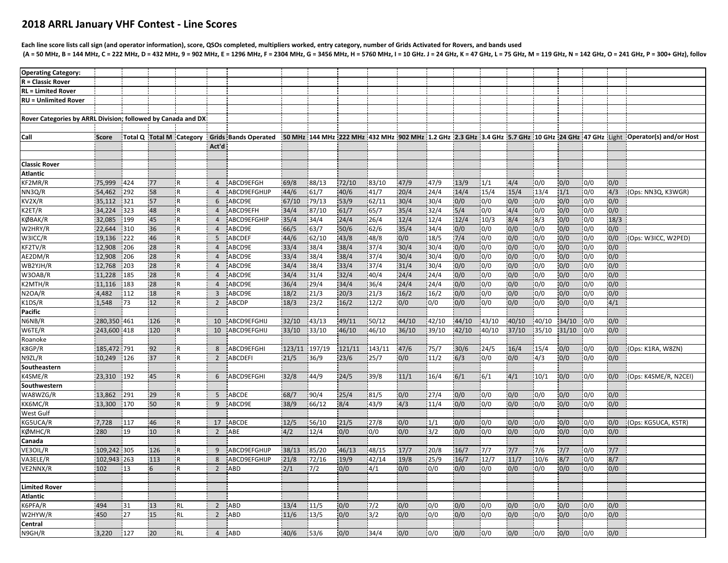## **2018 ARRL January VHF Contest ‐ Line Scores**

## Each line score lists call sign (and operator information), score, QSOs completed, multipliers worked, entry category, number of Grids Activated for Rovers, and bands used (A = 50 MHz, B = 144 MHz, C = 222 MHz, D = 432 MHz, 9 = 902 MHz, E = 1296 MHz, F = 2304 MHz, G = 3456 MHz, H = 5760 MHz, I = 10 GHz. J = 24 GHz, K = 47 GHz, M = 119 GHz, M = 119 GHz, N = 142 GHz, O = 241 GHz, O = 241 GHz,

| <b>Operating Category:</b>                                   |             |     |     |                          |                |                             |        |                |        |        |       |       |       |       |                |              |       |            |       |                                                                                                                             |
|--------------------------------------------------------------|-------------|-----|-----|--------------------------|----------------|-----------------------------|--------|----------------|--------|--------|-------|-------|-------|-------|----------------|--------------|-------|------------|-------|-----------------------------------------------------------------------------------------------------------------------------|
| <b>R</b> = Classic Rover                                     |             |     |     |                          |                |                             |        |                |        |        |       |       |       |       |                |              |       |            |       |                                                                                                                             |
| <b>RL = Limited Rover</b>                                    |             |     |     |                          |                |                             |        |                |        |        |       |       |       |       |                |              |       |            |       |                                                                                                                             |
| <b>RU = Unlimited Rover</b>                                  |             |     |     |                          |                |                             |        |                |        |        |       |       |       |       |                |              |       |            |       |                                                                                                                             |
|                                                              |             |     |     |                          |                |                             |        |                |        |        |       |       |       |       |                |              |       |            |       |                                                                                                                             |
| Rover Categories by ARRL Division; followed by Canada and DX |             |     |     |                          |                |                             |        |                |        |        |       |       |       |       |                |              |       |            |       |                                                                                                                             |
|                                                              |             |     |     |                          |                |                             |        |                |        |        |       |       |       |       |                |              |       |            |       |                                                                                                                             |
| Call                                                         | Score       |     |     | Total Q Total M Category |                | <b>Grids Bands Operated</b> |        |                |        |        |       |       |       |       |                |              |       |            |       | 50 MHz 144 MHz 222 MHz 432 MHz 902 MHz 1.2 GHz 2.3 GHz 3.4 GHz 5.7 GHz 10 GHz 24 GHz 47 GHz Light   Operator(s) and/or Host |
|                                                              |             |     |     |                          | Act'd          |                             |        |                |        |        |       |       |       |       |                |              |       |            |       |                                                                                                                             |
|                                                              |             |     |     |                          |                |                             |        |                |        |        |       |       |       |       |                |              |       |            |       |                                                                                                                             |
| <b>Classic Rover</b>                                         |             |     |     |                          |                |                             |        |                |        |        |       |       |       |       |                |              |       |            |       |                                                                                                                             |
| Atlantic                                                     |             |     |     |                          |                |                             |        |                |        |        |       |       |       |       |                |              |       |            |       |                                                                                                                             |
| KF2MR/R                                                      | 75,999      | 424 | 77  | ΙR.                      | $\overline{4}$ | ABCD9EFGH                   | 69/8   | 88/13          | 72/10  | 83/10  | 47/9  | 47/9  | 13/9  | 1/1   | 4/4            | 0/0          | 0/0   | 0/0        | 0/0   |                                                                                                                             |
| NN3Q/R                                                       | 54,462      | 292 | 58  |                          | $\overline{4}$ | ABCD9EFGHIJP                | 44/6   | 61/7           | 40/6   | 41/7   | 20/4  | 24/4  | 14/4  | 15/4  | 15/4           | 13/4         | 1/1   | 0/0        | 4/3   | (Ops: NN3Q, K3WGR)                                                                                                          |
| KV2X/R                                                       | 35,112      | 321 | 57  |                          | 6              | ABCD9E                      | 67/10  | 79/13          | 53/9   | 62/11  | 30/4  | 30/4  | 0/0   | 0/0   | 0/0            | 0/0          | 0/0   | 0/0        | 0/0   |                                                                                                                             |
| (2ET/R                                                       | 34,224      | 323 | 48  |                          | $\overline{4}$ | ABCD9EFH                    | 34/4   | 87/10          | 61/7   | 65/7   | 35/4  | 32/4  | 5/4   | 0/0   | 4/4            | 0/0          | 0/0   | 0/0        | 0/0   |                                                                                                                             |
| <b>ØBAK/R</b>                                                | 32,085      | 199 | 45  |                          | $\overline{4}$ | ABCD9EFGHIP                 | 35/4   | 34/4           | 24/4   | 26/4   | 12/4  | 12/4  | 12/4  | 10/3  | 8/4            | $\sqrt{8/3}$ | 0/0   | 0/0        | 18/3  |                                                                                                                             |
| W2HRY/R                                                      | 22,644      | 310 | 36  | l R                      | $\overline{4}$ | ABCD9E                      | 66/5   | 63/7           | 50/6   | 62/6   | 35/4  | 34/4  | 0/0   | 0/0   | 0/0            | 0/0          | 0/0   | 0/0        | 0/0   |                                                                                                                             |
| W3ICC/R                                                      | 19,136      | 222 | 46  | l R                      | 5              | ABCDEF                      | 44/6   | 62/10          | 43/8   | 48/8   | 0/0   | 18/5  | 7/4   | 0/0   | 0/0            | 0/0          | 0/0   | 0/0        | 0/0   | (Ops: W3ICC, W2PED)                                                                                                         |
| KF2TV/R                                                      | 12,908      | 206 | 28  | İR.                      | $\overline{4}$ | ABCD9E                      | 33/4   | 38/4           | 38/4   | 37/4   | 30/4  | 30/4  | 0/0   | 0/0   | 0/0            | 0/0          | 0/0   | 10/0       | 0/0   |                                                                                                                             |
| AE2DM/R                                                      | 12,908      | 206 | 28  | i R                      | $\overline{4}$ | ABCD9E                      | 33/4   | 38/4           | 38/4   | 37/4   | 30/4  | 30/4  | 0/0   | 0/0   | 0/0            | 0/0          | 0/0   | 0/0        | 0/0   |                                                                                                                             |
| WB2YJH/R                                                     | 12,768      | 203 | 28  | <b>IR</b>                | $\overline{4}$ | ABCD9E                      | 34/4   | 38/4           | 33/4   | 37/4   | 31/4  | 30/4  | 0/0   | 0/0   | 0/0            | 0/0          | 0/0   | 0/0        | 0/0   |                                                                                                                             |
| W3OAB/R                                                      | 11,228      | 185 | 28  | IR.                      | $\overline{4}$ | ABCD9E                      | 34/4   | 31/4           | 32/4   | 40/4   | 24/4  | 24/4  | 0/0   | 0/0   | 0/0            | 0/0          | 0/0   | 0/0        | 0/0   |                                                                                                                             |
| K2MTH/R                                                      | 11,116      | 183 | 28  | l R                      | $\overline{4}$ | ABCD9E                      | 36/4   | 29/4           | 34/4   | 36/4   | 24/4  | 24/4  | 0/0   | 0/0   | 0/0            | 0/0          | 0/0   | 0/0        | 0/0   |                                                                                                                             |
| N2OA/R                                                       | 4,482       | 112 | 18  | IR.                      | $\overline{3}$ | ABCD9E                      | 18/2   | 21/3           | 20/3   | 21/3   | 16/2  | 16/2  | 0/0   | 0/0   | 0/0            | 0/0          | 0/0   | 0/0        | 0/0   |                                                                                                                             |
| K1DS/R                                                       | 1,548       | 73  | 12  | i R                      | $\overline{2}$ | ABCDP                       | 18/3   | 23/2           | 16/2   | 12/2   | 0/0   | 0/0   | 0/0   | 0/0   | 0/0            | 0/0          | 0/0   | 0/0        | 4/1   |                                                                                                                             |
| <b>Pacific</b>                                               |             |     |     |                          |                |                             |        |                |        |        |       |       |       |       |                |              |       |            |       |                                                                                                                             |
|                                                              | 280,350     | 461 | 126 |                          | 10             | ABCD9EFGHIJ                 | 32/10  |                | 49/11  | 50/12  | 44/10 | 42/10 | 44/10 | 43/10 |                | 40/10        | 34/10 |            | 0/0   |                                                                                                                             |
| N6NB/R<br>W6TE/R                                             | 243,600 418 |     | 120 | <sup>1</sup> R           | 10             | ABCD9EFGHIJ                 | 33/10  | 43/13<br>33/10 | 46/10  | 46/10  | 36/10 | 39/10 | 42/10 | 40/10 | 40/10<br>37/10 | 35/10        | 31/10 | 0/0<br>0/0 | 0/0   |                                                                                                                             |
| Roanoke                                                      |             |     |     |                          |                |                             |        |                |        |        |       |       |       |       |                |              |       |            |       |                                                                                                                             |
| <b>&lt;8GP/R</b>                                             | 185,472 791 |     | 92  |                          | 8              | ABCD9EFGHI                  | 123/11 | 197/19         | 121/11 | 143/11 | 47/6  | 75/7  | 30/6  | 24/5  | 16/4           | 15/4         | 0/0   | 0/0        | 0/0   | (Ops: K1RA, W8ZN)                                                                                                           |
| N9ZL/R                                                       | 10,249      | 126 | 37  | <b>IR</b>                | $\overline{2}$ | <b>ABCDEFI</b>              | 21/5   | 36/9           | 23/6   | 25/7   | 0/0   | 11/2  | 6/3   | 0/0   | 0/0            | 4/3          | 0/0   | 0/0        | 0/0   |                                                                                                                             |
| Southeastern                                                 |             |     |     |                          |                |                             |        |                |        |        |       |       |       |       |                |              |       |            |       |                                                                                                                             |
| K4SME/R                                                      | 23,310      | 192 | 45  | ΙR.                      | 6              | ABCD9EFGHI                  | 32/8   | 44/9           | 24/5   | 39/8   | 11/1  | 16/4  | 6/1   | 6/1   | 4/1            | 10/1         | 0/0   | 0/0        | 0/0   | (Ops: K4SME/R, N2CEI)                                                                                                       |
|                                                              |             |     |     |                          |                |                             |        |                |        |        |       |       |       |       |                |              |       |            |       |                                                                                                                             |
| Southwestern<br>WA8WZG/R                                     | 13,862      | 291 | 29  | i R                      | 5              | ABCDE                       | 68/7   | 90/4           | 25/4   | 81/5   | 0/0   | 27/4  | 0/0   | 0/0   | 0/0            | 0/0          | 0/0   | 0/0        | 0/0   |                                                                                                                             |
| KK6MC/R                                                      | 13,300      | 170 | 50  | ¦R                       | 9              | ABCD9E                      | 38/9   | 66/12          | 8/4    | 43/9   | 4/3   | 11/4  | 0/0   | 0/0   | 0/0            | 0/0          | 0/0   | 0/0        | 0/0   |                                                                                                                             |
| West Gulf                                                    |             |     |     |                          |                |                             |        |                |        |        |       |       |       |       |                |              |       |            |       |                                                                                                                             |
| <b>G5UCA/R</b>                                               | 7,728       | 117 | 46  |                          | 17             | ABCDE                       | 12/5   | 56/10          | 21/5   | 27/8   | 0/0   | 1/1   | 0/0   | 0/0   | 0/0            | 0/0          | 0/0   | 0/0        | 0/0   | Ops: KG5UCA, K5TR)                                                                                                          |
| <b>ØMHC/R</b>                                                | 280         | 19  | 10  | i R                      | $\overline{2}$ | ABE                         | 4/2    | 12/4           | 0/0    | 0/0    | 0/0   | 3/2   | 0/0   | 0/0   | 0/0            | 0/0          | 0/0   | 0/0        | 0/0   |                                                                                                                             |
| Canada                                                       |             |     |     |                          |                |                             |        |                |        |        |       |       |       |       |                |              |       |            |       |                                                                                                                             |
| VE3OIL/R                                                     | 109,242 305 |     | 126 | l R                      | 9              | ABCD9EFGHIJP                | 38/13  | 85/20          | 46/13  | 48/15  | 17/7  | 20/8  | 16/7  | 7/7   | $7/7$          | 7/6          | $7/7$ | 0/0        | $7/7$ |                                                                                                                             |
| VA3ELE/R                                                     | 102,943 263 |     | 113 | ¦R                       | 8              | ABCD9EFGHIJP                | 21/8   | 72/16          | 19/9   | 42/14  | 19/8  | 25/9  | 16/7  | 12/7  | 11/7           | 10/6         | 8/7   | 0/0        | 8/7   |                                                                                                                             |
| VE2NNX/R                                                     | 102         | 13  | 6   | IR.                      | $\overline{2}$ | ABD                         | 2/1    | 7/2            | 0/0    | 4/1    | 0/0   | 0/0   | 0/0   | 0/0   | 0/0            | 0/0          | 0/0   | 0/0        | 0/0   |                                                                                                                             |
|                                                              |             |     |     |                          |                |                             |        |                |        |        |       |       |       |       |                |              |       |            |       |                                                                                                                             |
| <b>Limited Rover</b>                                         |             |     |     |                          |                |                             |        |                |        |        |       |       |       |       |                |              |       |            |       |                                                                                                                             |
| Atlantic                                                     |             |     |     |                          |                |                             |        |                |        |        |       |       |       |       |                |              |       |            |       |                                                                                                                             |
| K6PFA/R                                                      | 494         | 31  | 13  | <b>RL</b>                | $\overline{2}$ | ABD                         | 13/4   | 11/5           | 0/0    | 7/2    | 0/0   | 0/0   | 0/0   | 0/0   | 0/0            | 0/0          | 0/0   | 0/0        | 0/0   |                                                                                                                             |
| W2HYW/R                                                      | 450         | 27  | 15  | <b>RL</b>                | $\overline{2}$ | ABD                         | 11/6   | 13/5           | 0/0    | 3/2    | 0/0   | 0/0   | 0/0   | 0/0   | 0/0            | 0/0          | 0/0   | 0/0        | 0/0   |                                                                                                                             |
| Central                                                      |             |     |     |                          |                |                             |        |                |        |        |       |       |       |       |                |              |       |            |       |                                                                                                                             |
|                                                              | 3,220       | 127 | 20  | <b>RL</b>                |                | <b>ABD</b>                  | 40/6   | 53/6           | 0/0    | 34/4   | 0/0   | 0/0   | 0/0   | 0/0   |                | 0/0          | 0/0   | 0/0        | 0/0   |                                                                                                                             |
| N9GH/R                                                       |             |     |     |                          | $\overline{4}$ |                             |        |                |        |        |       |       |       |       | 0/0            |              |       |            |       |                                                                                                                             |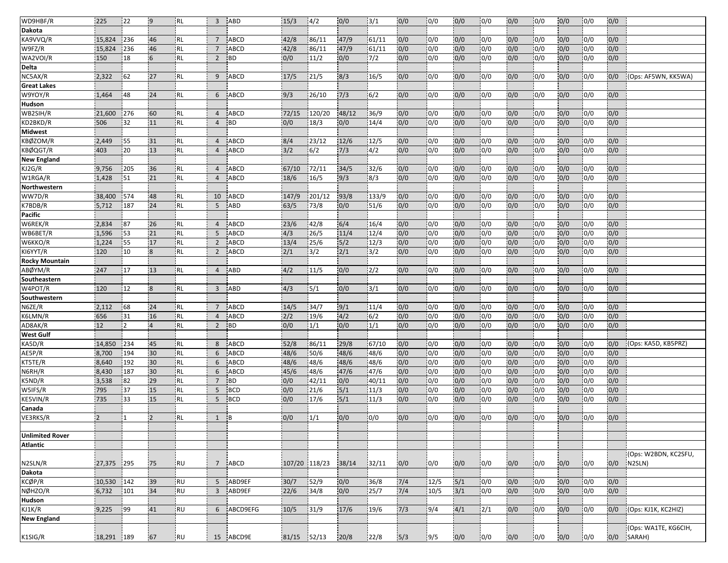| WD9HBF/R               | 225             | 22         | $\overline{9}$  | <b>RL</b> | $\overline{3}$  | <b>ABD</b>          | 15/3          | 4/2    | 0/0         | 3/1          | 0/0        | 0/0  | 0/0                      | 0/0        | 0/0        | 0/0        | 0/0        | 0/0        | 0/0        |                      |
|------------------------|-----------------|------------|-----------------|-----------|-----------------|---------------------|---------------|--------|-------------|--------------|------------|------|--------------------------|------------|------------|------------|------------|------------|------------|----------------------|
| Dakota                 |                 |            |                 |           |                 |                     |               |        |             |              |            |      |                          |            |            |            |            |            |            |                      |
| KA9VVQ/R               | 15,824          | 236        | 46              | <b>RL</b> | $\overline{7}$  | ABCD                | 42/8          | 86/11  | 47/9        | 61/11        | 0/0        | 0/0  | 0/0                      | 0/0        | 0/0        | 0/0        | 0/0        | 0/0        | 0/0        |                      |
| W9FZ/R                 | 15,824          | 236        | 46              | <b>RL</b> | $\overline{7}$  | ABCD                | 42/8          | 86/11  | 47/9        | 61/11        | 0/0        | 0/0  | 0/0                      | 0/0        | 0/0        | 0/0        | 0/0        | 0/0        | 0/0        |                      |
| WA2VOI/R               | 150             | 18         | $6 \frac{1}{2}$ | RL        | $\overline{2}$  | <b>BD</b>           | 0/0           | 11/2   | 0/0         | 7/2          | 0/0        | 0/0  | 0/0                      | 0/0        | 0/0        | 0/0        | 0/0        | 0/0        | 0/0        |                      |
| Delta                  |                 |            |                 |           |                 |                     |               |        |             |              |            |      |                          |            |            |            |            |            |            |                      |
| NC5AX/R                | 2,322           | 62         | 27              | <b>RL</b> | 9               | <b>ABCD</b>         | 17/5          | 21/5   | 8/3         | 16/5         | 0/0        | 0/0  | 0/0                      | 0/0        | 0/0        | 0/0        | 0/0        | 0/0        | 0/0        | (Ops: AF5WN, KK5WA)  |
| <b>Great Lakes</b>     |                 |            |                 |           |                 |                     |               |        |             |              |            |      |                          |            |            |            |            |            |            |                      |
| W9YOY/R                | 1,464           | 48         | 24              | <b>RL</b> | 6               | <b>ABCD</b>         | 9/3           | 26/10  | 7/3         | 6/2          | 0/0        | 0/0  | 0/0                      | 0/0        | 0/0        | 0/0        | 0/0        | 0/0        | 0/0        |                      |
| Hudson                 |                 |            |                 |           |                 |                     |               |        |             |              |            |      |                          |            |            |            |            |            |            |                      |
| WB2SIH/R               | 21,600          | 276        | 60              | RL        | $\overline{4}$  | <b>ABCD</b>         | 72/15         | 120/20 | 48/12       | 36/9         | 0/0        | 0/0  | 0/0                      | 0/0        | 0/0        | 0/0        | 0/0        | 0/0        | 0/0        |                      |
| KD2BKD/R               | 506             | 32         | 11              | RL        | $\overline{4}$  | <b>BD</b>           | 0/0           | 18/3   | 0/0         | 14/4         | 0/0        | 0/0  | 0/0                      | 0/0        | 0/0        | 0/0        | 0/0        | 0/0        | 0/0        |                      |
| <b>Midwest</b>         |                 |            |                 |           |                 |                     |               |        |             |              |            |      |                          |            |            |            |            |            |            |                      |
| KBØZOM/R               | 2,449           | 55         | 31              | <b>RL</b> | $\overline{4}$  | <b>ABCD</b>         | 8/4           | 23/12  | 12/6        | 12/5         | 0/0        | 0/0  | 0/0                      | 0/0        | 0/0        | 0/0        | 0/0        | 0/0        | 0/0        |                      |
| KBØQGT/R               | 403             | 20         | 13              | <b>RL</b> | $\overline{4}$  | <b>ABCD</b>         | 3/2           | 6/2    | 7/3         | 14/2         | 0/0        | 0/0  | 0/0                      | 0/0        | 0/0        | 0/0        | 0/0        | 0/0        | 0/0        |                      |
| <b>New England</b>     |                 |            |                 |           |                 |                     |               |        |             |              |            |      |                          |            |            |            |            |            |            |                      |
| KJ2G/R                 | 9,756           | 205        | 36              | <b>RL</b> | $\overline{4}$  | <b>ABCD</b>         | 67/10         | 72/11  | 34/5        | 32/6         | 0/0        | 0/0  | 0/0                      | 0/0        | 0/0        | 0/0        | 0/0        | 0/0        | 0/0        |                      |
| W1RGA/R                | 1,428           | 51         | 21              | <b>RL</b> | $\overline{4}$  | <b>ABCD</b>         | 18/6          | 16/5   | 9/3         | 8/3          | 0/0        | 0/0  | 0/0                      | 0/0        | 0/0        | 0/0        | 0/0        | 0/0        | 0/0        |                      |
|                        |                 |            |                 |           |                 |                     |               |        |             |              |            |      |                          |            |            |            |            |            |            |                      |
| Northwestern<br>WW7D/R |                 |            | 48              | IRL       | 10              | <b>ABCD</b>         |               | 201/12 |             | 133/9        | 0/0        | 0/0  | 0/0                      | 0/0        | 0/0        | 0/0        |            | 0/0        | 0/0        |                      |
| K7BDB/R                | 38,400<br>5,712 | 574<br>187 | 24              | <b>RL</b> | 5               | ABD                 | 147/9<br>63/5 | 73/8   | 93/8<br>0/0 | 51/6         | 0/0        | 0/0  | 0/0                      | 0/0        | 0/0        | 0/0        | 0/0<br>0/0 | 0/0        | 0/0        |                      |
|                        |                 |            |                 |           |                 |                     |               |        |             |              |            |      |                          |            |            |            |            |            |            |                      |
| Pacific<br>W6REK/R     | 2,834           | 87         | 26              | <b>RL</b> | $\overline{4}$  | <b>ABCD</b>         | 23/6          | 42/8   |             | 16/4         | 0/0        | 0/0  | 0/0                      | 0/0        | 0/0        | 0/0        | 0/0        | 0/0        |            |                      |
|                        |                 |            |                 |           | 5               |                     | 4/3           |        | 6/4         |              |            | 0/0  |                          |            |            |            |            |            | 0/0        |                      |
| WB6BET/R               | 1,596           | 53<br>55   | 21<br>17        | <b>RL</b> |                 | ABCD<br><b>ABCD</b> |               | 26/5   | 11/4        | 12/4<br>12/3 | 0/0<br>0/0 |      | 0/0<br>0/0               | 0/0<br>0/0 | 0/0<br>0/0 | 0/0<br>0/0 | 0/0        | 0/0<br>0/0 | 0/0<br>0/0 |                      |
| W6KKO/R                | 1,224           |            |                 | <b>RL</b> | $\overline{2}$  |                     | 13/4          | 25/6   | 5/2         |              |            | 0/0  |                          |            |            |            | 0/0        |            |            |                      |
| KI6YYT/R               | 120             | 10         | $\overline{8}$  | <b>RL</b> | $\overline{2}$  | <b>ABCD</b>         | 2/1           | $3/2$  | 2/1         | 3/2          | 0/0        | 0/0  | 0/0                      | 0/0        | 0/0        | 0/0        | 0/0        | 0/0        | 0/0        |                      |
| <b>Rocky Mountain</b>  |                 |            |                 |           |                 |                     |               |        |             |              |            |      |                          |            |            |            |            |            |            |                      |
| ABØYM/R                | 247             | 17         | 13              | RL.       | $\overline{4}$  | <b>ABD</b>          | 4/2           | 11/5   | 0/0         | 2/2          | 0/0        | 0/0  | 0/0                      | 0/0        | 0/0        | 0/0        | 0/0        | 0/0        | 0/0        |                      |
| Southeastern           |                 |            |                 |           |                 |                     |               |        |             |              |            |      |                          |            |            |            |            |            |            |                      |
| W4POT/R                | 120             | 12         | 8               | <b>RL</b> | $\overline{3}$  | <b>ABD</b>          | 4/3           | 5/1    | 0/0         | 3/1          | 0/0        | 0/0  | 0/0                      | 0/0        | 0/0        | 0/0        | 0/0        | 0/0        | 0/0        |                      |
| Southwestern           |                 |            |                 |           |                 |                     |               |        |             |              |            |      |                          |            |            |            |            |            |            |                      |
| N6ZE/R                 | 2,112           | 68         | 24              | <b>RL</b> | $7\overline{ }$ | ABCD                | 14/5          | 34/7   | 9/1         | 11/4         | 0/0        | 0/0  | 0/0                      | 0/0        | 0/0        | 0/0        | 0/0        | 0/0        | 0/0        |                      |
| K6LMN/R                | 656             | 31         | 16              | <b>RL</b> | $\overline{4}$  | <b>ABCD</b>         | 2/2           | 19/6   | 4/2         | 6/2          | 0/0        | 0/0  | 0/0                      | 0/0        | 0/0        | 0/0        | 0/0        | 0/0        | 0/0        |                      |
| AD8AK/R                | 12              | 12         | $\overline{4}$  | <b>RL</b> | $\overline{2}$  | <b>BD</b>           | 0/0           | 1/1    | 0/0         | 1/1          | 0/0        | 0/0  | 0/0                      | 0/0        | 0/0        | 0/0        | 0/0        | 0/0        | 0/0        |                      |
| <b>West Gulf</b>       |                 |            |                 |           |                 |                     |               |        |             |              |            |      |                          |            |            |            |            |            |            |                      |
| KA5D/R                 | 14,850          | 234        | 45              | <b>RL</b> | 8               | <b>ABCD</b>         | 52/8          | 86/11  | 29/8        | 67/10        | 0/0        | 0/0  | 0/0                      | 0/0        | 0/0        | 0/0        | 0/0        | 0/0        | 0/0        | (Ops: KA5D, KB5PRZ)  |
| AE5P/R                 | 8,700           | 194        | 30              | <b>RL</b> | 6               | <b>ABCD</b>         | 48/6          | 50/6   | 48/6        | 48/6         | 0/0        | 0/0  | 0/0                      | 0/0        | 0/0        | 0/0        | 0/0        | 0/0        | 0/0        |                      |
| KT5TE/R                | 8,640           | 192        | 30              | <b>RL</b> | 6               | <b>ABCD</b>         | 48/6          | 48/6   | 48/6        | 48/6         | 0/0        | 0/0  | 0/0                      | 0/0        | 0/0        | 0/0        | 0/0        | 0/0        | 0/0        |                      |
| N6RH/R                 | 8,430           | 187        | 30              | <b>RL</b> | 6               | ABCD                | 45/6          | 48/6   | 47/6        | 47/6         | 0/0        | 0/0  | 0/0                      | 0/0        | 0/0        | 0/0        | 0/0        | 0/0        | 0/0        |                      |
| K5ND/R                 | 3,538           | 82         | 29              | <b>RL</b> | $7\overline{ }$ | <b>BD</b>           | 0/0           | 42/11  | 0/0         | 40/11        | 0/0        | 0/0  | 0/0                      | 0/0        | 0/0        | 0/0        | 0/0        | 0/0        | 0/0        |                      |
| W5IFS/R                | 795             | 37         | 15              | <b>RL</b> | 5               | <b>BCD</b>          | 0/0           | 21/6   | 5/1         | 11/3         | 0/0        | 0/0  | 0/0                      | 0/0        | 0/0        | 0/0        | 0/0        | 0/0        | 0/0        |                      |
| KE5VIN/R               | 735             | 33         | 15              | <b>RL</b> | 5               | <b>BCD</b>          | 0/0           | 17/6   | 5/1         | 11/3         | 0/0        | 0/0  | 0/0                      | 0/0        | 0/0        | 0/0        | 0/0        | 0/0        | 0/0        |                      |
| Canada                 |                 |            |                 |           |                 |                     |               |        |             |              |            |      |                          |            |            |            |            |            |            |                      |
| VE3RKS/R               | $\overline{2}$  |            | $\overline{2}$  | RL        | 1               | ΙB                  | 0/0           | 1/1    | 0/0         | 0/0          | 0/0        | 0/0  | 0/0                      | 0/0        | 0/0        | 0/0        | 0/0        | 0/0        | 0/0        |                      |
|                        |                 |            |                 |           |                 |                     |               |        |             |              |            |      |                          |            |            |            |            |            |            |                      |
| <b>Unlimited Rover</b> |                 |            |                 |           |                 |                     |               |        |             |              |            |      |                          |            |            |            |            |            |            |                      |
| <b>Atlantic</b>        |                 |            |                 |           |                 |                     |               |        |             |              |            |      |                          |            |            |            |            |            |            |                      |
|                        |                 |            |                 |           |                 |                     |               |        |             |              |            |      |                          |            |            |            |            |            |            | (Ops: W2BDN, KC2SFU, |
| N2SLN/R                | 27,375          | 295        | 75              | ¦RU       | $7\overline{ }$ | ABCD                | 107/20 118/23 |        | 38/14       | 32/11        | 0/0        | 0/0  | 0/0                      | 0/0        | 0/0        | 0/0        | 0/0        | 0/0        | 0/0        | N2SLN)               |
| <b>Dakota</b>          |                 |            |                 |           |                 |                     |               |        |             |              |            |      |                          |            |            |            |            |            |            |                      |
| KCØP/R                 | 10,530          | 142        | 39              | <b>RU</b> | 5               | ABD9EF              | 30/7          | 52/9   | 0/0         | 36/8         | $7/4$      | 12/5 | 5/1                      | 0/0        | 0/0        | 0/0        | 0/0        | 0/0        | 0/0        |                      |
| NØHZO/R                | 6,732           | 101        | 34              | <b>RU</b> | $\overline{3}$  | ABD9EF              | 22/6          | 34/8   | 0/0         | 125/7        | 7/4        | 10/5 | $\overline{\frac{3}{1}}$ | 0/0        | 0/0        | 0/0        | 0/0        | 0/0        | 0/0        |                      |
| <b>Hudson</b>          |                 |            |                 |           |                 |                     |               |        |             |              |            |      |                          |            |            |            |            |            |            |                      |
| $\overline{K}$ J1K/R   | 9,225           | 99         | 41              | <b>RU</b> | 6               | ABCD9EFG            | 10/5          | 31/9   | 17/6        | 19/6         | 7/3        | 9/4  | 4/1                      | 2/1        | 0/0        | 0/0        | 0/0        | 0/0        | 0/0        | (Ops: KJ1K, KC2HIZ)  |
| <b>New England</b>     |                 |            |                 |           |                 |                     |               |        |             |              |            |      |                          |            |            |            |            |            |            |                      |
|                        |                 |            |                 |           |                 |                     |               |        |             |              |            |      |                          |            |            |            |            |            |            | (Ops: WA1TE, KG6CIH, |
| K1SIG/R                | 18,291 189      |            | 67              | RU        |                 | 15 ABCD9E           | 81/15         | 52/13  | 20/8        | 22/8         | 5/3        | 9/5  | 0/0                      | 0/0        | 0/0        | 0/0        | 0/0        | 0/0        |            | 0/0 SARAH)           |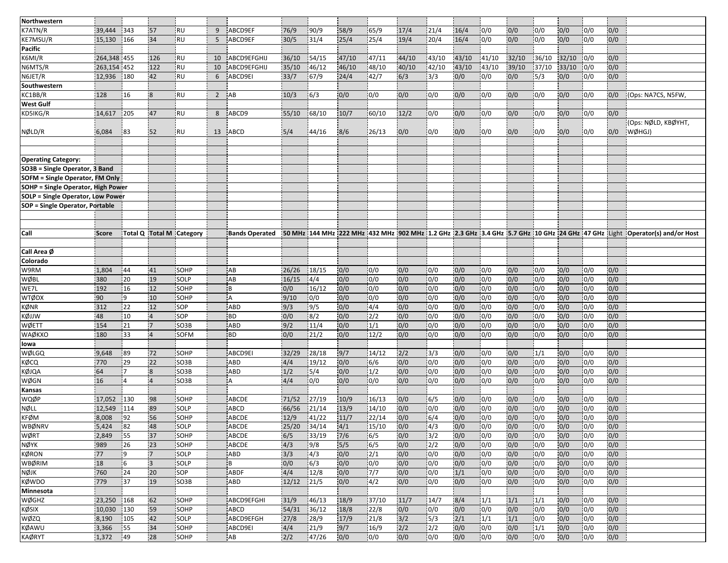| Northwestern                              |                |             |                |                          |                |                       |               |                |              |                  |            |                          |            |                          |            |                         |            |                         |            |                                                                                                                                        |
|-------------------------------------------|----------------|-------------|----------------|--------------------------|----------------|-----------------------|---------------|----------------|--------------|------------------|------------|--------------------------|------------|--------------------------|------------|-------------------------|------------|-------------------------|------------|----------------------------------------------------------------------------------------------------------------------------------------|
| K7ATN/R                                   | 39,444         | 343         | 57             | <b>RU</b>                | 9              | ABCD9EF               | 76/9          | 90/9           | 58/9         | 65/9             | 17/4       | 21/4                     | 16/4       | 0/0                      | 0/0        | 0/0                     | 0/0        | 0/0                     | 0/0        |                                                                                                                                        |
| KE7MSU/R                                  | 15,130         | 166         | 34             | RU                       | 5              | ABCD9EF               | 30/5          | 31/4           | 25/4         | 25/4             | 19/4       | 20/4                     | 16/4       | 0/0                      | 0/0        | 0/0                     | 0/0        | 0/0                     | 0/0        |                                                                                                                                        |
| <b>Pacific</b>                            |                |             |                |                          |                |                       |               |                |              |                  |            |                          |            |                          |            |                         |            |                         |            |                                                                                                                                        |
| K6MI/R                                    | 264,348 455    |             | 126            | <b>RU</b>                | 10             | ABCD9EFGHIJ           | 36/10         | 54/15          | 47/10        | 47/11            | 44/10      | 43/10                    | 43/10      | 41/10                    | 32/10      | 36/10                   | 32/10      | 0/0                     | 0/0        |                                                                                                                                        |
| N6MTS/R                                   | 263,154 452    |             | 122            | RU                       | 10             | ABCD9EFGHIJ           | 35/10         | 46/12          | 46/10        | 148/10           | 40/10      | 42/10                    | 43/10      | 43/10                    | 39/10      | 37/10                   | 33/10      | 0/0                     | 0/0        |                                                                                                                                        |
| N6JET/R                                   | 12,936         | 180         | 42             | <b>RU</b>                | 6              | ABCD9EI               | 33/7          | 67/9           | 24/4         | 42/7             | 6/3        | 3/3                      | 0/0        | 0/0                      | 0/0        | 5/3                     | 0/0        | 0/0                     | 0/0        |                                                                                                                                        |
| Southwestern                              |                |             |                |                          |                |                       |               |                |              |                  |            |                          |            |                          |            |                         |            |                         |            |                                                                                                                                        |
| KC1BB/R                                   | 128            | 16          | 8              | <b>RU</b>                | $\overline{2}$ | AB                    | 10/3          | 6/3            | 0/0          | 0/0              | 0/0        | 0/0                      | 0/0        | 0/0                      | 0/0        | 0/0                     | 0/0        | 0/0                     | 0/0        | (Ops: NA7CS, N5FW,                                                                                                                     |
| <b>West Gulf</b>                          |                |             |                |                          |                |                       |               |                |              |                  |            |                          |            |                          |            |                         |            |                         |            |                                                                                                                                        |
| KD5IKG/R                                  | 14,617         | 205         | 47             | <b>RU</b>                | 8              | ABCD9                 | 55/10         | 68/10          | 10/7         | 60/10            | 12/2       | 0/0                      | 0/0        | 0/0                      | 0/0        | 0/0                     | 0/0        | 0/0                     | 0/0        |                                                                                                                                        |
| NØLD/R                                    | 6,084          | 83          | 52             | ¦RU                      | 13             | ABCD                  | 5/4           | 44/16          | 8/6          | 26/13            | 0/0        | 0/0                      | 0/0        | 0/0                      | 0/0        | 0/0                     | 0/0        | 0/0                     | 0/0        | (Ops: NØLD, KBØYHT,<br>WØHGJ)                                                                                                          |
|                                           |                |             |                |                          |                |                       |               |                |              |                  |            |                          |            |                          |            |                         |            |                         |            |                                                                                                                                        |
|                                           |                |             |                |                          |                |                       |               |                |              |                  |            |                          |            |                          |            |                         |            |                         |            |                                                                                                                                        |
| <b>Operating Category:</b>                |                |             |                |                          |                |                       |               |                |              |                  |            |                          |            |                          |            |                         |            |                         |            |                                                                                                                                        |
| SO3B = Single Operator, 3 Band            |                |             |                |                          |                |                       |               |                |              |                  |            |                          |            |                          |            |                         |            |                         |            |                                                                                                                                        |
| <b>SOFM = Single Operator, FM Only</b>    |                |             |                |                          |                |                       |               |                |              |                  |            |                          |            |                          |            |                         |            |                         |            |                                                                                                                                        |
| <b>SOHP = Single Operator, High Power</b> |                |             |                |                          |                |                       |               |                |              |                  |            |                          |            |                          |            |                         |            |                         |            |                                                                                                                                        |
| <b>SOLP = Single Operator, Low Power</b>  |                |             |                |                          |                |                       |               |                |              |                  |            |                          |            |                          |            |                         |            |                         |            |                                                                                                                                        |
| <b>SOP = Single Operator, Portable</b>    |                |             |                |                          |                |                       |               |                |              |                  |            |                          |            |                          |            |                         |            |                         |            |                                                                                                                                        |
|                                           |                |             |                |                          |                |                       |               |                |              |                  |            |                          |            |                          |            |                         |            |                         |            |                                                                                                                                        |
|                                           |                |             |                |                          |                |                       |               |                |              |                  |            |                          |            |                          |            |                         |            |                         |            |                                                                                                                                        |
| Call                                      | <b>Score</b>   |             |                | Total Q Total M Category |                | <b>Bands Operated</b> |               |                |              |                  |            |                          |            |                          |            |                         |            |                         |            | 50 MHz  144 MHz  222 MHz  432 MHz  902 MHz  1.2 GHz  2.3 GHz  3.4 GHz  5.7 GHz  10 GHz  24 GHz  47 GHz  Light  Operator(s) and/or Host |
|                                           |                |             |                |                          |                |                       |               |                |              |                  |            |                          |            |                          |            |                         |            |                         |            |                                                                                                                                        |
| Call Area Ø                               |                |             |                |                          |                |                       |               |                |              |                  |            |                          |            |                          |            |                         |            |                         |            |                                                                                                                                        |
| Colorado                                  |                |             |                |                          |                |                       |               |                |              |                  |            |                          |            |                          |            |                         |            |                         |            |                                                                                                                                        |
| W9RM                                      | 1,804          | 44          | 41             | SOHP                     |                | AB                    | 26/26         | 18/15          | 0/0          | 0/0              | 0/0        | 0/0                      | 0/0        | 0/0                      | 0/0        | 0/0                     | 0/0        | 0/0                     | 0/0        |                                                                                                                                        |
| WØBL                                      | 380            | 20          | 19             | SOLP                     |                | AB                    | 16/15         | 4/4            | 0/0          | 0/0              | 0/0        | $\overline{0/0}$         | 0/0        | 0/0                      | 0/0        | 0/0                     | 0/0        | 0/0                     | 0/0        |                                                                                                                                        |
| WE7L                                      | 192            | 16          | 12             | <b>SOHP</b>              |                | İΒ                    | 0/0           | 16/12          | 0/0          | 0/0              | 0/0        | 0/0                      | 0/0        | 0/0                      | 0/0        | 0/0                     | 0/0        | 0/0                     | 0/0        |                                                                                                                                        |
| <b>WTØDX</b>                              | 90             | و!          | 10             | SOHP                     |                | l A                   | 9/10          | 0/0            | 0/0          | 0/0              | 0/0        | 0/0                      | 0/0        | 0/0                      | 0/0        | 0/0                     | 0/0        | 0/0                     | 0/0        |                                                                                                                                        |
| KØNR                                      | 312            | 22          | 12             | SOP                      |                | <b>ABD</b>            | 9/3           | 9/5            | 0/0          | $\sqrt{4/4}$     | 0/0        | $\overline{0/0}$         | 0/0        | 0/0                      | 0/0        | 0/0                     | 0/0        | $\overline{0/0}$        | 0/0        |                                                                                                                                        |
| KØJJW                                     | 48             | 10          | $\overline{4}$ | SOP                      |                | BD                    | 0/0           | 8/2            | 0/0          | $\overline{2/2}$ | 0/0        | 0/0                      | 0/0        | 10/0                     | 0/0        | 0/0                     | 0/0        | 0/0                     | 0/0        |                                                                                                                                        |
| WØETT                                     | 154            | 21          | 7              | SO3B                     |                | ABD                   | 9/2           | 11/4           | 0/0          | 1/1              | 0/0        | 0/0                      | 0/0        | 0/0                      | 0/0        | 0/0                     | 0/0        | 0/0                     | 0/0        |                                                                                                                                        |
| WAØKXO                                    | 180            | 33          |                | <b>SOFM</b>              |                | <b>BD</b>             | 0/0           | 21/2           | 0/0          | 12/2             | 0/0        | 0/0                      | 0/0        | 0/0                      | 0/0        | 0/0                     | 0/0        | 0/0                     | 0/0        |                                                                                                                                        |
| lowa                                      |                |             |                |                          |                |                       |               |                |              |                  |            |                          |            |                          |            |                         |            |                         |            |                                                                                                                                        |
| WØLGQ                                     | 9,648          | 89          | 72             | SOHP                     |                | ABCD9EI               | 32/29         | 28/18          | 9/7          | 14/12            | 2/2        | 3/3                      | 0/0        | 0/0                      | 0/0        | 1/1                     | 0/0        | 0/0                     | 0/0        |                                                                                                                                        |
| KØCQ                                      | 770            | 29          | 22             | SO <sub>3</sub> B        |                | <b>ABD</b>            | 4/4           | 19/12          | 0/0          | 6/6              | 0/0        | 0/0                      | 0/0        | 0/0                      | 0/0        | 0/0                     | 0/0        | 0/0                     | 0/0        |                                                                                                                                        |
| <b>KØJQA</b>                              | 64             | 7           | $\overline{8}$ | <b>SO3B</b>              |                | ABD                   | 1/2           | 15/4           | 0/0          | $\overline{1/2}$ | 0/0        | 0/0                      | 0/0        | 0/0                      | 0/0        | 0/0                     | 0/0        | 0/0                     | 0/0        |                                                                                                                                        |
| WØGN                                      | 16             | 4           | $\overline{4}$ | SO3B                     |                | i A                   | 4/4           | 0/0            | 0/0          | 0/0              | 0/0        | 0/0                      | 0/0        | 0/0                      | 0/0        | 0/0                     | 0/0        | 0/0                     | 0/0        |                                                                                                                                        |
| Kansas                                    |                |             |                |                          |                |                       |               |                |              |                  |            |                          |            |                          |            |                         |            |                         |            |                                                                                                                                        |
| WQØP                                      | 17,052         | 130         | 98             | SOHP                     |                | ABCDE                 | 71/52         | 27/19          | 10/9         | 16/13            | 0/0        | 6/5                      | 0/0        | 0/0                      | 0/0        | 0/0                     | 0/0        | 0/0                     | 0/0        |                                                                                                                                        |
| <b>NØLL</b><br><b>KFØM</b>                | 12,549         | 114<br> 92  | 89<br>56       | SOLP<br>SOHP             |                | <b>ABCD</b>           | 66/56<br>12/9 | 21/14          | 13/9<br>11/7 | 14/10<br>22/14   | 0/0<br>0/0 | 0/0                      | 0/0        | 0/0                      | 0/0<br>0/0 | 0/0                     | 0/0        | 0/0                     | 0/0<br>0/0 |                                                                                                                                        |
| <b>WBØNRV</b>                             | 8,008<br>5,424 | 82          | 48             | SOLP                     |                | <b>ABCDE</b><br>ABCDE | 25/20         | 41/22<br>34/14 | 4/1          | 15/10            | 0/0        | 6/4<br>4/3               | 0/0<br>0/0 | $\overline{0/0}$<br>10/0 | 0/0        | $\overline{0/0}$<br>0/0 | 0/0<br>0/0 | $\overline{0/0}$<br>0/0 | 0/0        |                                                                                                                                        |
| WØRT                                      | 2,849          | 55          |                |                          |                |                       |               |                |              |                  |            |                          |            |                          |            |                         | 0/0        | 0/0                     |            |                                                                                                                                        |
| <b>NØYK</b>                               | 989            | 26          | 37<br>23       | SOHP<br>SOHP             |                | ABCDE<br><b>ABCDE</b> | 6/5<br>4/3    | 33/19<br>9/8   | 7/6<br>5/5   | 6/5<br>6/5       | 0/0<br>0/0 | 3/2 <br>2/2              | 0/0<br>0/0 | 0/0<br>0/0               | 0/0<br>0/0 | 0/0                     | 0/0        | 0/0                     | 0/0<br>0/0 |                                                                                                                                        |
| <b>KØRON</b>                              | 77             | 19          | $7^{\circ}$    | SOLP                     |                | ABD                   | 3/3           | 4/3            | 0/0          | 2/1              | 0/0        | 0/0                      | 0/0        | 0/0                      | 0/0        | 0/0<br>0/0              | 0/0        | 0/0                     | 0/0        |                                                                                                                                        |
| WBØRIM                                    | 18             |             | $\overline{3}$ | SOLP                     |                | ΙB                    | 0/0           |                |              | 0/0              |            | 0/0                      | 0/0        |                          |            |                         |            | 0/0                     |            |                                                                                                                                        |
| NØJK                                      | 760            | 6<br>24     | 20             | SOP                      |                | ABDF                  | 4/4           | 6/3<br>12/8    | 0/0<br>0/0   | 7/7              | 0/0<br>0/0 | 0/0                      | 1/1        | 0/0<br> 0/0              | 0/0<br>0/0 | 0/0<br>0/0              | 0/0<br>0/0 | 0/0                     | 0/0<br>0/0 |                                                                                                                                        |
| <b>KØWDO</b>                              | 779            | 37          | 19             | SO3B                     |                | ABD                   | 12/12         | 21/5           | 0/0          | 4/2              | 0/0        | 0/0                      | 0/0        | 0/0                      | 0/0        | 0/0                     | 0/0        | 0/0                     | 0/0        |                                                                                                                                        |
|                                           |                |             |                |                          |                |                       |               |                |              |                  |            |                          |            |                          |            |                         |            |                         |            |                                                                                                                                        |
| Minnesota<br>WØGHZ                        | 23,250         |             | 62             | SOHP                     |                |                       | 31/9          | 46/13          |              | 37/10            |            |                          |            |                          |            |                         |            |                         |            |                                                                                                                                        |
| KØSIX                                     | 10,030         | 168<br> 130 | 59             | SOHP                     |                | ABCD9EFGHI<br>ABCD    | 54/31         | 36/12          | 18/9<br>18/8 | 22/8             | 11/7       | 14/7<br>0/0              | 8/4<br>0/0 | 1/1                      | 1/1<br>0/0 | 1/1<br>0/0              | 0/0<br>0/0 | 0/0<br>0/0              | 0/0<br>0/0 |                                                                                                                                        |
| <b>WØZQ</b>                               | 8,190          | 105         | 42             | SOLP                     |                | ABCD9EFGH             | 27/8          | 28/9           | 17/9         |                  | 0/0<br>3/2 | $\overline{\frac{5}{3}}$ | 2/1        | 0/0<br>1/1               | 1/1        | 0/0                     | 0/0        | 0/0                     | 0/0        |                                                                                                                                        |
| KØAWU                                     | 3,366          | 55          | 34             | SOHP                     |                | ABCD9EI               | 4/4           | 21/9           | 9/7          | 21/8<br>16/9     | 2/2        | $\frac{2}{2}$            | 0/0        | 0/0                      | 0/0        | 1/1                     | 0/0        | 0/0                     | 0/0        |                                                                                                                                        |
| <b>KAØRYT</b>                             | 1,372          | 49          | 28             | SOHP                     |                | AB                    | 2/2           | 47/26          | 0/0          | 0/0              | 0/0        | 0/0                      | 0/0        | 0/0                      | 0/0        | 0/0                     | 0/0        | 0/0                     | 0/0        |                                                                                                                                        |
|                                           |                |             |                |                          |                |                       |               |                |              |                  |            |                          |            |                          |            |                         |            |                         |            |                                                                                                                                        |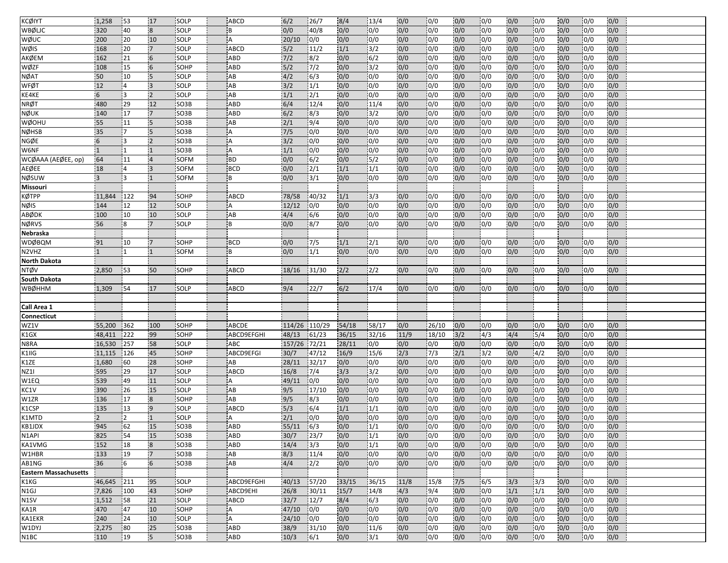| <b>KCØIYT</b>                | 1,258          | 53              | 17              | SOLP              | <b>ABCD</b>    | 6/2           | 26/7          | 8/4   | 13/4           | 0/0  | 0/0              | 0/0 | 0/0  | 0/0              | 0/0              | 0/0 | 0/0              | 0/0 |  |
|------------------------------|----------------|-----------------|-----------------|-------------------|----------------|---------------|---------------|-------|----------------|------|------------------|-----|------|------------------|------------------|-----|------------------|-----|--|
| <b>WBØLIC</b>                | 320            | 40              | $\overline{8}$  | SOLP              | B              | 0/0           | 40/8          | 0/0   | 0/0            | 0/0  | 0/0              | 0/0 | 0/0  | 0/0              | 0/0              | 0/0 | 0/0              | 0/0 |  |
| WØUC                         | 200            | 20              | 10              | SOLP              | $\overline{A}$ | 20/10         | 0/0           | 0/0   | 0/0            | 0/0  | 0/0              | 0/0 | 0/0  | 0/0              | 0/0              | 0/0 | 0/0              | 0/0 |  |
| WØIS                         | 168            | 20              | $\overline{7}$  | SOLP              | <b>ABCD</b>    | 5/2           | 11/2          | 1/1   | $\sqrt{3}/2$   | 0/0  | $\overline{0/0}$ | 0/0 | 0/0  | 0/0              | 0/0              | 0/0 | $\overline{0/0}$ | 0/0 |  |
| AKØEM                        | 162            | 21              | $6\overline{6}$ | SOLP              | ABD            | $\frac{7}{2}$ | 8/2           | 0/0   | 6/2            | 0/0  | 0/0              | 0/0 | 0/0  | 0/0              | 0/0              | 0/0 | 0/0              | 0/0 |  |
| WØZF                         | 108            | 15              | $6\phantom{a}$  | SOHP              | ABD            | 5/2           | 7/2           | 0/0   | $\frac{13}{2}$ | 0/0  | 0/0              | 0/0 | 0/0  | 0/0              | 0/0              | 0/0 | 0/0              | 0/0 |  |
| <b>NØAT</b>                  | 50             | 10              | 5               | SOLP              | AB             | 4/2           | 6/3           | 0/0   | 0/0            | 0/0  | $\overline{0/0}$ | 0/0 | 0/0  | 0/0              | 0/0              | 0/0 | 0/0              | 0/0 |  |
| <b>WFØT</b>                  | 12             | 14              | $\vert$ 3       | SOLP              | AB             | 3/2           | 1/1           | 0/0   | 0/0            | 0/0  | 0/0              | 0/0 | 0/0  | 0/0              | 0/0              | 0/0 | 0/0              | 0/0 |  |
| KE4KE                        | 6              | Ι3              | $\overline{2}$  | SOLP              | AB             | 1/1           | 2/1           | 0/0   | 0/0            | 0/0  | 0/0              | 0/0 | 0/0  | 0/0              | 0/0              | 0/0 | 0/0              | 0/0 |  |
| <b>NRØT</b>                  | 480            | 29              | 12              | SO <sub>3</sub> B | ABD            | 6/4           | 12/4          | 0/0   | 11/4           | 0/0  | $\overline{0/0}$ | 0/0 | 0/0  | $\overline{0/0}$ | 0/0              | 0/0 | 0/0              | 0/0 |  |
| <b>NØUK</b>                  | 140            | 17              | $\overline{7}$  | SO <sub>3</sub> B | ABD            | 6/2           | 8/3           | 0/0   | 3/2            | 0/0  | 0/0              | 0/0 | 0/0  | 0/0              | 0/0              | 0/0 | 0/0              | 0/0 |  |
| WØOHU                        | 55             | 11              | $\overline{5}$  | SO <sub>3</sub> B | AB             | 2/1           | 9/4           | 0/0   | 0/0            | 0/0  | 0/0              | 0/0 | 0/0  | 0/0              | 0/0              | 0/0 | 0/0              | 0/0 |  |
| <b>NØHSB</b>                 | 35             | 17              | 5               | SO3B              | A              | 7/5           | 0/0           | 0/0   | 0/0            | 0/0  | 0/0              | 0/0 | 0/0  | 0/0              | 0/0              | 0/0 | 0/0              | 0/0 |  |
| <b>NGØE</b>                  | 6              | 13              | $\overline{2}$  | <b>SO3B</b>       | A              | 3/2           | 0/0           | 0/0   | 0/0            | 0/0  | 0/0              | 0/0 | 0/0  | 0/0              | 0/0              | 0/0 | 0/0              | 0/0 |  |
| W6NF                         | $\mathbf{1}$   | $\mathbf{1}$    |                 | SO3B              | A              | 1/1           | 0/0           | 0/0   | 0/0            | 0/0  | 0/0              | 0/0 | 0/0  | 0/0              | 0/0              | 0/0 | 0/0              | 0/0 |  |
| WCØAAA (AEØEE, op)           | 64             | 11              |                 | SOFM              | <b>BD</b>      | 0/0           | 6/2           | 0/0   | 5/2            | 0/0  | 0/0              | 0/0 | 0/0  | 0/0              | $\overline{0/0}$ | 0/0 | 0/0              | 0/0 |  |
| AEØEE                        | 18             | $\vert 4 \vert$ | $\overline{3}$  | <b>SOFM</b>       | <b>BCD</b>     | 0/0           | 2/1           | 1/1   | 1/1            | 0/0  | 0/0              | 0/0 | 0/0  | 0/0              | 0/0              | 0/0 | 0/0              | 0/0 |  |
| <b>NØSUW</b>                 | 3              | 13              | $\overline{1}$  | SOFM              | B              | 0/0           | 3/1           | 0/0   | 0/0            | 0/0  | 0/0              | 0/0 | 0/0  | 0/0              | 0/0              | 0/0 | 0/0              | 0/0 |  |
| Missouri                     |                |                 |                 |                   |                |               |               |       |                |      |                  |     |      |                  |                  |     |                  |     |  |
| <b>KØTPP</b>                 | 11,844         | 122             | 94              | <b>SOHP</b>       | ABCD           | 78/58         | 40/32         | 1/1   | 3/3            | 0/0  | 0/0              | 0/0 | 0/0  | 0/0              | 0/0              | 0/0 | 0/0              | 0/0 |  |
| NØIS                         | 144            | 12              | 12              | SOLP              | A              | 12/12         | 0/0           | 0/0   | 0/0            | 0/0  | 0/0              | 0/0 | 0/0  | 0/0              | 0/0              | 0/0 | 0/0              | 0/0 |  |
| ABØDK                        | 100            | 10              | 10              | SOLP              | AB             | 4/4           | 6/6           | 0/0   | 0/0            | 0/0  | 0/0              | 0/0 | 0/0  | 0/0              | 0/0              | 0/0 | 0/0              | 0/0 |  |
| <b>NØRVS</b>                 | 56             | 8               | $\overline{7}$  | SOLP              | B              | 0/0           | 8/7           | 0/0   | 0/0            | 0/0  | 0/0              | 0/0 | 0/0  | 0/0              | 0/0              | 0/0 | 0/0              | 0/0 |  |
| Nebraska                     |                |                 |                 |                   |                |               |               |       |                |      |                  |     |      |                  |                  |     |                  |     |  |
| <b>WDØBQM</b>                | 91             | 10              | 17              | SOHP              | <b>BCD</b>     | 0/0           | 17/5          | 1/1   | 2/1            | 0/0  | 0/0              | 0/0 | 0/0  | 0/0              | 0/0              | 0/0 | 0/0              | 0/0 |  |
| N2VHZ                        | $\mathbf{1}$   | ۱1              |                 | <b>SOFM</b>       | B              | 0/0           | 1/1           | 0/0   | 0/0            | 0/0  | 0/0              | 0/0 | 0/0  | 0/0              | 0/0              | 0/0 | 0/0              | 0/0 |  |
| <b>North Dakota</b>          |                |                 |                 |                   |                |               |               |       |                |      |                  |     |      |                  |                  |     |                  |     |  |
| <b>NTØV</b>                  | 2,850          | 53              | 50              | SOHP              | ABCD           | 18/16         | 31/30         | 2/2   | 2/2            | 0/0  | 0/0              | 0/0 | 0/0  | 0/0              | 0/0              | 0/0 | 0/0              | 0/0 |  |
| South Dakota                 |                |                 |                 |                   |                |               |               |       |                |      |                  |     |      |                  |                  |     |                  |     |  |
| <b>WBØHHM</b>                | 1,309          | 54              | 17              | <b>SOLP</b>       | ABCD           | 9/4           | 122/7         | 6/2   | 17/4           | 0/0  | 0/0              | 0/0 | 10/0 | 0/0              | 10/0             | 0/0 | 0/0              | 0/0 |  |
|                              |                |                 |                 |                   |                |               |               |       |                |      |                  |     |      |                  |                  |     |                  |     |  |
| Call Area 1                  |                |                 |                 |                   |                |               |               |       |                |      |                  |     |      |                  |                  |     |                  |     |  |
| <b>Connecticut</b>           |                |                 |                 |                   |                |               |               |       |                |      |                  |     |      |                  |                  |     |                  |     |  |
| WZ1V                         | 55,200         | 362             | 100             | SOHP              | ABCDE          |               | 114/26 110/29 | 54/18 | 58/17          | 0/0  | 26/10            | 0/0 | 0/0  | 0/0              | 0/0              | 0/0 | 0/0              | 0/0 |  |
| K1GX                         | 48,411         | 222             | 99              | SOHP              | ABCD9EFGHI     | 48/13         | 61/23         | 36/15 | 32/16          | 11/9 | 18/10            | 3/2 | 4/3  | 4/4              | 5/4              | 0/0 | 0/0              | 0/0 |  |
| N8RA                         | 16,530         | 257             | 58              | SOLP              | ABC            | 157/26 72/21  |               | 28/11 | 0/0            | 0/0  | 0/0              | 0/0 | 0/0  | 0/0              | 0/0              | 0/0 | 0/0              | 0/0 |  |
| K1IIG                        | 11,115         | 126             | 45              | SOHP              | ABCD9EFGI      | 30/7          | 47/12         | 16/9  | 15/6           | 2/3  | 7/3              | 2/1 | 3/2  | 0/0              | $\sqrt{4/2}$     | 0/0 | 0/0              | 0/0 |  |
| K1ZE                         | 1,680          | 60              | 28              | SOHP              | AB             | 28/11         | 32/17         | 0/0   | 0/0            | 0/0  | 0/0              | 0/0 | 0/0  | 0/0              | 0/0              | 0/0 | 0/0              | 0/0 |  |
| <b>NZ11</b>                  | 595            | 29              | 17              | SOLP              | ABCD           | 16/8          | 7/4           | 3/3   | 3/2            | 0/0  | 0/0              | 0/0 | 0/0  | 0/0              | 0/0              | 0/0 | 0/0              | 0/0 |  |
| W1EQ                         | 539            | 49              | 11              | SOLP              | A              | 49/11         | 0/0           | 0/0   | 0/0            | 0/0  | 0/0              | 0/0 | 0/0  | 0/0              | 0/0              | 0/0 | 0/0              | 0/0 |  |
| KC1V                         | 390            | 26              | 15              | SOLP              | AB             | 9/5           | 17/10         | 0/0   | 0/0            | 0/0  | 0/0              | 0/0 | 0/0  | 0/0              | 0/0              | 0/0 | 0/0              | 0/0 |  |
| W1ZR                         | 136            | 17              | $\mathbf{8}$    | SOHP              | AB             | 9/5           | 8/3           | 0/0   | 0/0            | 0/0  | 0/0              | 0/0 | 0/0  | 0/0              | 0/0              | 0/0 | 0/0              | 0/0 |  |
| K1CSP                        | 135            | 13              | $\overline{9}$  | SOLP              | ABCD           | 5/3           | 6/4           | 1/1   | 1/1            | 0/0  | 0/0              | 0/0 | 0/0  | 0/0              | 0/0              | 0/0 | 0/0              | 0/0 |  |
| K1MTD                        | $\overline{2}$ | 2               | $\overline{1}$  | SOLP              | А              | 2/1           | 0/0           | 0/0   | 0/0            | 0/0  | 0/0              | 0/0 | 0/0  | 0/0              | 0/0              | 0/0 | 0/0              | 0/0 |  |
| KB1JDX                       | 945            | $\overline{62}$ | 15              | <b>SO3B</b>       | <b>ABD</b>     | 55/11         | 6/3           | 0/0   | 1/1            | 0/0  | 0/0              | 0/0 | 0/0  | 0/0              | $\overline{0/0}$ | 0/0 | 10/0             | 0/0 |  |
| N <sub>1</sub> API           | 825            | 54              | 15              | SO <sub>3</sub> B | <b>ABD</b>     | 30/7          | 23/7          | 0/0   | 1/1            | 0/0  | 0/0              | 0/0 | 0/0  | 0/0              | 0/0              | 0/0 | 0/0              | 0/0 |  |
| KA1VMG                       | 152            | 18              | $\overline{8}$  | SO <sub>3</sub> B | ABD            | 14/4          | $3/3$         | 0/0   | 1/1            | 0/0  | 0/0              | 0/0 | 0/0  | 0/0              | 0/0              | 0/0 | 0/0              | 0/0 |  |
| W1HBR                        | 133            | 19              | $\overline{7}$  | SO3B              | AB             | 8/3           | 11/4          | 0/0   | 0/0            | 0/0  | 0/0              | 0/0 | 0/0  | 0/0              | 0/0              | 0/0 | 0/0              | 0/0 |  |
| AB1NG                        | 36             | 6               | 6               | SO3B              | AB             | 4/4           | 2/2           | 0/0   | 0/0            | 0/0  | 0/0              | 0/0 | 0/0  | 0/0              | 0/0              | 0/0 | 0/0              | 0/0 |  |
| <b>Eastern Massachusetts</b> |                |                 |                 |                   |                |               |               |       |                |      |                  |     |      |                  |                  |     |                  |     |  |
| K1KG                         | 46,645         | $ 211$          | 95              | SOLP              | ABCD9EFGHI     | 40/13         | 57/20         | 33/15 | 36/15          | 11/8 | 15/8             | 7/5 | 6/5  | 3/3              | 3/3              | 0/0 | 0/0              | 0/0 |  |
| N <sub>1</sub> GJ            | 7,826          | 100             | 43              | SOHP              | ABCD9EHI       | 26/8          | 30/11         | 15/7  | 14/8           | 4/3  | 9/4              | 0/0 | 0/0  | 1/1              | $\overline{1/1}$ | 0/0 | 0/0              | 0/0 |  |
| N1SV                         | 1,512          | 58              | 21              | SOLP              | ABCD           | 32/7          | 12/7          | 8/4   | 6/3            | 0/0  | 0/0              | 0/0 | 0/0  | 0/0              | 0/0              | 0/0 | 0/0              | 0/0 |  |
| KA1R                         | 470            | 47              | 10              | SOHP              | Α              | 47/10         | 0/0           | 0/0   | 0/0            | 0/0  | 0/0              | 0/0 | 0/0  | 0/0              | 0/0              | 0/0 | 0/0              | 0/0 |  |
| <b>KA1EKR</b>                | 240            | 24              | 10              | SOLP              | A              | 24/10         |               | 0/0   | 0/0            | 0/0  | 0/0              | 0/0 | 0/0  | 0/0              | 0/0              | 0/0 | 0/0              | 0/0 |  |
| W1DYJ                        | 2,275          | 80              | 25              | SO <sub>3</sub> B | ABD            | 38/9          | 0/0<br>31/10  | 0/0   | 11/6           | 0/0  | 0/0              | 0/0 | 0/0  | 0/0              |                  | 0/0 | 0/0              | 0/0 |  |
| N1BC                         | 110            | 19              | $\overline{5}$  | SO <sub>3</sub> B | <b>ABD</b>     | 10/3          | 6/1           | 0/0   | 3/1            | 0/0  | 0/0              | 0/0 | 0/0  | 0/0              | 0/0<br>0/0       | 0/0 | 0/0              |     |  |
|                              |                |                 |                 |                   |                |               |               |       |                |      |                  |     |      |                  |                  |     |                  | 0/0 |  |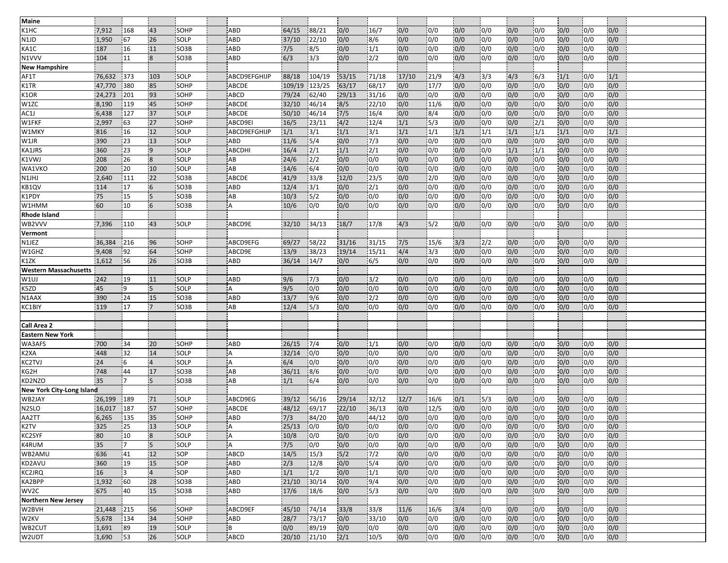| Maine                        |                 |              |                  |                   |                |                |                |              |                 |            |                          |            |             |            |                  |            |                         |            |  |
|------------------------------|-----------------|--------------|------------------|-------------------|----------------|----------------|----------------|--------------|-----------------|------------|--------------------------|------------|-------------|------------|------------------|------------|-------------------------|------------|--|
| K1HC                         | 7,912           | 168          | 43               | SOHP              | <b>ABD</b>     | 64/15          | 88/21          | 0/0          | 16/7            | 0/0        | 0/0                      | 0/0        | 0/0         | 0/0        | 0/0              | 0/0        | 0/0                     | 0/0        |  |
| N1JD                         | 1,950           | 67           | 26               | SOLP              | <b>ABD</b>     | 37/10          | 22/10          | 0/0          | 8/6             | 0/0        | 0/0                      | 0/0        | 0/0         | 0/0        | 0/0              | 0/0        | 0/0                     | 0/0        |  |
| KA1C                         | 187             | 16           | 11               | SO <sub>3</sub> B | ABD            | 7/5            | 8/5            | 0/0          | 1/1             | 0/0        | 0/0                      | 0/0        | 0/0         | 0/0        | 0/0              | 0/0        | 0/0                     | 0/0        |  |
| N1VVV                        | 104             | 11           | 8                | SO <sub>3</sub> B | ABD            | 6/3            | 3/3            | 0/0          | 2/2             | 0/0        | 0/0                      | 0/0        | 0/0         | 0/0        | 0/0              | 0/0        | 0/0                     | 0/0        |  |
| <b>New Hampshire</b>         |                 |              |                  |                   |                |                |                |              |                 |            |                          |            |             |            |                  |            |                         |            |  |
| AF1T                         | 76,632          | 373          | 103              | SOLP              | ABCD9EFGHIJP   | 88/18          | 104/19         | 53/15        | 71/18           | 17/10      | 21/9                     | 4/3        | $3/3$       | 4/3        | 6/3              | 1/1        | 0/0                     | 1/1        |  |
| K1TR                         | 47,770          | 380          | 85               | SOHP              | ABCDE          | 109/19         | 123/25         | 63/17        | 68/17           | 0/0        | 17/7                     | 0/0        | 0/0         | 0/0        | 0/0              | 0/0        | 0/0                     | 0/0        |  |
| K1OR                         | 24,273          | 201          | 93               | SOHP              | <b>ABCD</b>    | 79/24          | 62/40          | 29/13        | 31/16           | 0/0        | 0/0                      | 0/0        | 0/0         | 0/0        | 0/0              | 0/0        | 0/0                     | 0/0        |  |
| W1ZC                         | 8,190           | 119          | 45               | SOHP              | ABCDE          | 32/10          | 46/14          | 8/5          | 22/10           | 0/0        | 11/6                     | 0/0        | 0/0         | 0/0        | 0/0              | 0/0        | 0/0                     | 0/0        |  |
| AC1J                         | 6,438           | 127          | 37               | SOLP              | <b>ABCDE</b>   | 50/10          | 46/14          | 7/5          | 16/4            | 0/0        | 8/4                      | 0/0        | 0/0         | 0/0        | 0/0              | 0/0        | 0/0                     | 0/0        |  |
| W1FKF                        | 2,997           | 63           | 27               | SOHP              | ABCD9EI        | 16/5           | 23/11          | 4/2          | 12/4            | 1/1        | 5/3                      | 0/0        | 0/0         | 0/0        | $\overline{2/1}$ | 0/0        | 0/0                     | 0/0        |  |
| W1MKY                        | 816             | 16           | 12               | SOLP              | ABCD9EFGHIJP   | 1/1            | 3/1            | 1/1          | 3/1             | 1/1        | 1/1                      | 1/1        | 1/1         | 1/1        | 1/1              | 1/1        | 0/0                     | 1/1        |  |
| W1JR                         | 390             | 23           | 13               | SOLP              | ABD            | 11/6           | 15/4           | 0/0          | 7/3             | 0/0        | 0/0                      | 0/0        | 0/0         | 0/0        | 0/0              | 0/0        | 0/0                     | 0/0        |  |
| KA1JRS                       | 360             | 23           | 9                | SOLP              | <b>ABCDHI</b>  | 16/4           | 2/1            | 1/1          | 2/1             | 0/0        | 0/0                      | 0/0        | 0/0         | 1/1        | $\overline{1/1}$ | 0/0        | 0/0                     | 0/0        |  |
| K1VWJ                        | 208             | 26           | $\overline{8}$   | SOLP              | AB             | 24/6           | 2/2            | 0/0          | 0/0             | 0/0        | $\overline{0/0}$         | 0/0        | 0/0         | 0/0        | 0/0              | 0/0        | 0/0                     | 0/0        |  |
| WA1VKO                       | 200             | 20           | 10               | SOLP              | AB             | 14/6           | 6/4            | 0/0          | 0/0             | 0/0        | 0/0                      | 0/0        | 0/0         | 0/0        | 0/0              | 0/0        | 0/0                     | 0/0        |  |
| N1JHJ                        | 2,640           | 111          | 22               | SO <sub>3</sub> B | ABCDE          | 41/9           | 33/8           | 12/0         | 23/5            | 0/0        | 2/0                      | 0/0        | 0/0         | 0/0        | 0/0              | 0/0        | 0/0                     | 0/0        |  |
| KB1QV                        | 114             | 17           | 6                | SO <sub>3</sub> B | ABD            | 12/4           | 3/1            | 0/0          | 2/1             | 0/0        | 0/0                      | 0/0        | 0/0         | 0/0        | 0/0              | 0/0        | $\overline{0/0}$        | 0/0        |  |
| K1PDY                        | 75              | 15           | 5                | SO3B              | AB             | 10/3           | $\frac{15}{2}$ | 0/0          | 10/0            | 0/0        | 0/0                      | 0/0        | 0/0         | 0/0        | 0/0              | 0/0        | 0/0                     | 0/0        |  |
| W1HMM                        | 60              | 10           | 6                | SO <sub>3</sub> B | Α              | 10/6           | 0/0            | 0/0          | 0/0             | 0/0        | 0/0                      | 0/0        | 0/0         | 0/0        | 0/0              | 0/0        | 0/0                     | 0/0        |  |
| <b>Rhode Island</b>          |                 |              |                  |                   |                |                |                |              |                 |            |                          |            |             |            |                  |            |                         |            |  |
| WB2VVV                       | 7,396           | 110          | 43               | SOLP              | ABCD9E         | 32/10          | 34/13          | 18/7         | 17/8            | 4/3        | 5/2                      | 0/0        | 0/0         | 0/0        | 0/0              | 0/0        | 0/0                     | 0/0        |  |
| Vermont                      |                 |              |                  |                   |                |                |                |              |                 |            |                          |            |             |            |                  |            |                         |            |  |
| N1JEZ                        | 36,384          | 1216         | 96               | SOHP              | ABCD9EFG       | 69/27          | 58/22          | 31/16        | 131/15          | $7/5$      | 15/6                     | 3/3        | 12/2        | 0/0        | 0/0              | 0/0        | 10/0                    | 0/0        |  |
| W1GHZ                        | 9,408           | 92           | 64               | SOHP              | ABCD9E         | 13/9           | 38/23          | 19/14        | 15/11           | 4/4        | 3/3                      | 0/0        | 0/0         | 0/0        | 0/0              | 0/0        | 0/0                     | 0/0        |  |
| K1ZK                         | 1,612           | 56           | 26               | SO3B              | <b>ABD</b>     | 36/14          | 14/7           | 0/0          | 6/5             | 0/0        | 0/0                      | 0/0        | 0/0         | 0/0        | 0/0              | 0/0        | 0/0                     | 0/0        |  |
| <b>Western Massachusetts</b> |                 |              |                  |                   |                |                |                |              |                 |            |                          |            |             |            |                  |            |                         |            |  |
| W1UJ                         | 242             | 19           | 11               | SOLP              | <b>ABD</b>     | 9/6            | 7/3            | 0/0          | 3/2             | 0/0        | 0/0                      | 0/0        | 0/0         | 0/0        | 0/0              | 0/0        | 0/0                     | 0/0        |  |
| K5ZD                         | 45              | 19           | 5                | SOLP              |                | 9/5            | 0/0            | 0/0          | 0/0             | 0/0        | 0/0                      | 0/0        | 0/0         | 0/0        | 0/0              | 0/0        | 0/0                     | 0/0        |  |
| N1AAX                        | 390             | 24           | 15               | SO <sub>3</sub> B | <b>ABD</b>     | 13/7           | 9/6            | 0/0          | 2/2             | 0/0        | 0/0                      | 0/0        | 0/0         | 0/0        | 0/0              | 0/0        | 0/0                     | 0/0        |  |
| KC1BIY                       | 119             | 17           | '7               | SO <sub>3</sub> B | AB             | 12/4           | 5/3            | 0/0          | 0/0             | 0/0        | 0/0                      | 0/0        | 0/0         | 0/0        | 0/0              | 0/0        | 0/0                     | 0/0        |  |
|                              |                 |              |                  |                   |                |                |                |              |                 |            |                          |            |             |            |                  |            |                         |            |  |
| Call Area 2                  |                 |              |                  |                   |                |                |                |              |                 |            |                          |            |             |            |                  |            |                         |            |  |
| <b>Eastern New York</b>      |                 |              |                  |                   |                |                |                |              |                 |            |                          |            |             |            |                  |            |                         |            |  |
| WA3AFS                       | 700             | 34           | 20               | SOHP              | <b>ABD</b>     | 26/15          | 7/4            | 0/0          | 1/1             | 0/0        | 0/0                      | 0/0        | 0/0         | 0/0        | 0/0              | 0/0        | 0/0                     | 0/0        |  |
| K2XA                         | 448             | 32           | 14               | SOLP              | IA.            | 32/14          | 0/0            | 0/0          | 0/0             | 0/0        | 0/0                      | 0/0        | 0/0         | 0/0        | 0/0              | 0/0        | 0/0                     | 0/0        |  |
| KC2TVJ                       | 24              | 6            | $\overline{4}$   | SOLP              | l A            | 6/4            | 0/0            | 0/0          | 0/0             | 0/0        | 0/0                      | 0/0        | 0/0         | 0/0        | 0/0              | 0/0        | $\overline{0/0}$        | 0/0        |  |
| KG2H                         | 748             | 44           | 17               | SO <sub>3</sub> B | AB             | 36/11          | 8/6            | 0/0          | 0/0             | 0/0        | 0/0                      | 0/0        | 0/0         | 0/0        | 0/0              | 0/0        | 0/0                     | 0/0        |  |
| KD2NZO                       | 35              | $\mathbf{7}$ | 5                | SO3B              | AB             | 1/1            | 6/4            | 0/0          | 0/0             | 0/0        | 0/0                      | 0/0        | 0/0         | 0/0        | 0/0              | 0/0        | 0/0                     | 0/0        |  |
| New York City-Long Island    |                 |              |                  |                   | ABCD9EG        |                |                |              |                 |            |                          |            |             |            |                  |            |                         |            |  |
| WB2JAY                       | 26,199          | 189<br>187   | 71<br>57         | SOLP<br>SOHP      | <b>ABCDE</b>   | 39/12<br>48/12 | 56/16          | 29/14        | 32/12           | 12/7       | 16/6                     | 0/1        | 15/3<br>0/0 | 0/0        | 0/0              | 0/0<br>0/0 | 0/0                     | 0/0        |  |
| N <sub>2</sub> SLO<br>AA2TT  | 16,017<br>6,265 | 135          | 35               | SOHP              | <b>ABD</b>     | 7/3            | 69/17<br>84/20 | 22/10<br>0/0 | 36/13<br>144/12 | 0/0<br>0/0 | 12/5<br>$\overline{0/0}$ | 0/0<br>0/0 | 0/0         | 0/0<br>0/0 | 0/0<br>0/0       | 0/0        | 0/0<br>$\overline{0/0}$ | 0/0<br>0/0 |  |
| K2TV                         | 325             | 25           | 13               | SOLP              |                | 25/13          | 0/0            | 0/0          | 0/0             | 0/0        | 0/0                      | 0/0        | 0/0         | 0/0        | 0/0              | 0/0        | 0/0                     | 0/0        |  |
| KC2SYF                       | 80              | 10           | $\boldsymbol{8}$ | SOLP              | $\overline{A}$ | 10/8           | 0/0            | 0/0          | 0/0             | 0/0        | 0/0                      | 0/0        | 0/0         | 0/0        | 0/0              | 0/0        | 0/0                     | 0/0        |  |
| K4RUM                        | 35              | 17           | 5 <sup>5</sup>   | SOLP              | IA.            | 7/5            | 0/0            | 0/0          | 0/0             | 0/0        | 0/0                      | 0/0        | 0/0         | 0/0        | 0/0              | 0/0        | 0/0                     | 0/0        |  |
| WB2AMU                       | 636             | 41           | 12               | SOP               | <b>ABCD</b>    | 14/5           | 15/3           | 5/2          | 7/2             | 0/0        | 0/0                      | 0/0        | 0/0         | 0/0        | 0/0              | 0/0        | 0/0                     | 0/0        |  |
| KD2AVU                       | 360             | 19           | 15               | SOP               | <b>ABD</b>     | 2/3            | 12/8           | 0/0          | 5/4             | 0/0        | 0/0                      | 0/0        | 0/0         | 0/0        | 0/0              | 0/0        | 0/0                     | 0/0        |  |
| KC2JRQ                       | 16              | 3            | $\overline{4}$   | SOP               | <b>ABD</b>     | 1/1            | 1/2            | 0/0          | 1/1             | 0/0        | $\overline{0/0}$         | 0/0        | 0/0         | 0/0        | 0/0              | 0/0        | 0/0                     | 0/0        |  |
| KA2BPP                       | 1,932           | 60           | 28               | SO3B              | ABD            | 21/10          | 30/14          | 0/0          | 9/4             | 0/0        | 0/0                      | 0/0        | 0/0         | 0/0        | 0/0              | 0/0        | 0/0                     | 0/0        |  |
| WV <sub>2</sub> C            | 675             | 40           | 15               | SO3B              | <b>ABD</b>     | 17/6           | 18/6           | 0/0          | 5/3             | 0/0        | 0/0                      | 0/0        | 0/0         | 0/0        | 0/0              | 0/0        | 0/0                     | 0/0        |  |
| <b>Northern New Jersey</b>   |                 |              |                  |                   |                |                |                |              |                 |            |                          |            |             |            |                  |            |                         |            |  |
| W2BVH                        | 21,448          | 215          | 56               | SOHP              | ABCD9EF        | 45/10          | 74/14          | 33/8         | 33/8            | 11/6       | 16/6                     | 3/4        | 0/0         | 0/0        | 0/0              | 0/0        | 0/0                     | 0/0        |  |
| W2KV                         | 5,678           | 134          | 34               | SOHP              | <b>ABD</b>     | 28/7           | 73/17          | 0/0          | 33/10           | 0/0        | 0/0                      | 0/0        | 0/0         | 0/0        | $\overline{0/0}$ | 0/0        | 0/0                     | 0/0        |  |
| WB2CUT                       | 1,691           | 89           | 19               | SOLP              | İΒ             | 0/0            | 89/19          | 0/0          | 0/0             | 0/0        | 0/0                      | 0/0        | 0/0         | 0/0        | 0/0              | 0/0        | 0/0                     | 0/0        |  |
| W2UDT                        | 1,690           | 53           | 26               | SOLP              | <b>ABCD</b>    | 20/10          | 21/10          | 2/1          | 10/5            | 0/0        | 0/0                      | 0/0        | 0/0         | 0/0        | 0/0              | 0/0        | 0/0                     | 0/0        |  |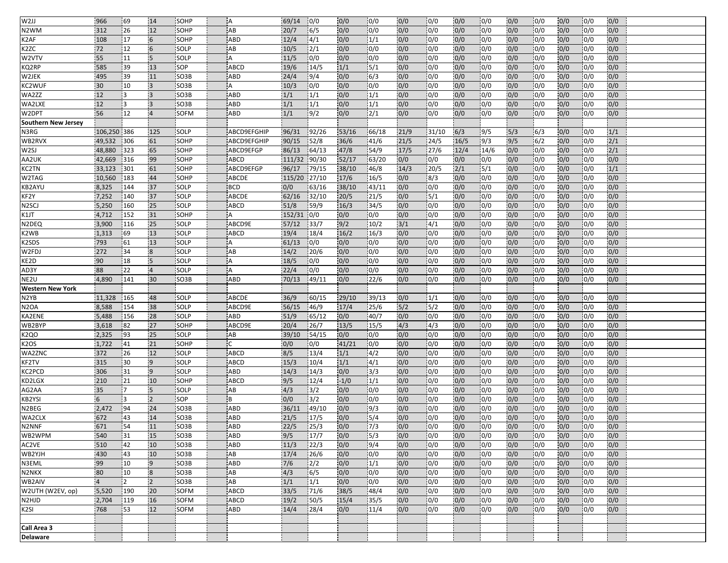| W <sub>2JJ</sub>               | 966            | 69       | 14                      | SOHP              | Α                  | 69/14        | 10/0           | 0/0           | 0/0              | 0/0        | 0/0              | 0/0        | 0/0                     | 0/0        | 0/0              | 0/0        | 0/0              | 0/0        |  |
|--------------------------------|----------------|----------|-------------------------|-------------------|--------------------|--------------|----------------|---------------|------------------|------------|------------------|------------|-------------------------|------------|------------------|------------|------------------|------------|--|
| N <sub>2</sub> W <sub>M</sub>  | 312            | 26       | 12                      | SOHP              | AB                 | 20/7         | 6/5            | 0/0           | 0/0              | 0/0        | 0/0              | 0/0        | 0/0                     | 0/0        | 0/0              | 0/0        | 0/0              | 0/0        |  |
| K2AF                           | 108            | 17       | $6\overline{6}$         | SOHP              | <b>ABD</b>         | 12/4         | 4/1            | 0/0           | 1/1              | 0/0        | 0/0              | 0/0        | 0/0                     | 0/0        | 0/0              | 0/0        | 0/0              | 0/0        |  |
| K <sub>2</sub> ZC              | 72             | 12       | $6\overline{6}$         | SOLP              | AB                 | 10/5         | 2/1            | 0/0           | 0/0              | 0/0        | $\overline{0/0}$ | 0/0        | 0/0                     | 0/0        | 0/0              | 0/0        | $\overline{0/0}$ | 0/0        |  |
| W2VTV                          | 55             | 11       | 5 <sup>5</sup>          | SOLP              | A                  | 11/5         | 0/0            | 0/0           | 0/0              | 0/0        | 0/0              | 0/0        | 0/0                     | 0/0        | 0/0              | 0/0        | 0/0              | 0/0        |  |
| KQ2RP                          | 585            | 39       | 13                      | SOP               | <b>ABCD</b>        | 19/6         | 14/5           | 1/1           | 15/1             | 0/0        | 0/0              | 0/0        | 0/0                     | 0/0        | 0/0              | 0/0        | 0/0              | 0/0        |  |
| W2JEK                          | 495            | 39       | 11                      | SO <sub>3</sub> B | <b>ABD</b>         | 24/4         | 9/4            | 0/0           | 6/3              | 0/0        | $\overline{0/0}$ | 0/0        | 0/0                     | 0/0        | 0/0              | 0/0        | 0/0              | 0/0        |  |
| KC2WUF                         | 30             | 10       | $\overline{3}$          | SO <sub>3</sub> B | A                  | 10/3         | 0/0            | 0/0           | 0/0              | 0/0        | 0/0              | 0/0        | 0/0                     | 0/0        | 0/0              | 0/0        | 0/0              | 0/0        |  |
| WA2ZZ                          | 12             | l3       | 3                       | SO <sub>3</sub> B | <b>ABD</b>         | 1/1          | 1/1            | 0/0           | 1/1              | 0/0        | 0/0              | 0/0        | 0/0                     | 0/0        | 0/0              | 0/0        | 0/0              | 0/0        |  |
| WA2LXE                         | 12             | із       |                         | SO3B              | ABD                | 1/1          | 1/1            | 0/0           | 1/1              | 0/0        | 0/0              | 0/0        | 0/0                     | 0/0        | 0/0              | 0/0        | 0/0              | 0/0        |  |
| W2DPT                          | 56             | 12       |                         | SOFM              | ABD                | 1/1          | 9/2            | 0/0           | 2/1              | 0/0        | 0/0              | 0/0        | 0/0                     | 0/0        | 0/0              | 0/0        | 0/0              | 0/0        |  |
| <b>Southern New Jersey</b>     |                |          |                         |                   |                    |              |                |               |                  |            |                  |            |                         |            |                  |            |                  |            |  |
| N3RG                           | 106,250 386    |          | 125                     | SOLP              | ABCD9EFGHIP        | 96/31        | 92/26          | 53/16         | 66/18            | 21/9       | 31/10            | 6/3        | 9/5                     | 5/3        | 6/3              | 0/0        | 0/0              | 1/1        |  |
| WB2RVX                         | 49,532         | 306      | 61                      | SOHP              | ABCD9EFGHIP        | 90/15        | 52/8           | 36/6          | 41/6             | 21/5       | 24/5             | 16/5       | 9/3                     | 9/5        | 6/2              | 0/0        | 0/0              | 2/1        |  |
| W <sub>2SJ</sub>               | 48,880         | 323      | 65                      | SOHP              | ABCD9EFGP          | 86/13        | 64/13          | 47/8          | 54/9             | 17/5       | 27/6             | 12/4       | 14/6                    | 0/0        | 0/0              | 0/0        | 0/0              | 2/1        |  |
| AA2UK                          | 42,669         | 316      | 99                      | SOHP              | ABCD               | 111/32       | 90/30          | 52/17         | 63/20            | 0/0        | 0/0              | 0/0        | 0/0                     | 0/0        | 0/0              | 0/0        | 0/0              | 0/0        |  |
| KC2TN                          | 33,123         | 301      | 61                      | SOHP              | ABCD9EFGP          | 96/17        | 79/15          | 38/10         | 46/8             | 14/3       | 20/5             | 2/1        | 15/1                    | 0/0        | 0/0              | 0/0        | 0/0              | 1/1        |  |
| W2TAG                          | 10,560         | 183      | 44                      | SOHP              | <b>ABCDE</b>       | 115/20 27/10 |                | 17/6          | 16/5             | 0/0        | 8/3              | 0/0        | 0/0                     | 0/0        | 0/0              | 0/0        | 0/0              | 0/0        |  |
| <b>KB2AYU</b>                  | 8,325          | 144      | 37                      | SOLP              | <b>BCD</b>         | 0/0          | 63/16          | 38/10         | 43/11            | 0/0        | $\overline{0/0}$ | 0/0        | 0/0                     | 0/0        | 0/0              | 0/0        | 0/0              | 0/0        |  |
| KF2Y                           | 7,252          | 140      | 37                      | <b>SOLP</b>       | ABCDE              | 62/16        | 32/10          | 20/5          | 21/5             | 0/0        | 15/1             | 0/0        | 10/0                    | 0/0        | 0/0              | 0/0        | 0/0              | 0/0        |  |
| N <sub>2</sub> SCJ             | 5,250          | 160      | 25                      | SOLP              | ABCD               | 51/8         | 59/9           | 16/3          | 34/5             | 0/0        | 0/0              | 0/0        | 0/0                     | 0/0        | 0/0              | 0/0        | 0/0              | 0/0        |  |
| K1JT                           | 4,712          | 152      | 31                      | SOHP              | $\overline{A}$     | 152/31       | 0/0            | 0/0           | 0/0              | 0/0        | 0/0              | 0/0        | 0/0                     | 0/0        | 0/0              | 0/0        | 0/0              | 0/0        |  |
| N2DEQ                          | 3,900          | 116      | 25                      | SOLP              | ABCD9E             | 57/12        | 33/7           | 9/2           | 10/2             | 3/1        | 4/1              | 0/0        | 0/0                     | 0/0        | 0/0              | 0/0        | 0/0              | 0/0        |  |
| K2WB                           | 1,313          | 69       | 13                      | SOLP              | ABCD               | 19/4         | 18/4           | 16/2          | 16/3             | 0/0        | 0/0              | 0/0        | 0/0                     | 0/0        | 0/0              | 0/0        | 0/0              | 0/0        |  |
| K2SDS                          | 793            | 61       | 13                      | <b>SOLP</b>       | $\overline{A}$     | 61/13        | 0/0            | 0/0           | 0/0              | 0/0        | $\overline{0/0}$ | 0/0        | 10/0                    | 0/0        | $\overline{0/0}$ | 0/0        | 10/0             | 0/0        |  |
| W2FDJ                          | 272            | 34       | $\overline{8}$          | SOLP              | AB                 | 14/2         | 20/6           | 0/0           | 0/0              | 0/0        | 0/0              | 0/0        | 0/0                     | 0/0        | 0/0              | 0/0        | 0/0              | 0/0        |  |
| KE2D                           | 90             | 18       | $5\phantom{.0}$         | SOLP              | A                  | 18/5         | 0/0            | 0/0           | 0/0              | 0/0        | 0/0              | 0/0        | 0/0                     | 0/0        | 0/0              | 0/0        | 0/0              | 0/0        |  |
| AD3Y                           | 88             | 22       | $\overline{4}$          | SOLP              | A                  | 22/4         | 0/0            | 0/0           | 0/0              | 0/0        | 0/0              | 0/0        | 0/0                     | 0/0        | 0/0              | 0/0        | 0/0              | 0/0        |  |
| NE <sub>2</sub> U              | 4,890          | 141      | 30                      | SO <sub>3</sub> B | ABD                | 70/13        | 49/11          | 0/0           | 22/6             | 0/0        | 0/0              | 0/0        | 0/0                     | 0/0        | 0/0              | 0/0        | 0/0              | 0/0        |  |
| <b>Western New York</b>        |                |          |                         |                   |                    |              |                |               |                  |            |                  |            |                         |            |                  |            |                  |            |  |
| N <sub>2</sub> YB              | 11,328         | 165      | 48                      | SOLP              | <b>ABCDE</b>       | 36/9         | 60/15          | 29/10         | 139/13           | 0/0        | 1/1              | 0/0        | 0/0                     | 0/0        | 0/0              | 0/0        | 0/0              | 0/0        |  |
| N <sub>2</sub> OA              | 8,588          | 154      | 38                      | SOLP              | ABCD9E             | 56/15        | 46/9           | 17/4          | 25/6             | $5/2$      | 5/2              | 0/0        | 0/0                     | 0/0        | 0/0              | 0/0        | 0/0              | 0/0        |  |
| KA2ENE                         | 5,488          | 156      | 28                      | SOLP              | ABD                | 51/9         | 65/12          | 0/0           | 40/7             | 0/0        | 0/0              | 0/0        | 0/0                     | 0/0        | 0/0              | 0/0        | 0/0              | 0/0        |  |
| WB2BYP                         | 3,618          | 82       | 27                      | SOHP              | ABCD9E             | 20/4         | 26/7           | 13/5          | 15/5             | 4/3        | $\overline{4/3}$ | 0/0        | $\overline{0/0}$        | 0/0        | 0/0              | 0/0        | 0/0              | 0/0        |  |
| <b>K2QO</b>                    | 2,325          | 93       | 25                      | SOLP              | AB                 | 39/10        | 54/15          | 0/0           | 0/0              | 0/0        | 0/0              | 0/0        | 0/0                     | 0/0        | 0/0              | 0/0        | 0/0              | 0/0        |  |
| K <sub>2</sub> OS              | 1,722<br>372   | 41<br>26 | 21<br>12                | SOHP<br>SOLP      | <b>ABCD</b>        | 0/0<br>8/5   | 0/0            | 41/21<br>1/1  | 0/0<br>4/2       | 0/0        | 0/0              | 0/0        | 0/0<br>$\overline{0/0}$ | 0/0<br>0/0 | 0/0              | 0/0<br>0/0 | 0/0              | 0/0<br>0/0 |  |
| WA2ZNC                         | 315            |          | $\overline{9}$          | SOLP              |                    | 15/3         | 13/4           | 1/1           | $\sqrt{4/1}$     | 0/0        | 0/0<br>0/0       | 0/0        |                         |            | 0/0              | 0/0        | 0/0              |            |  |
| KF2TV<br>KC2PCD                | 306            | 30<br>31 | $\overline{9}$          | SOLP              | <b>ABCD</b><br>ABD | 14/3         | 10/4<br>14/3   | 0/0           | 3/3              | 0/0<br>0/0 | 0/0              | 0/0<br>0/0 | 0/0<br>0/0              | 0/0<br>0/0 | 0/0<br>0/0       | 0/0        | 0/0<br>0/0       | 0/0<br>0/0 |  |
|                                | 210            | 21       |                         | SOHP              |                    |              |                |               | 1/1              | 0/0        |                  |            | $\overline{0/0}$        | 0/0        |                  |            |                  | 0/0        |  |
| KD2LGX<br>AG2AA                | 35             | 17       | 10<br>$\overline{5}$    | SOLP              | <b>ABCD</b><br>AB  | 9/5<br>4/3   | 12/4<br>3/2    | $-1/0$<br>0/0 | 0/0              | 0/0        | 0/0<br>0/0       | 0/0<br>0/0 | 0/0                     | 0/0        | 0/0<br> 0/0      | 0/0<br>0/0 | 0/0<br>0/0       | 0/0        |  |
| KB2YSI                         | 6              | l3       | $\overline{2}$          | SOP               | B                  | 0/0          | $\frac{13}{2}$ | 0/0           | 0/0              | 0/0        | 0/0              | 0/0        | 0/0                     | 0/0        | 0/0              | 0/0        | 0/0              | 0/0        |  |
| N2BEG                          | 2,472          | 194      | 24                      | SO3B              | <b>ABD</b>         | 36/11        | 49/10          | 0/0           | 9/3              | 0/0        | 0/0              | 0/0        | 0/0                     | 0/0        | 0/0              | 0/0        | 0/0              | 0/0        |  |
| WA2CLX                         | 672            | 43       | 14                      | SO3B              | ABD                | 21/5         | 17/5           | 0/0           | 5/4              | 0/0        | 0/0              | 0/0        | 0/0                     | 0/0        | 0/0              | 0/0        | 0/0              | 0/0        |  |
| N2NNF                          | 671            | 54       | 11                      | SO3B              | ABD                | 22/5         | 25/3           | 0/0           | 7/3              | 0/0        | 0/0              | 0/0        | 0/0                     | 0/0        | 0/0              | 0/0        | 0/0              | 0/0        |  |
| WB2WPM                         | 540            | 31       | 15                      | SO <sub>3</sub> B | <b>ABD</b>         | 9/5          | 17/7           | 0/0           | 5/3              | 0/0        | 0/0              | 0/0        | 0/0                     | 0/0        | 0/0              | 0/0        | 0/0              | 0/0        |  |
| AC2VE                          | 510            | 42       | 10                      | SO <sub>3</sub> B | <b>ABD</b>         | 11/3         | 22/3           | 0/0           | 9/4              | 0/0        | 0/0              | 0/0        | 0/0                     | 0/0        | 0/0              | 0/0        | 0/0              | 0/0        |  |
| WB2YJH                         | 430            | 43       | 10                      | SO3B              | AB                 | 17/4         | 26/6           | 0/0           | 0/0              | 0/0        | $\overline{0/0}$ | 0/0        | 0/0                     | 0/0        | 0/0              | 0/0        | 0/0              | 0/0        |  |
| N3EML                          | 99             | 10       | $\overline{9}$          | SO3B              | ABD                | 7/6          | $\frac{2}{2}$  | 0/0           | 1/1              | 0/0        | 0/0              | 0/0        | 0/0                     | 0/0        | 0/0              | 0/0        | 0/0              | 0/0        |  |
| N <sub>2NKX</sub>              | 80             | 10       | $\overline{\mathbf{8}}$ | SO <sub>3</sub> B | AB                 | 4/3          | 6/5            | 0/0           | 0/0              | 0/0        | $\overline{0/0}$ | 0/0        | 0/0                     | 0/0        | 0/0              | 0/0        | 0/0              | 0/0        |  |
| WB2AIV                         | $\overline{4}$ | 2        | $\overline{2}$          | SO <sub>3</sub> B | AB                 | 1/1          | 1/1            | 0/0           | $\overline{0/0}$ | 0/0        | $\overline{0/0}$ | 0/0        | 0/0                     | 0/0        | 0/0              | 0/0        | 0/0              | 0/0        |  |
| W2UTH (W2EV, op)               | 5,520          | 190      | 20                      | SOFM              | <b>ABCD</b>        | 33/5         | 71/6           | 38/5          | 148/4            | 0/0        | $\overline{0/0}$ | 0/0        | 0/0                     | 0/0        | 0/0              | 0/0        | 0/0              | 0/0        |  |
| N <sub>2</sub> HJ <sub>D</sub> | 2,704          | 119      | 16                      | <b>SOFM</b>       | ABCD               | 19/2         | 50/5           | 15/4          | 35/5             | 0/0        | $\overline{0/0}$ | 0/0        | 0/0                     | 0/0        | 0/0              | 0/0        | 0/0              | 0/0        |  |
| K <sub>2</sub> SI              | 768            | 53       | 12                      | SOFM              | ABD                | 14/4         | 28/4           | 0/0           | 11/4             | 0/0        | 0/0              | 0/0        | 0/0                     | 0/0        | 0/0              | 0/0        | 0/0              | 0/0        |  |
|                                |                |          |                         |                   |                    |              |                |               |                  |            |                  |            |                         |            |                  |            |                  |            |  |
|                                |                |          |                         |                   |                    |              |                |               |                  |            |                  |            |                         |            |                  |            |                  |            |  |
| Call Area 3                    |                |          |                         |                   |                    |              |                |               |                  |            |                  |            |                         |            |                  |            |                  |            |  |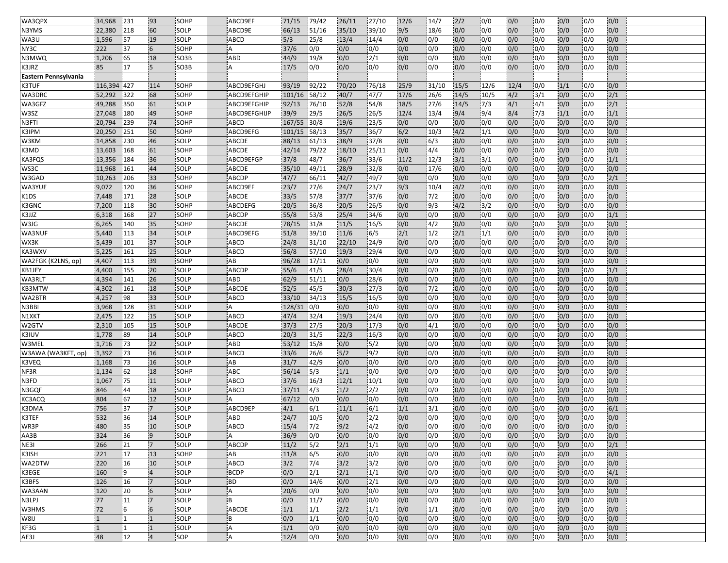| WA3QPX               | 34,968         | 231       | 193             | <b>SOHP</b>       | ABCD9EF              | 71/15        | 79/42        | 26/11        | 27/10            | 12/6       | 14/7       | 2/2        | 0/0        | 0/0        | 0/0        | 0/0        | 0/0              | 0/0        |  |
|----------------------|----------------|-----------|-----------------|-------------------|----------------------|--------------|--------------|--------------|------------------|------------|------------|------------|------------|------------|------------|------------|------------------|------------|--|
| N3YMS                | 22,380         | 218       | 60              | SOLP              | ABCD9E               | 66/13        | 51/16        | 35/10        | 39/10            | 9/5        | 18/6       | 0/0        | 0/0        | 0/0        | 0/0        | 0/0        | 0/0              | 0/0        |  |
| WA3U                 | 1,596          | 57        | 19              | SOLP              | <b>ABCD</b>          | 5/3          | 25/8         | 13/4         | 14/4             | 0/0        | 0/0        | 0/0        | 0/0        | 0/0        | 0/0        | 0/0        | 0/0              | 0/0        |  |
| NY3C                 | 222            | 37        | 6               | SOHP              | A                    | 37/6         | 0/0          | 0/0          | 0/0              | 0/0        | 0/0        | 0/0        | 0/0        | 0/0        | 0/0        | 0/0        | 0/0              | 0/0        |  |
| N3MWQ                | 1,206          | 65        | 18              | SO3B              | ABD                  | 44/9         | 19/8         | 0/0          | 2/1              | 0/0        | 0/0        | 0/0        | 0/0        | 0/0        | 0/0        | 0/0        | 0/0              | 0/0        |  |
| K3JRZ                | 85             | 17        | 5               | SO <sub>3</sub> B | Α                    | 17/5         | 0/0          | 0/0          | 0/0              | 0/0        | 0/0        | 0/0        | 0/0        | 0/0        | 0/0        | 0/0        | 0/0              | 0/0        |  |
| Eastern Pennsylvania |                |           |                 |                   |                      |              |              |              |                  |            |            |            |            |            |            |            |                  |            |  |
| <b>K3TUF</b>         | 116,394 427    |           | 114             | SOHP              | ABCD9EFGHJ           | 93/19        | 92/22        | 70/20        | 76/18            | 25/9       | 31/10      | 15/5       | 12/6       | 12/4       | 0/0        | 1/1        | 0/0              | 0/0        |  |
| WA3DRC               | 52,292         | 322       | 68              | SOHP              | ABCD9EFGHIP          | 101/16       | 58/12        | 40/7         | 147/7            | 17/6       | 26/6       | 14/5       | 10/5       | 4/2        | 3/1        | 0/0        | 0/0              | 2/1        |  |
| WA3GFZ               | 49,288         | 350       | 61              | SOLP              | ABCD9EFGHIP          | 92/13        | 76/10        | 52/8         | 54/8             | 18/5       | 27/6       | 14/5       | 7/3        | 4/1        | 4/1        | 0/0        | 0/0              | 2/1        |  |
| W3SZ                 | 27,048         | 180       | 49              | SOHP              | ABCD9EFGHIJP         | 39/9         | 29/5         | 26/5         | 26/5             | 12/4       | 13/4       | 9/4        | 9/4        | 8/4        | 7/3        | 1/1        | 0/0              | 1/1        |  |
| N3FTI                | 20,794         | 239       | 74              | SOHP              | <b>ABCD</b>          | 167/55 30/8  |              | 19/6         | 23/5             | 0/0        | 0/0        | 0/0        | 0/0        | 0/0        | 0/0        | 0/0        | 0/0              | 0/0        |  |
| K3IPM                | 20,250         | 251       | 50              | SOHP              | ABCD9EFG             | 101/15       | 58/13        | 35/7         | 36/7             | 6/2        | 10/3       | 4/2        | 1/1        | 0/0        | 0/0        | 0/0        | 0/0              | 0/0        |  |
| W3KM                 | 14,858         | 230       | 46              | SOLP              | <b>ABCDE</b>         | 88/13        | 61/13        | 38/9         | 37/8             | 0/0        | 6/3        | 0/0        | 0/0        | 0/0        | 0/0        | 0/0        | 0/0              | 0/0        |  |
| K3MD                 | 13,603         | 168       | 61              | SOHP              | <b>ABCDE</b>         | 42/14        | 79/22        | 18/10        | 25/11            | 0/0        | 4/4        | 0/0        | 0/0        | 0/0        | 0/0        | 0/0        | 0/0              | 0/0        |  |
| KA3FQS               | 13,356         | 184       | 36              | SOLP              | ABCD9EFGP            | 37/8         | 48/7         | 36/7         | 33/6             | 11/2       | 12/3       | 3/1        | 3/1        | 0/0        | 0/0        | 0/0        | 0/0              | 1/1        |  |
| WS3C                 | 11,968         | 161       | 44              | SOLP              | <b>ABCDE</b>         | 35/10        | 49/11        | 28/9         | 32/8             | 0/0        | 17/6       | 0/0        | 0/0        | 0/0        | 0/0        | 0/0        | 0/0              | 0/0        |  |
| W3GAD                | 10,263         | 206       | 33              | SOHP              | <b>ABCDP</b>         | 47/7         | 66/11        | 42/7         | 49/7             | 0/0        | 0/0        | 0/0        | 0/0        | 0/0        | 0/0        | 0/0        | 0/0              | 2/1        |  |
| WA3YUE               | 9,072          | 120       | 36              | SOHP              | ABCD9EF              | 23/7         | $27/6$       | 24/7         | 23/7             | 9/3        | 10/4       | 4/2        | 0/0        | 0/0        | 0/0        | 0/0        | $\overline{0/0}$ | 0/0        |  |
| K1DS                 | 7,448          | 171       | 28              | SOLP              | ABCDE                | 33/5         | 57/8         | 37/7         | 37/6             | 0/0        | $7/2$      | 0/0        | 0/0        | 0/0        | 0/0        | 0/0        | 0/0              | 0/0        |  |
| K3GNC                | 7,200          | 118       | 30              | SOHP              | ABCDEFG              | 20/5         | 36/8         | 20/5         | 26/5             | 0/0        | 9/3        | 4/2        | 3/2        | 0/0        | 0/0        | 0/0        | 0/0              | 0/0        |  |
| K3JJZ                | 6,318          | 168       | 27              | SOHP              | <b>ABCDP</b>         | 55/8         | 53/8         | 25/4         | 34/6             | 0/0        | 0/0        | 0/0        | 0/0        | 0/0        | 0/0        | 0/0        | 0/0              | 1/1        |  |
| W3JG                 | 6,265          | 140       | 35              | SOHP              | <b>ABCDE</b>         | 78/15        | 31/8         | 11/5         | 16/5             | 0/0        | 4/2        | 0/0        | 0/0        | 0/0        | 0/0        | 0/0        | 0/0              | 0/0        |  |
| WA3NUF               | 5,440          | 113       | 34              | SOLP              | ABCD9EFG             | 51/8         | 39/10        | 11/6         | 6/5              | 2/1        | 1/2        | 2/1        | 1/1        | 0/0        | 0/0        | 0/0        | 0/0              | 0/0        |  |
| WX3K                 | 5,439          | 101       | 37              | SOLP              | <b>ABCD</b>          | 24/8         | 31/10        | 22/10        | 24/9             | 0/0        | 0/0        | 0/0        | 0/0        | 0/0        | 0/0        | 0/0        | 0/0              | 0/0        |  |
| KA3WXV               | 5,225          | 161       | 25              | SOLP              | <b>ABCD</b>          | 56/8         | 57/10        | 19/3         | 29/4             | 0/0        | 0/0        | 0/0        | 0/0        | 0/0        | 0/0        | 0/0        | 0/0              | 0/0        |  |
| WA2FGK (K2LNS, op)   | 4,407          | 113       | 39              | SOHP              | AB                   | 96/28        | 17/11        | 0/0          | 0/0              | 0/0        | 0/0        | 0/0        | 0/0        | 0/0        | 0/0        | 0/0        | 0/0              | 0/0        |  |
| KB1JEY               | 4,400          | 155       | 20              | SOLP              | <b>ABCDP</b>         | 55/6         | 41/5         | 28/4         | 30/4             | 0/0        | 0/0        | 0/0        | 0/0        | 0/0        | 0/0        | 0/0        | 0/0              | 1/1        |  |
| WA3RLT               | 4,394          | 141       | 26              | SOLP              | ABD                  | 62/9         | 151/11       | 0/0          | 28/6             | 0/0        | 0/0        | 0/0        | 0/0        | 0/0        | 0/0        | 0/0        | 0/0              | 0/0        |  |
| KB3MTW               | 4,302          | 161       | 18              | SOLP              | <b>ABCDE</b>         | 52/5         | 145/5        | 30/3         | 127/3            | 0/0        | 7/2        | 0/0        | 0/0        | 0/0        | 0/0        | 0/0        | 0/0              | 0/0        |  |
| WA2BTR               | 4,257          | 98        | 33              | SOLP              | ABCD                 | 33/10        | 34/13        | 15/5         | 16/5             | 0/0        | 0/0        | 0/0        | 0/0        | 0/0        | 0/0        | 0/0        | 0/0              | 0/0        |  |
| N3BBI                | 3,968          | 128       | 31              | SOLP              | A                    | 128/31       | 0/0          | 0/0          | 0/0              | 0/0        | 0/0        | 0/0        | 0/0        | 0/0        | 0/0        | 0/0        | 0/0              | 0/0        |  |
| N1XKT                | 2,475          | 122       | 15<br>15        | SOLP<br>SOLP      | <b>ABCD</b>          | 47/4         | 32/4         | 19/3         | 24/4<br>17/3     | 0/0<br>0/0 | 0/0<br>4/1 | 0/0        | 0/0        | 0/0        | 0/0        | 0/0<br>0/0 | 0/0<br>0/0       | 0/0<br>0/0 |  |
| W2GTV<br>K3IUV       | 2,310<br>1,778 | 105<br>89 | 14              | SOLP              | ABCDE<br><b>ABCD</b> | 37/3<br>20/3 | 27/5<br>31/5 | 20/3<br>22/3 | 16/3             | 0/0        | 0/0        | 0/0<br>0/0 | 0/0<br>0/0 | 0/0<br>0/0 | 0/0<br>0/0 | 0/0        | 0/0              | 0/0        |  |
| W3MEL                | 1,716          | 73        | 22              | SOLP              | ABD                  | 53/12        | 15/8         | 0/0          | 5/2              | 0/0        | 0/0        | 0/0        | 0/0        | 0/0        | 0/0        | 0/0        | 0/0              | 0/0        |  |
| W3AWA (WA3KFT, op)   | 1,392          | 73        | 16              | SOLP              | <b>ABCD</b>          | 33/6         | 26/6         | 5/2          | 9/2              | 0/0        | 0/0        | 0/0        | 0/0        | 0/0        | 0/0        | 0/0        | 0/0              | 0/0        |  |
| K3VEQ                | 1,168          | 73        | 16              | SOLP              | AB                   | 31/7         | 42/9         | 0/0          | 0/0              | 0/0        | 0/0        | 0/0        | 0/0        | 0/0        | 0/0        | 0/0        | 0/0              | 0/0        |  |
| NF3R                 | 1,134          | 62        | 18              | SOHP              | ABC                  | 56/14        | 5/3          | 1/1          | 0/0              | 0/0        | 0/0        | 0/0        | 0/0        | 0/0        | 0/0        | 0/0        | 0/0              | 0/0        |  |
| N3FD                 | 1,067          | 75        | 11              | SOLP              | <b>ABCD</b>          | 37/6         | 16/3         | 12/1         | 10/1             | 0/0        | 0/0        | 0/0        | 0/0        | 0/0        | 0/0        | 0/0        | 0/0              | 0/0        |  |
| N3GQF                | 846            | 44        | 18              | SOLP              | <b>ABCD</b>          | 37/11        | 4/3          | 1/2          | 2/2              | 0/0        | 0/0        | 0/0        | 0/0        | 0/0        | 0/0        | 0/0        | 0/0              | 0/0        |  |
| KC3ACQ               | 804            | 67        | 12              | SOLP              | Α                    | 67/12        | 0/0          | 0/0          | 0/0              | 0/0        | 0/0        | 0/0        | 0/0        | 0/0        | 0/0        | 0/0        | 0/0              | 0/0        |  |
| K3DMA                | 756            | 37        | $\overline{7}$  | SOLP              | ABCD9EP              | 4/1          | 6/1          | 11/1         | 6/1              | 1/1        | 3/1        | 0/0        | 0/0        | 0/0        | 0/0        | 0/0        | 0/0              | 6/1        |  |
| K3TEF                | 532            | 36        | 14              | SOLP              | ABD                  | 24/7         | 10/5         | 0/0          | 2/2              | 0/0        | 0/0        | 0/0        | 0/0        | 0/0        | 0/0        | 0/0        | 0/0              | 0/0        |  |
| WR3P                 | 480            | 35        | 10              | SOLP              | <b>ABCD</b>          | 15/4         | 7/2          | 9/2          | 4/2              | 0/0        | 0/0        | 0/0        | 0/0        | 0/0        | 0/0        | 0/0        | 0/0              | 0/0        |  |
| AA3B                 | 324            | 36        | $\overline{9}$  | SOLP              | A                    | 36/9         | 0/0          | 0/0          | 0/0              | 0/0        | 0/0        | 0/0        | 0/0        | 0/0        | 0/0        | 0/0        | 0/0              | 0/0        |  |
| NE31                 | 266            | 21        | $\overline{7}$  | SOLP              | <b>ABCDP</b>         | 11/2         | 5/2          | 2/1          | 1/1              | 0/0        | 0/0        | 0/0        | 0/0        | 0/0        | 0/0        | 0/0        | 0/0              | 2/1        |  |
| K3ISH                | 221            | 17        | 13              | SOHP              | AB                   | 11/8         | 6/5          | 0/0          | $\overline{0/0}$ | 0/0        | 0/0        | 0/0        | 0/0        | 0/0        | 0/0        | 0/0        | 0/0              | 0/0        |  |
| WA2DTW               | 220            | 16        | 10              | SOLP              | ABCD                 | 3/2          | 7/4          | 3/2          | 3/2              | 0/0        | 0/0        | 0/0        | 0/0        | 0/0        | 0/0        | 0/0        | 0/0              | 0/0        |  |
| K3EGE                | 160            | 19        | $\overline{4}$  | SOLP              | <b>BCDP</b>          | 0/0          | 2/1          | 2/1          | 1/1              | 0/0        | 0/0        | 0/0        | 0/0        | 0/0        | 0/0        | 0/0        | 0/0              | 4/1        |  |
| K3BFS                | 126            | 16        | $\overline{7}$  | SOLP              | <b>BD</b>            | 0/0          | 14/6         | 0/0          | 2/1              | 0/0        | 0/0        | 0/0        | 0/0        | 0/0        | 0/0        | 0/0        | 0/0              | 0/0        |  |
| WA3AAN               | 120            | 20        | 6               | SOLP              | A                    | 20/6         | 0/0          | 0/0          | 0/0              | 0/0        | 0/0        | 0/0        | 0/0        | 0/0        | 0/0        | 0/0        | 0/0              | 0/0        |  |
| N3LPJ                | 77             | 11        | $\overline{7}$  | SOLP              | i B                  | 0/0          | 11/7         | 0/0          | 0/0              | 0/0        | 0/0        | 0/0        | 0/0        | 0/0        | 0/0        | 0/0        | 0/0              | 0/0        |  |
| W3HMS                | 72             | 6         | $6\overline{6}$ | SOLP              | ABCDE                | 1/1          | 1/1          | 2/2          | 1/1              | 0/0        | 1/1        | 0/0        | 0/0        | 0/0        | 0/0        | 0/0        | 0/0              | 0/0        |  |
| W8IJ                 | $\mathbf{1}$   |           |                 | SOLP              | B                    | 0/0          | 1/1          | 0/0          | 0/0              | 0/0        | 0/0        | 0/0        | 0/0        | 0/0        | 0/0        | 0/0        | 0/0              | 0/0        |  |
| KF3G                 | $\mathbf{1}$   | ۱1        | $\overline{1}$  | SOLP              | A                    | 1/1          | 0/0          | 0/0          | 0/0              | 0/0        | 0/0        | 0/0        | 0/0        | 0/0        | 0/0        | 0/0        | 0/0              | 0/0        |  |
| AE3J                 | 48             | 12        | $\overline{4}$  | SOP               | A                    | 12/4         | 0/0          | 0/0          | 0/0              | 0/0        | 0/0        | 0/0        | 0/0        | 0/0        | 0/0        | 0/0        | 0/0              | 0/0        |  |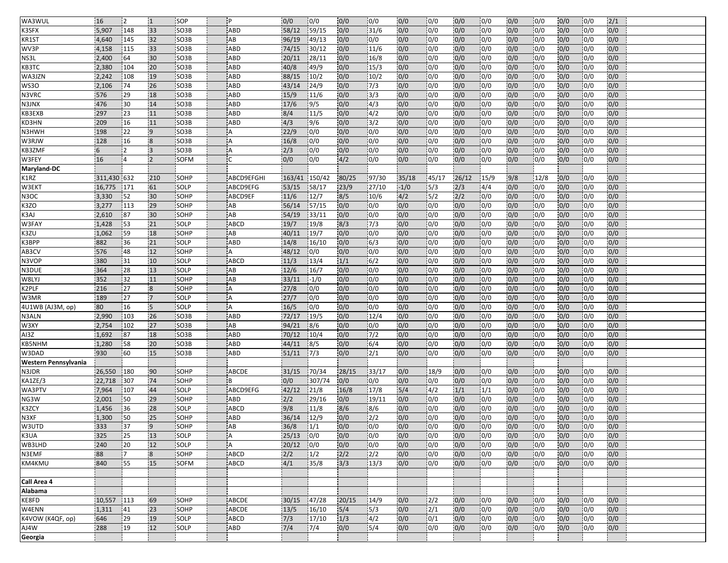| WA3WUL                    | 16             | 12              | $\mathbf{1}$            | SOP                       | P           | 0/0            | 0/0         | 0/0        | 0/0          | 0/0        | 0/0              | 0/0        | 0/0        | 0/0        | 0/0              | 0/0        | 0/0               | 2/1        |  |
|---------------------------|----------------|-----------------|-------------------------|---------------------------|-------------|----------------|-------------|------------|--------------|------------|------------------|------------|------------|------------|------------------|------------|-------------------|------------|--|
| K3SFX                     | 5,907          | 148             | 33                      | SO <sub>3</sub> B         | ABD         | 58/12          | 59/15       | 0/0        | 31/6         | 0/0        | 0/0              | 0/0        | 0/0        | 0/0        | 0/0              | 0/0        | 0/0               | 0/0        |  |
| KR1ST                     | 4,640          | 145             | 32                      | SO <sub>3</sub> B         | AB          | 96/19          | 49/13       | 0/0        | 0/0          | 0/0        | 0/0              | 0/0        | 0/0        | 0/0        | 0/0              | 0/0        | 0/0               | 0/0        |  |
| WV3P                      | 4,158          | 115             | 33                      | SO3B                      | ABD         | 74/15          | 30/12       | 0/0        | 11/6         | 0/0        | $\overline{0/0}$ | 0/0        | 0/0        | 0/0        | 0/0              | 0/0        | $\overline{0/0}$  | 0/0        |  |
| NS3L                      | 2,400          | 64              | 30                      | SO3B                      | ABD         | 20/11          | 28/11       | 0/0        | 16/8         | 0/0        | 0/0              | 0/0        | 0/0        | 0/0        | 0/0              | 0/0        | 0/0               | 0/0        |  |
| KB3TC                     | 2,380          | 104             | 20                      | SO3B                      | ABD         | 40/8           | 49/9        | 0/0        | 15/3         | 0/0        | 0/0              | 0/0        | 0/0        | 0/0        | 0/0              | 0/0        | 0/0               | 0/0        |  |
| WA3JZN                    | 2,242          | 108             | 19                      | SO <sub>3</sub> B         | ABD         | 88/15          | 10/2        | 0/0        | 10/2         | 0/0        | 0/0              | 0/0        | 0/0        | 0/0        | 0/0              | 0/0        | 0/0               | 0/0        |  |
| <b>WS30</b>               | 2,106          | 74              | 26                      | SO <sub>3</sub> B         | ABD         | 43/14          | 24/9        | 0/0        | 7/3          | 0/0        | 0/0              | 0/0        | 0/0        | 0/0        | 0/0              | 0/0        | 0/0               | 0/0        |  |
| N3VRC                     | 576            | 29              | 18                      | SO3B                      | ABD         | 15/9           | 11/6        | 0/0        | 3/3          | 0/0        | 0/0              | 0/0        | 0/0        | 0/0        | 0/0              | 0/0        | 0/0               | 0/0        |  |
| N3JNX                     | 476            | 30              | 14                      | SO3B                      | ABD         | 17/6           | 9/5         | 0/0        | 4/3          | 0/0        | 0/0              | 0/0        | 0/0        | 0/0        | 0/0              | 0/0        | 0/0               | 0/0        |  |
| KB3EXB                    | 297            | 23              | 11                      | SO <sub>3</sub> B         | ABD         | 8/4            | 11/5        | 0/0        | 4/2          | 0/0        | 0/0              | 0/0        | 0/0        | 0/0        | 0/0              | 0/0        | 0/0               | 0/0        |  |
| KD3HN                     | 209            | 16              | 11                      | SO <sub>3</sub> B         | ABD         | 4/3            | 9/6         | 0/0        | 3/2          | 0/0        | 0/0              | 0/0        | 0/0        | 0/0        | 0/0              | 0/0        | 0/0               | 0/0        |  |
| N3HWH                     | 198            | 22              | $\overline{9}$          | SO <sub>3</sub> B         | A           | 22/9           | 0/0         | 0/0        | 0/0          | 0/0        | 0/0              | 0/0        | 0/0        | 0/0        | 0/0              | 0/0        | 0/0               | 0/0        |  |
| W3RJW                     | 128            | 16              | $\overline{8}$          | <b>SO3B</b>               | A           | 16/8           | 0/0         | 0/0        | 0/0          | 0/0        | 0/0              | 0/0        | 0/0        | 0/0        | 0/0              | 0/0        | 0/0               | 0/0        |  |
| KB3ZMF                    | 6              | 2               | $\overline{3}$          | SO3B                      | А           | 2/3            | 0/0         | 0/0        | 0/0          | 0/0        | 0/0              | 0/0        | 0/0        | 0/0        | 0/0              | 0/0        | 0/0               | 0/0        |  |
| W3FEY                     | 16             | 4               |                         | SOFM                      |             | 0/0            | 0/0         | 4/2        | 0/0          | 0/0        | 0/0              | 0/0        | 0/0        | 0/0        | 0/0              | 0/0        | 0/0               | 0/0        |  |
| Maryland-DC               |                |                 |                         |                           |             |                |             |            |              |            |                  |            |            |            |                  |            |                   |            |  |
| K1RZ                      | 311,430 632    |                 | 210                     | SOHP                      | ABCD9EFGHI  | 163/41         | 150/42      | 80/25      | 97/30        | 35/18      | 45/17            | 26/12      | 15/9       | 9/8        | 12/8             | 0/0        | 0/0               | 0/0        |  |
| W3EKT                     | 16,775         | 171             | 61                      | SOLP                      | ABCD9EFG    | 53/15          | 58/17       | 23/9       | 27/10        | $-1/0$     | 5/3              | 2/3        | 4/4        | 0/0        | 0/0              | 0/0        | 0/0               | 0/0        |  |
| N3OC                      | 3,330          | 152             | 30                      | <b>ISOHP</b>              | ABCD9EF     | 11/6           | 12/7        | 8/5        | 10/6         | 4/2        | 5/2              | 2/2        | 0/0        | 0/0        | 0/0              | 0/0        | 0/0               | 0/0        |  |
| K3ZO                      | 3,277          | 113             | 29                      | SOHP                      | AB          | 56/14          | 57/15       | 0/0        | 0/0          | 0/0        | 0/0              | 0/0        | 0/0        | 0/0        | 0/0              | 0/0        | 0/0               | 0/0        |  |
| K3AJ                      | 2,610          | 87              | 30                      | SOHP                      | AB          | 54/19          | 33/11       | 0/0        | 0/0          | 0/0        | 0/0              | 0/0        | 0/0        | 0/0        | 0/0              | 0/0        | 0/0               | 0/0        |  |
| W3FAY                     | 1,428          | 53              | 21                      | SOLP                      | ABCD        | 19/7           | 19/8        | 8/3        | 7/3          | 0/0        | 0/0              | 0/0        | 0/0        | 0/0        | 0/0              | 0/0        | 0/0               | 0/0        |  |
| K3ZU                      | 1,062          | 59              | 18                      | SOHP                      | AB          | 40/11          | 19/7        | 0/0        | 0/0          | 0/0        | 0/0              | 0/0        | 0/0        | 0/0        | 0/0              | 0/0        | 0/0               | 0/0        |  |
| K3BPP                     | 882            | 36              | 21                      | <b>SOLP</b>               | ABD         | 14/8           | 16/10       | 0/0        | 6/3          | 0/0        | $\overline{0/0}$ | 0/0        | 0/0        | 0/0        | $\overline{0/0}$ | 0/0        | 0/0               | 0/0        |  |
| AB3CV                     | 576            | 48              | 12                      | SOHP                      | А           | 48/12          | 0/0         | 0/0        | 0/0          | 0/0        | 0/0              | 0/0        | 0/0        | 0/0        | 0/0              | 0/0        | 0/0               | 0/0        |  |
| N3VOP                     | 380            | 31              | 10                      | SOLP                      | ABCD        | 11/3           | 13/4        | 1/1        | 6/2          | 0/0        | 0/0              | 0/0        | 0/0        | 0/0        | 0/0              | 0/0        | 0/0               | 0/0        |  |
| N3DUE                     | 364            | 28              | 13                      | SOLP                      | AB          | 12/6           | 16/7        | 0/0        | 0/0          | 0/0        | 0/0              | 0/0        | 0/0        | 0/0        | 0/0              | 0/0        | 0/0               | 0/0        |  |
| W8LYJ                     | 352            | 32              | 11                      | SOHP                      | AB          | 33/11          | $-1/0$      | 0/0        | 0/0          | 0/0        | 0/0              | 0/0        | 0/0        | 0/0        | 0/0              | 0/0        | 0/0               | 0/0        |  |
| K2PLF                     | 216            | 27              | $\overline{8}$          | <b>SOHP</b>               | A           | 27/8           | 0/0         | 0/0        | 0/0          | 0/0        | 0/0              | 0/0        | 0/0        | 0/0        | 0/0              | 0/0        | 0/0               | 0/0        |  |
| W3MR                      | 189            | 27              | $\overline{7}$          | SOLP                      | A           | 27/7           | 0/0         | 0/0        | 0/0          | 0/0        | 0/0              | 0/0        | 0/0        | 0/0        | 0/0              | 0/0        | 0/0               | 0/0        |  |
| 4U1WB (AJ3M, op)<br>N3ALN | 80             | 16              | $\overline{\mathbf{5}}$ | SOLP                      | A           | 16/5           | 0/0         | 0/0        | 0/0          | 0/0        | 0/0<br>0/0       | 0/0        | 0/0        | 0/0        | 0/0              | 0/0        | 0/0               | 0/0        |  |
| W3XY                      | 2,990<br>2,754 | 103<br>102      | 26<br>27                | SO <sub>3</sub> B<br>SO3B | ABD<br>AB   | 72/17<br>94/21 | 19/5<br>8/6 | 0/0<br>0/0 | 12/4<br>0/0  | 0/0<br>0/0 | 0/0              | 0/0<br>0/0 | 0/0<br>0/0 | 0/0<br>0/0 | 0/0<br>0/0       | 0/0<br>0/0 | 0/0<br>0/0        | 0/0<br>0/0 |  |
| AI3Z                      | 1,692          | 87              | 18                      | SO3B                      | ABD         | 70/12          | 10/4        | 0/0        | 7/2          | 0/0        | 0/0              | 0/0        | 0/0        | 0/0        | 0/0              | 0/0        | 0/0               | 0/0        |  |
| <b>KB5NHM</b>             | 1,280          | 58              | 20                      | SO3B                      | ABD         | 44/11          | 8/5         | 0/0        | 6/4          | 0/0        | 0/0              | 0/0        | 0/0        | 0/0        | 0/0              | 0/0        | 0/0               | 0/0        |  |
| W3DAD                     | 930            | 60              | 15                      | SO3B                      | ABD         | 51/11          | 7/3         | 0/0        | 2/1          | 0/0        | 0/0              | 0/0        | 0/0        | 0/0        | 0/0              | 0/0        | 0/0               | 0/0        |  |
| Western Pennsylvania      |                |                 |                         |                           |             |                |             |            |              |            |                  |            |            |            |                  |            |                   |            |  |
| N3JDR                     | 26,550         | 180             | 90                      | <b>SOHP</b>               | ABCDE       | 31/15          | 70/34       | 28/15      | 33/17        | 0/0        | 18/9             | 0/0        | 0/0        | 0/0        | 0/0              | 0/0        | 0/0               | 0/0        |  |
| KA1ZE/3                   | 22,718         | 307             | 74                      | SOHP                      | B           | 0/0            | 307/74      | 0/0        | 0/0          | 0/0        | 0/0              | 0/0        | 0/0        | 0/0        | 0/0              | 0/0        | 0/0               | 0/0        |  |
| WA3PTV                    | 7,964          | 107             | 44                      | SOLP                      | ABCD9EFG    | 42/12          | 21/8        | 16/8       | 17/8         | 5/4        | 4/2              | 1/1        | 1/1        | 0/0        | 0/0              | 0/0        | 0/0               | 0/0        |  |
| NG3W                      | 2,001          | 50              | 29                      | SOHP                      | ABD         | 2/2            | 29/16       | 0/0        | 19/11        | 0/0        | 0/0              | 0/0        | 0/0        | 0/0        | 0/0              | 0/0        | 0/0               | 0/0        |  |
| K3ZCY                     | 1,456          | 36              | 28                      | SOLP                      | <b>ABCD</b> | 9/8            | 11/8        | 8/6        | 8/6          | 0/0        | 0/0              | 0/0        | 0/0        | 0/0        | 0/0              | 0/0        | 0/0               | 0/0        |  |
| N3XF                      | 1,300          | 50              | 25                      | SOHP                      | ABD         | 36/14          | 12/9        | 0/0        | 2/2          | 0/0        | 0/0              | 0/0        | 0/0        | 0/0        | 0/0              | 0/0        | 0/0               | 0/0        |  |
| W3UTD                     | 333            | $\overline{37}$ | $\overline{9}$          | <b>SOHP</b>               | AB          | 36/8           | 1/1         | 0/0        | 0/0          | 0/0        | $\overline{0/0}$ | 0/0        | 0/0        | 0/0        | 0/0              | 0/0        | $\overline{10/0}$ | 0/0        |  |
| K3UA                      | 325            | 25              | 13                      | SOLP                      | A           | 25/13          | 0/0         | 0/0        | 0/0          | 0/0        | 0/0              | 0/0        | 0/0        | 0/0        | 0/0              | 0/0        | 0/0               | 0/0        |  |
| WB3LHD                    | 240            | 20              | $12$                    | SOLP                      | A           | 20/12          | 0/0         | 0/0        | 0/0          | 0/0        | 0/0              | 0/0        | 0/0        | 0/0        | 0/0              | 0/0        | 0/0               | 0/0        |  |
| N3EMF                     | 88             | 17              | $\overline{\mathbf{8}}$ | SOHP                      | <b>ABCD</b> | 2/2            | 1/2         | 2/2        | $\sqrt{2}/2$ | 0/0        | 0/0              | 0/0        | 0/0        | 0/0        | 0/0              | 0/0        | 0/0               | 0/0        |  |
| KM4KMU                    | 840            | 55              | 15                      | SOFM                      | ABCD        | 4/1            | 35/8        | 3/3        | 13/3         | 0/0        | 0/0              | 0/0        | 0/0        | 0/0        | 0/0              | 0/0        | 0/0               | 0/0        |  |
|                           |                |                 |                         |                           |             |                |             |            |              |            |                  |            |            |            |                  |            |                   |            |  |
| Call Area 4               |                |                 |                         |                           |             |                |             |            |              |            |                  |            |            |            |                  |            |                   |            |  |
| Alabama                   |                |                 |                         |                           |             |                |             |            |              |            |                  |            |            |            |                  |            |                   |            |  |
| KE8FD                     | 10,557         | 113             | 69                      | SOHP                      | ABCDE       | 30/15          | 47/28       | 20/15      | 14/9         | 0/0        | 2/2              | 0/0        | 0/0        | 0/0        | 0/0              | 0/0        | 0/0               | 0/0        |  |
| W4ENN                     | 1,311          | 41              | 23                      | SOHP                      | ABCDE       | 13/5           | 16/10       | 5/4        | 5/3          | 0/0        | 2/1              | 0/0        | 0/0        | 0/0        | 0/0              | 0/0        | 0/0               | 0/0        |  |
| K4VOW (K4QF, op)          | 646            | 29              | 19                      | SOLP                      | ABCD        | 7/3            | 17/10       | 1/3        | 4/2          | 0/0        | 0/1              | 0/0        | 0/0        | 0/0        | 0/0              | 0/0        | 0/0               | 0/0        |  |
| AJ4W                      | 288            | 19              | 12                      | SOLP                      | <b>ABD</b>  | 7/4            | 7/4         | 0/0        | 15/4         | 0/0        | 0/0              | 0/0        | 0/0        | 0/0        | 0/0              | 0/0        | 0/0               | 0/0        |  |
| Georgia                   |                |                 |                         |                           |             |                |             |            |              |            |                  |            |            |            |                  |            |                   |            |  |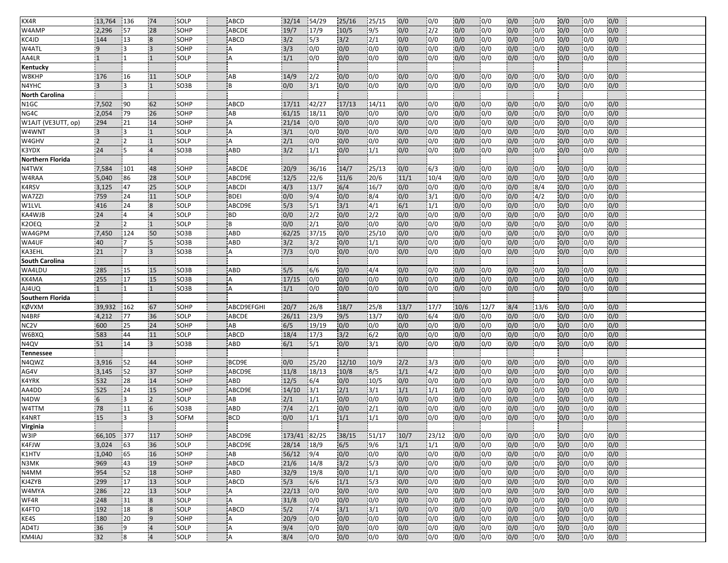| KX4R                  | 13,764         | 136            | 74                      | SOLP              | <b>ABCD</b>    | 32/14        | 154/29        | 25/16 | 25/15            | 0/0  | 0/0              | 0/0  | 0/0  | 0/0 | 0/0          | 0/0 | 10/0 | 0/0 |  |
|-----------------------|----------------|----------------|-------------------------|-------------------|----------------|--------------|---------------|-------|------------------|------|------------------|------|------|-----|--------------|-----|------|-----|--|
| W4AMP                 | 2.296          | 57             | 28                      | SOHP              | <b>ABCDE</b>   | 19/7         | 17/9          | 10/5  | 9/5              | 0/0  | 2/2              | 0/0  | 0/0  | 0/0 | 0/0          | 0/0 | 0/0  | 0/0 |  |
| KC4JD                 | 144            | 13             | $\overline{\mathbf{8}}$ | SOHP              | ABCD           | 3/2          | 5/3           | 3/2   | 2/1              | 0/0  | 0/0              | 0/0  | 0/0  | 0/0 | 0/0          | 0/0 | 0/0  | 0/0 |  |
| W4ATL                 | 9              | Ι3             | $\overline{3}$          | SOHP              | А              | 3/3          | 0/0           | 0/0   | 0/0              | 0/0  | 0/0              | 0/0  | 0/0  | 0/0 | 0/0          | 0/0 | 0/0  | 0/0 |  |
| AA4LR                 | $\mathbf{1}$   |                |                         | SOLP              | A              | 1/1          | 0/0           | 0/0   | 0/0              | 0/0  | 0/0              | 0/0  | 0/0  | 0/0 | 0/0          | 0/0 | 0/0  | 0/0 |  |
| Kentucky              |                |                |                         |                   |                |              |               |       |                  |      |                  |      |      |     |              |     |      |     |  |
| W8KHP                 | 176            | 16             | 11                      | SOLP              | AB             | 14/9         | 2/2           | 0/0   | 0/0              | 0/0  | 0/0              | 0/0  | 0/0  | 0/0 | 0/0          | 0/0 | 0/0  | 0/0 |  |
| N4YHC                 | 3              | 13             | $\vert$ 1               | SO <sub>3</sub> B | B              | 0/0          | 3/1           | 0/0   | 0/0              | 0/0  | 0/0              | 0/0  | 0/0  | 0/0 | 0/0          | 0/0 | 0/0  | 0/0 |  |
| <b>North Carolina</b> |                |                |                         |                   |                |              |               |       |                  |      |                  |      |      |     |              |     |      |     |  |
| N1GC                  | 7,502          | 90             | 62                      | SOHP              | <b>ABCD</b>    | 17/11        | 142/27        | 17/13 | 14/11            | 0/0  | 0/0              | 0/0  | 0/0  | 0/0 | 0/0          | 0/0 | 0/0  | 0/0 |  |
| NG <sub>4C</sub>      | 2,054          | 79             | 26                      | SOHP              | AB             | 61/15        | 18/11         | 0/0   | 0/0              | 0/0  | 0/0              | 0/0  | 0/0  | 0/0 | 0/0          | 0/0 | 0/0  | 0/0 |  |
| W1AJT (VE3UTT, op)    | 294            | 21             | 14                      | SOHP              | Α              | 21/14        | 0/0           | 0/0   | 0/0              | 0/0  | 0/0              | 0/0  | 0/0  | 0/0 | 0/0          | 0/0 | 0/0  | 0/0 |  |
| W4WNT                 | $\overline{3}$ | $\overline{3}$ | $\overline{1}$          | <b>SOLP</b>       | A              | 3/1          | 0/0           | 0/0   | 0/0              | 0/0  | 0/0              | 0/0  | 0/0  | 0/0 | 0/0          | 0/0 | 0/0  | 0/0 |  |
| W4GHV                 | $\overline{2}$ | 12             | $\overline{1}$          | SOLP              | A              | 2/1          | 0/0           | 0/0   | 0/0              | 0/0  | 0/0              | 0/0  | 0/0  | 0/0 | 0/0          | 0/0 | 0/0  | 0/0 |  |
| K3YDX                 | 24             | 5              | $\overline{4}$          | SO3B              | ABD            | 3/2          | 1/1           | 0/0   | 1/1              | 0/0  | 0/0              | 0/0  | 0/0  | 0/0 | 0/0          | 0/0 | 0/0  | 0/0 |  |
| Northern Florida      |                |                |                         |                   |                |              |               |       |                  |      |                  |      |      |     |              |     |      |     |  |
| N4TWX                 | 7,584          | 101            | 48                      | SOHP              | ABCDE          | 20/9         | 36/16         | 14/7  | 25/13            | 0/0  | 6/3              | 0/0  | 0/0  | 0/0 | 0/0          | 0/0 | 0/0  | 0/0 |  |
| W4RAA                 | 5,040          | 86             | 28                      | SOLP              | ABCD9E         | 12/5         | 22/6          | 11/6  | 20/6             | 11/1 | 10/4             | 0/0  | 0/0  | 0/0 | 0/0          | 0/0 | 0/0  | 0/0 |  |
| K4RSV                 | 3,125          | 47             | 25                      | SOLP              | <b>ABCDI</b>   | 4/3          | 13/7          | 6/4   | 16/7             | 0/0  | 0/0              | 0/0  | 0/0  | 0/0 | $\sqrt{8/4}$ | 0/0 | 0/0  | 0/0 |  |
| WA7ZZI                | 759            | 124            | 11                      | <b>SOLP</b>       | <b>BDEI</b>    | 0/0          | 9/4           | 0/0   | 8/4              | 0/0  | 3/1              | 0/0  | 0/0  | 0/0 | 4/2          | 0/0 | 0/0  | 0/0 |  |
| W1LVL                 | 416            | 24             | $\overline{8}$          | SOLP              | ABCD9E         | 5/3          | 5/1           | 3/1   | 4/1              | 6/1  | 1/1              | 0/0  | 0/0  | 0/0 | 0/0          | 0/0 | 0/0  | 0/0 |  |
| KA4WJB                | 24             | $\overline{4}$ | $\overline{4}$          | SOLP              | <b>BD</b>      | 0/0          | $\frac{2}{2}$ | 0/0   | 2/2              | 0/0  | 0/0              | 0/0  | 0/0  | 0/0 | 0/0          | 0/0 | 0/0  | 0/0 |  |
| K2OEQ                 | $\overline{2}$ | 12             | $\overline{1}$          | SOLP              | B              | 0/0          | 2/1           | 0/0   | 0/0              | 0/0  | 0/0              | 0/0  | 0/0  | 0/0 | 0/0          | 0/0 | 0/0  | 0/0 |  |
| WA4GPM                | 7,450          | 124            | 50                      | SO <sub>3</sub> B | ABD            | 62/25        | 37/15         | 0/0   | 25/10            | 0/0  | 0/0              | 0/0  | 0/0  | 0/0 | 0/0          | 0/0 | 0/0  | 0/0 |  |
| WA4UF                 | 40             | 17             | 5                       | SO3B              | ABD            | 3/2          | 3/2           | 0/0   | 1/1              | 0/0  | 0/0              | 0/0  | 0/0  | 0/0 | 0/0          | 0/0 | 0/0  | 0/0 |  |
| KA3EHL                | 21             | 17             | $\overline{3}$          | SO3B              | А              | 7/3          | 0/0           | 0/0   | 0/0              | 0/0  | 0/0              | 0/0  | 0/0  | 0/0 | 0/0          | 0/0 | 0/0  | 0/0 |  |
| South Carolina        |                |                |                         |                   |                |              |               |       |                  |      |                  |      |      |     |              |     |      |     |  |
| WA4LDU                | 285            | 15             | 15                      | SO3B              | ABD            | 5/5          | 6/6           | 0/0   | 4/4              | 0/0  | 0/0              | 0/0  | 0/0  | 0/0 | 0/0          | 0/0 | 0/0  | 0/0 |  |
| KK4MA                 | 255            | 17             | 15                      | SO3B              | А              | 17/15        | 0/0           | 0/0   | 0/0              | 0/0  | 0/0              | 0/0  | 0/0  | 0/0 | 0/0          | 0/0 | 0/0  | 0/0 |  |
| AJ4UQ                 | $\mathbf{1}$   | $\mathbf{1}$   | $\overline{1}$          | <b>SO3B</b>       | A              | 1/1          | 0/0           | 0/0   | 0/0              | 0/0  | 0/0              | 0/0  | 0/0  | 0/0 | 0/0          | 0/0 | 0/0  | 0/0 |  |
| Southern Florida      |                |                |                         |                   |                |              |               |       |                  |      |                  |      |      |     |              |     |      |     |  |
| KØVXM                 | 39,932         | 162            | 67                      | SOHP              | ABCD9EFGHI     | 20/7         | 26/8          | 18/7  | 25/8             | 13/7 | 17/7             | 10/6 | 12/7 | 8/4 | 13/6         | 0/0 | 0/0  | 0/0 |  |
| N4BRF                 | 4,212          | 77             | 36                      | SOLP              | ABCDE          | 26/11        | 23/9          | 9/5   | 13/7             | 0/0  | 6/4              | 0/0  | 0/0  | 0/0 | 0/0          | 0/0 | 0/0  | 0/0 |  |
| NC <sub>2V</sub>      | 600            | 25             | 24                      | SOHP              | AB             | 6/5          | 19/19         | 0/0   | 0/0              | 0/0  | 0/0              | 0/0  | 0/0  | 0/0 | 0/0          | 0/0 | 0/0  | 0/0 |  |
| W6BXQ                 | 583            | 44             | 11                      | SOLP              | ABCD           | 18/4         | 17/3          | 3/2   | 6/2              | 0/0  | 0/0              | 0/0  | 0/0  | 0/0 | 0/0          | 0/0 | 0/0  | 0/0 |  |
| N <sub>4QV</sub>      | 51             | 14             | $\overline{3}$          | SO3B              | ABD            | 6/1          | 5/1           | 0/0   | 3/1              | 0/0  | 0/0              | 0/0  | 0/0  | 0/0 | 0/0          | 0/0 | 0/0  | 0/0 |  |
| Tennessee             |                |                |                         |                   |                |              |               |       |                  |      |                  |      |      |     |              |     |      |     |  |
| N4QWZ                 | 3,916          | 52             | 44                      | SOHP              | BCD9E          | 0/0          | 25/20         | 12/10 | 10/9             | 2/2  | 3/3              | 0/0  | 0/0  | 0/0 | 0/0          | 0/0 | 0/0  | 0/0 |  |
| AG4V                  | 3,145          | 52             | 37                      | SOHP              | ABCD9E         | 11/8         | 18/13         | 10/8  | 8/5              | 1/1  | 4/2              | 0/0  | 0/0  | 0/0 | 0/0          | 0/0 | 0/0  | 0/0 |  |
| K4YRK                 | 532            | 28             | 14                      | SOHP              | ABD            | 12/5         | 6/4           | 0/0   | 10/5             | 0/0  | 0/0              | 0/0  | 0/0  | 0/0 | 0/0          | 0/0 | 0/0  | 0/0 |  |
| AA4DD                 | 525            | 24             | 15                      | SOHP              | ABCD9E         | 14/10        | 3/1           | 2/1   | 3/1              | 1/1  | 1/1              | 0/0  | 0/0  | 0/0 | 0/0          | 0/0 | 0/0  | 0/0 |  |
| N <sub>4</sub> DW     | 6              | l 3            | $\overline{2}$          | SOLP              | AB             | 2/1          | 1/1           | 0/0   | 0/0              | 0/0  | 0/0              | 0/0  | 0/0  | 0/0 | 0/0          | 0/0 | 0/0  | 0/0 |  |
| W4TTM                 | 78             | 11             | 6                       | SO3B              | ABD            | $7/4$        | 2/1           | 0/0   | 2/1              | 0/0  | 0/0              | 0/0  | 0/0  | 0/0 | 0/0          | 0/0 | 0/0  | 0/0 |  |
| K4NRT                 | 15             | l 3            | $\overline{3}$          | SOFM              | <b>BCD</b>     | 0/0          | 1/1           | 1/1   | 1/1              | 0/0  | 0/0              | 0/0  | 0/0  | 0/0 | 0/0          | 0/0 | 0/0  | 0/0 |  |
| <b>Virginia</b>       |                |                |                         |                   |                |              |               |       |                  |      |                  |      |      |     |              |     |      |     |  |
| W3IP                  | 66,105         | 377            | 117                     | SOHP              | ABCD9E         | 173/41 82/25 |               | 38/15 | 51/17            | 10/7 | 23/12            | 0/0  | 0/0  | 0/0 | 0/0          | 0/0 | 0/0  | 0/0 |  |
| K4FJW                 | 3,024          | 63             | 36                      | SOLP              | ABCD9E         | 28/14        | 18/9          | 6/5   | 9/6              | 1/1  | 1/1              | 0/0  | 0/0  | 0/0 | 0/0          | 0/0 | 0/0  | 0/0 |  |
| K1HTV                 | 1,040          | 65             | 16                      | SOHP              | AB             | 56/12        | 9/4           | 0/0   | 0/0              | 0/0  | 0/0              | 0/0  | 0/0  | 0/0 | 0/0          | 0/0 | 0/0  | 0/0 |  |
| N3MK                  | 969            | 43             | 19                      | SOHP              | ABCD           | 21/6         | 14/8          | 3/2   | 15/3             | 0/0  | 0/0              | 0/0  | 0/0  | 0/0 | 0/0          | 0/0 | 0/0  | 0/0 |  |
| N4MM                  | 954            | 52             | 18                      | SOHP              | ABD            | 32/9         | 19/8          | 0/0   | 1/1              | 0/0  | 0/0              | 0/0  | 0/0  | 0/0 | 0/0          | 0/0 | 0/0  | 0/0 |  |
| KJ4ZYB                | 299            | 17             | 13                      | SOLP              | ABCD           | 5/3          | 6/6           | 1/1   | 5/3              | 0/0  | $\overline{0/0}$ | 0/0  | 0/0  | 0/0 | 0/0          | 0/0 | 0/0  | 0/0 |  |
| W4MYA                 | 286            | 22             | 13                      | SOLP              | A              | 22/13        | 0/0           | 0/0   | 0/0              | 0/0  | 0/0              | 0/0  | 0/0  | 0/0 | 0/0          | 0/0 | 0/0  | 0/0 |  |
| WF4R                  | 248            | 31             | $\overline{8}$          | SOLP              | $\overline{A}$ | 31/8         | 0/0           | 0/0   | 0/0              | 0/0  | 0/0              | 0/0  | 0/0  | 0/0 | 0/0          | 0/0 | 0/0  | 0/0 |  |
| K4FTO                 | 192            | 18             | $\overline{\mathbf{8}}$ | SOLP              | ABCD           | 5/2          | 17/4          | 3/1   | $\overline{3/1}$ | 0/0  | 0/0              | 0/0  | 0/0  | 0/0 | 0/0          | 0/0 | 0/0  | 0/0 |  |
| KE4S                  | 180            | 20             | $\overline{9}$          | SOHP              | Α              | 20/9         | 0/0           | 0/0   | 0/0              | 0/0  | 0/0              | 0/0  | 0/0  | 0/0 | 0/0          | 0/0 | 0/0  | 0/0 |  |
| AD4TJ                 | 36             | 19             | $\overline{4}$          | SOLP              | A              | 9/4          | 0/0           | 0/0   | 0/0              | 0/0  | 0/0              | 0/0  | 0/0  | 0/0 | 0/0          | 0/0 | 0/0  | 0/0 |  |
| KM4IAJ                | 32             | 8              | $\overline{4}$          | SOLP              | A              | 8/4          | 0/0           | 0/0   | 0/0              | 0/0  | 0/0              | 0/0  | 0/0  | 0/0 | 0/0          | 0/0 | 0/0  | 0/0 |  |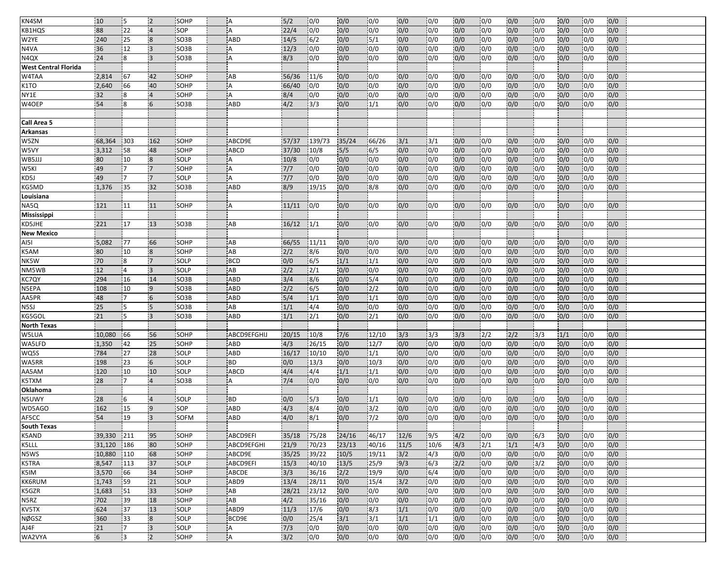| KB1HQS<br>88<br>0/0<br>0/0<br>22<br>$\overline{4}$<br>SOP<br>22/4<br>0/0<br>0/0<br>0/0<br>0/0<br>0/0<br>0/0<br>0/0<br>0/0<br>0/0<br>A<br>0/0<br>W2YE<br>240<br>SO <sub>3</sub> B<br>6/2<br>5/1<br>0/0<br>0/0<br>0/0<br> 0/0<br>0/0<br>0/0<br>0/0<br>0/0<br>25<br>$\overline{\mathbf{8}}$<br><b>ABD</b><br>14/5<br>0/0<br>0/0<br>N4VA<br>$\vert$ 3<br>$\overline{0/0}$<br>0/0<br>0/0<br>$\overline{0/0}$<br> 0/0<br>0/0<br>36<br>12<br>SO3B<br>12/3<br>0/0<br>0/0<br>0/0<br>0/0<br>0/0<br>0/0<br>A<br>N <sub>4</sub> Q <sub>X</sub><br>24<br>18<br>$\overline{3}$<br>8/3<br>0/0<br>0/0<br>0/0<br>0/0<br>0/0<br>0/0<br>0/0<br>0/0<br>0/0<br>0/0<br>0/0<br>SO3B<br>A<br>0/0<br><b>West Central Florida</b><br>W4TAA<br>AB<br>2,814<br>67<br>42<br>SOHP<br>56/36<br>11/6<br>0/0<br>0/0<br>0/0<br>0/0<br>0/0<br> 0/0<br>0/0<br>0/0<br>0/0<br> 0/0<br>0/0<br>K1TO<br>2,640<br>40<br>66/40<br>0/0<br>0/0<br>0/0<br>0/0<br> 0/0<br>0/0<br>0/0<br>0/0<br>0/0<br>66<br>SOHP<br>A<br> 0/0<br>0/0<br>0/0<br>NY1E<br>0/0<br>0/0<br>$\overline{0/0}$<br>32<br>8/4<br>0/0<br>0/0<br>0/0<br>0/0<br>0/0<br>0/0<br>0/0<br>$\overline{4}$<br>SOHP<br>A<br>0/0<br>0/0<br>8<br>W4OEP<br>54<br>i8<br>$6 \overline{6}$<br>SO <sub>3</sub> B<br>4/2<br> 3/3 <br>1/1<br>0/0<br>0/0<br>0/0<br>0/0<br>0/0<br>0/0<br>0/0<br>0/0<br><b>ABD</b><br>0/0<br>0/0 |  |
|---------------------------------------------------------------------------------------------------------------------------------------------------------------------------------------------------------------------------------------------------------------------------------------------------------------------------------------------------------------------------------------------------------------------------------------------------------------------------------------------------------------------------------------------------------------------------------------------------------------------------------------------------------------------------------------------------------------------------------------------------------------------------------------------------------------------------------------------------------------------------------------------------------------------------------------------------------------------------------------------------------------------------------------------------------------------------------------------------------------------------------------------------------------------------------------------------------------------------------------------------------------------------------------------------------------------------------|--|
|                                                                                                                                                                                                                                                                                                                                                                                                                                                                                                                                                                                                                                                                                                                                                                                                                                                                                                                                                                                                                                                                                                                                                                                                                                                                                                                                 |  |
|                                                                                                                                                                                                                                                                                                                                                                                                                                                                                                                                                                                                                                                                                                                                                                                                                                                                                                                                                                                                                                                                                                                                                                                                                                                                                                                                 |  |
|                                                                                                                                                                                                                                                                                                                                                                                                                                                                                                                                                                                                                                                                                                                                                                                                                                                                                                                                                                                                                                                                                                                                                                                                                                                                                                                                 |  |
|                                                                                                                                                                                                                                                                                                                                                                                                                                                                                                                                                                                                                                                                                                                                                                                                                                                                                                                                                                                                                                                                                                                                                                                                                                                                                                                                 |  |
|                                                                                                                                                                                                                                                                                                                                                                                                                                                                                                                                                                                                                                                                                                                                                                                                                                                                                                                                                                                                                                                                                                                                                                                                                                                                                                                                 |  |
|                                                                                                                                                                                                                                                                                                                                                                                                                                                                                                                                                                                                                                                                                                                                                                                                                                                                                                                                                                                                                                                                                                                                                                                                                                                                                                                                 |  |
|                                                                                                                                                                                                                                                                                                                                                                                                                                                                                                                                                                                                                                                                                                                                                                                                                                                                                                                                                                                                                                                                                                                                                                                                                                                                                                                                 |  |
|                                                                                                                                                                                                                                                                                                                                                                                                                                                                                                                                                                                                                                                                                                                                                                                                                                                                                                                                                                                                                                                                                                                                                                                                                                                                                                                                 |  |
|                                                                                                                                                                                                                                                                                                                                                                                                                                                                                                                                                                                                                                                                                                                                                                                                                                                                                                                                                                                                                                                                                                                                                                                                                                                                                                                                 |  |
|                                                                                                                                                                                                                                                                                                                                                                                                                                                                                                                                                                                                                                                                                                                                                                                                                                                                                                                                                                                                                                                                                                                                                                                                                                                                                                                                 |  |
| Call Area 5                                                                                                                                                                                                                                                                                                                                                                                                                                                                                                                                                                                                                                                                                                                                                                                                                                                                                                                                                                                                                                                                                                                                                                                                                                                                                                                     |  |
| <b>Arkansas</b>                                                                                                                                                                                                                                                                                                                                                                                                                                                                                                                                                                                                                                                                                                                                                                                                                                                                                                                                                                                                                                                                                                                                                                                                                                                                                                                 |  |
| W5ZN<br>57/37<br>68,364<br>303<br>162<br>SOHP<br>ABCD9E<br>139/73<br>35/24<br>66/26<br>3/1<br>3/1<br>0/0<br>0/0<br>0/0<br>0/0<br>0/0<br>0/0<br>0/0                                                                                                                                                                                                                                                                                                                                                                                                                                                                                                                                                                                                                                                                                                                                                                                                                                                                                                                                                                                                                                                                                                                                                                              |  |
| W5VY<br>0/0<br> 0/0<br>48<br>37/30<br>6/5<br>0/0<br>0/0<br>0/0<br>0/0<br>0/0<br>0/0<br>3,312<br>58<br>SOHP<br>ABCD<br>10/8<br>5/5<br>0/0                                                                                                                                                                                                                                                                                                                                                                                                                                                                                                                                                                                                                                                                                                                                                                                                                                                                                                                                                                                                                                                                                                                                                                                        |  |
| 0/0<br>0/0<br>0/0<br>$\overline{0/0}$<br>WB5JJJ<br>80<br>10<br>$\overline{8}$<br>SOLP<br>0/0<br>0/0<br>0/0<br>0/0<br>0/0<br>0/0<br>10/8<br>0/0<br>0/0<br>А                                                                                                                                                                                                                                                                                                                                                                                                                                                                                                                                                                                                                                                                                                                                                                                                                                                                                                                                                                                                                                                                                                                                                                      |  |
| W5KI<br>49<br>$\overline{7}$<br>SOHP<br>$7/7$<br>0/0<br>0/0<br>0/0<br>0/0<br>0/0<br>0/0<br>0/0<br>0/0<br>17<br>A<br> 0/0<br>0/0<br>0/0<br>0/0                                                                                                                                                                                                                                                                                                                                                                                                                                                                                                                                                                                                                                                                                                                                                                                                                                                                                                                                                                                                                                                                                                                                                                                   |  |
| KD <sub>5J</sub><br>$\overline{7}$<br>49<br>17<br>$7/7$<br>0/0<br>0/0<br>0/0<br>0/0<br>0/0<br>0/0<br>0/0<br>0/0<br>0/0<br>0/0<br><b>SOLP</b><br>A<br>0/0<br>0/0                                                                                                                                                                                                                                                                                                                                                                                                                                                                                                                                                                                                                                                                                                                                                                                                                                                                                                                                                                                                                                                                                                                                                                 |  |
| 32<br>KG5MD<br>35<br>SO3B<br>8/9<br>8/8<br>0/0<br>0/0<br>0/0<br>0/0<br>0/0<br>0/0<br>0/0<br>0/0<br>1,376<br>ABD<br>19/15<br>0/0<br>0/0                                                                                                                                                                                                                                                                                                                                                                                                                                                                                                                                                                                                                                                                                                                                                                                                                                                                                                                                                                                                                                                                                                                                                                                          |  |
| Louisiana                                                                                                                                                                                                                                                                                                                                                                                                                                                                                                                                                                                                                                                                                                                                                                                                                                                                                                                                                                                                                                                                                                                                                                                                                                                                                                                       |  |
| NA5Q<br>0/0<br>121<br>11<br>SOHP<br>11/11<br>0/0<br>0/0<br>0/0<br>0/0<br>0/0<br>0/0<br>0/0<br>0/0<br>0/0<br>11<br>A<br>0/0<br>0/0                                                                                                                                                                                                                                                                                                                                                                                                                                                                                                                                                                                                                                                                                                                                                                                                                                                                                                                                                                                                                                                                                                                                                                                               |  |
| Mississippi                                                                                                                                                                                                                                                                                                                                                                                                                                                                                                                                                                                                                                                                                                                                                                                                                                                                                                                                                                                                                                                                                                                                                                                                                                                                                                                     |  |
| KD5JHE<br>0/0<br>221<br>17<br>13<br>SO <sub>3</sub> B<br>AB<br>16/12<br>1/1<br>0/0<br>0/0<br>0/0<br>0/0<br>0/0<br>0/0<br>0/0<br>0/0<br>0/0<br>0/0                                                                                                                                                                                                                                                                                                                                                                                                                                                                                                                                                                                                                                                                                                                                                                                                                                                                                                                                                                                                                                                                                                                                                                               |  |
| <b>New Mexico</b>                                                                                                                                                                                                                                                                                                                                                                                                                                                                                                                                                                                                                                                                                                                                                                                                                                                                                                                                                                                                                                                                                                                                                                                                                                                                                                               |  |
| AI5I<br>177<br>AB<br>0/0<br>0/0<br>0/0<br>66<br>SOHP<br>66/55<br>11/11<br>0/0<br>0/0<br>0/0<br>0/0<br>0/0<br>0/0<br>0/0<br>0/0<br>5,082                                                                                                                                                                                                                                                                                                                                                                                                                                                                                                                                                                                                                                                                                                                                                                                                                                                                                                                                                                                                                                                                                                                                                                                         |  |
| K5AM<br> 0/0<br> 0/0<br>0/0<br>80<br>8<br>SOHP<br>AB<br>2/2<br> 8/6 <br>0/0<br>0/0<br>0/0<br>0/0<br>0/0<br>0/0<br>0/0<br>0/0<br>10                                                                                                                                                                                                                                                                                                                                                                                                                                                                                                                                                                                                                                                                                                                                                                                                                                                                                                                                                                                                                                                                                                                                                                                              |  |
| NK5W<br>0/0<br>0/0<br>70<br>8<br>$\overline{7}$<br>SOLP<br><b>BCD</b><br>0/0<br>6/5<br>1/1<br>1/1<br>0/0<br>0/0<br>0/0<br>0/0<br>0/0<br>0/0<br>0/0                                                                                                                                                                                                                                                                                                                                                                                                                                                                                                                                                                                                                                                                                                                                                                                                                                                                                                                                                                                                                                                                                                                                                                              |  |
| NM5WB<br>$\overline{0/0}$<br>12<br>$\overline{4}$<br>$\vert$ 3<br>SOLP<br>AB<br>2/2<br>2/1<br>0/0<br>0/0<br>0/0<br>0/0<br>0/0<br>0/0<br>0/0<br>0/0<br>0/0<br>0/0                                                                                                                                                                                                                                                                                                                                                                                                                                                                                                                                                                                                                                                                                                                                                                                                                                                                                                                                                                                                                                                                                                                                                                |  |
| KC7QY<br>3/4<br>$\overline{0/0}$<br>0/0<br>$\overline{0/0}$<br>0/0<br>294<br>14<br>SO3B<br> 8/6 <br>0/0<br>5/4<br>0/0<br>0/0<br> 0/0<br>0/0<br>0/0<br>16<br><b>ABD</b>                                                                                                                                                                                                                                                                                                                                                                                                                                                                                                                                                                                                                                                                                                                                                                                                                                                                                                                                                                                                                                                                                                                                                          |  |
| 0/0<br>2/2<br>$\sqrt{2}/2$<br>0/0<br> 0/0<br>0/0<br>0/0<br> 0/0<br>0/0<br>0/0<br>N5EPA<br>108<br>10<br>$\overline{9}$<br>SO3B<br>ABD<br>6/5<br>0/0<br>0/0                                                                                                                                                                                                                                                                                                                                                                                                                                                                                                                                                                                                                                                                                                                                                                                                                                                                                                                                                                                                                                                                                                                                                                       |  |
| AA5PR<br>48<br>$6\overline{6}$<br>5/4<br>1/1<br>0/0<br>0/0<br>0/0<br>0/0<br>0/0<br>0/0<br>0/0<br>17<br>SO3B<br>1/1<br>0/0<br>0/0<br>0/0<br>ABD                                                                                                                                                                                                                                                                                                                                                                                                                                                                                                                                                                                                                                                                                                                                                                                                                                                                                                                                                                                                                                                                                                                                                                                  |  |
| 25<br>5<br>0/0<br>$\overline{0/0}$<br>0/0<br>0/0<br> 0/0<br>0/0<br>N5SJ<br>5<br>SO <sub>3</sub> B<br>AB<br>1/1<br>4/4<br>0/0<br>0/0<br>0/0<br>0/0<br>0/0                                                                                                                                                                                                                                                                                                                                                                                                                                                                                                                                                                                                                                                                                                                                                                                                                                                                                                                                                                                                                                                                                                                                                                        |  |
| 21<br>$\sqrt{2/1}$<br>KG5GOL<br>$\overline{\mathbf{3}}$<br>ABD<br>1/1<br>2/1<br>0/0<br>0/0<br>0/0<br>0/0<br>0/0<br>0/0<br>0/0<br>5<br>SO3B<br>0/0<br>0/0<br>0/0                                                                                                                                                                                                                                                                                                                                                                                                                                                                                                                                                                                                                                                                                                                                                                                                                                                                                                                                                                                                                                                                                                                                                                 |  |
| North Texas                                                                                                                                                                                                                                                                                                                                                                                                                                                                                                                                                                                                                                                                                                                                                                                                                                                                                                                                                                                                                                                                                                                                                                                                                                                                                                                     |  |
| W5LUA<br>56<br>10/8<br>12/10<br>3/3<br>3/3<br>3/3<br>2/2<br>2/2<br>3/3<br>1/1<br>0/0<br>0/0<br>10,080<br>66<br>SOHP<br>ABCD9EFGHIJ<br>20/15<br>7/6                                                                                                                                                                                                                                                                                                                                                                                                                                                                                                                                                                                                                                                                                                                                                                                                                                                                                                                                                                                                                                                                                                                                                                              |  |
| WA5LFD<br>25<br>0/0<br>1,350<br>SOHP<br>4/3<br>26/15<br>12/7<br>0/0<br>0/0<br>0/0<br>0/0<br>0/0<br>0/0<br>0/0<br>42<br>ABD<br>0/0<br>0/0                                                                                                                                                                                                                                                                                                                                                                                                                                                                                                                                                                                                                                                                                                                                                                                                                                                                                                                                                                                                                                                                                                                                                                                        |  |
| 28<br>0/0<br>0/0<br>$\overline{0/0}$<br>0/0<br>$\overline{0/0}$<br>WQ5S<br>784<br>27<br>SOLP<br>1/1<br>0/0<br>0/0<br>0/0<br><b>ABD</b><br>16/17<br>10/10<br>0/0<br>0/0                                                                                                                                                                                                                                                                                                                                                                                                                                                                                                                                                                                                                                                                                                                                                                                                                                                                                                                                                                                                                                                                                                                                                          |  |
| $6\overline{6}$<br>WA5RR<br>198<br>23<br>SOLP<br><b>BD</b><br>10/3<br>0/0<br>0/0<br>0/0<br>0/0<br>0/0<br>0/0<br>0/0<br>0/0<br>0/0<br>13/3<br>0/0<br>0/0                                                                                                                                                                                                                                                                                                                                                                                                                                                                                                                                                                                                                                                                                                                                                                                                                                                                                                                                                                                                                                                                                                                                                                         |  |
| 0/0<br>AA5AM<br>120<br>10<br>SOLP<br>ABCD<br>4/4<br>1/1<br>0/0<br>0/0<br>0/0<br>0/0<br>0/0<br>0/0<br>0/0<br>10<br> 4/4<br>1/1<br>0/0                                                                                                                                                                                                                                                                                                                                                                                                                                                                                                                                                                                                                                                                                                                                                                                                                                                                                                                                                                                                                                                                                                                                                                                            |  |
| $7/4$<br>0/0<br>0/0<br>28<br>0/0<br>0/0<br>0/0<br>0/0<br>0/0<br>0/0<br>K5TXM<br>$\overline{4}$<br>SO3B<br>0/0<br>0/0<br>0/0<br>0/0<br>17<br>A                                                                                                                                                                                                                                                                                                                                                                                                                                                                                                                                                                                                                                                                                                                                                                                                                                                                                                                                                                                                                                                                                                                                                                                   |  |
| Oklahoma                                                                                                                                                                                                                                                                                                                                                                                                                                                                                                                                                                                                                                                                                                                                                                                                                                                                                                                                                                                                                                                                                                                                                                                                                                                                                                                        |  |
| N5UWY<br>28<br><b>SOLP</b><br><b>BD</b><br>0/0<br>5/3<br>1/1<br>0/0<br>0/0<br>0/0<br>0/0<br>6<br>$\overline{4}$<br>0/0<br>0/0<br>0/0<br> 0/0<br>0/0<br>0/0                                                                                                                                                                                                                                                                                                                                                                                                                                                                                                                                                                                                                                                                                                                                                                                                                                                                                                                                                                                                                                                                                                                                                                      |  |
| $\sqrt{3}/2$<br>162<br>SOP<br>ABD<br>4/3<br>0/0<br>0/0<br>0/0<br>0/0<br>0/0<br>0/0<br>0/0<br>0/0<br>WD5AGO<br>15<br>$\overline{9}$<br>8/4<br>0/0<br>0/0                                                                                                                                                                                                                                                                                                                                                                                                                                                                                                                                                                                                                                                                                                                                                                                                                                                                                                                                                                                                                                                                                                                                                                         |  |
| AF5CC<br> 8/1<br>7/2<br>0/0<br>0/0<br>0/0<br>0/0<br>0/0<br>54<br>19<br>$\overline{3}$<br><b>SOFM</b><br>4/0<br>0/0<br>0/0<br>0/0<br> 0/0<br>0/0<br>ABD                                                                                                                                                                                                                                                                                                                                                                                                                                                                                                                                                                                                                                                                                                                                                                                                                                                                                                                                                                                                                                                                                                                                                                          |  |
| <b>South Texas</b>                                                                                                                                                                                                                                                                                                                                                                                                                                                                                                                                                                                                                                                                                                                                                                                                                                                                                                                                                                                                                                                                                                                                                                                                                                                                                                              |  |
| <b>K5AND</b><br>0/0<br>6/3<br> 0/0<br>211<br>95<br>SOHP<br>ABCD9EFI<br>35/18<br>75/28<br>24/16<br>46/17<br>12/6<br>9/5<br>4/2<br> 0/0<br>0/0<br>0/0<br>39,330<br>K5LLL                                                                                                                                                                                                                                                                                                                                                                                                                                                                                                                                                                                                                                                                                                                                                                                                                                                                                                                                                                                                                                                                                                                                                          |  |
| 4/3<br>2/1<br>$1/1$<br>4/3<br>0/0<br>0/0<br>31,120<br>80<br>SOHP<br>ABCD9EFGHI<br>21/9<br>70/23<br>23/13<br>40/16<br>11/5<br>10/6<br>0/0<br>186                                                                                                                                                                                                                                                                                                                                                                                                                                                                                                                                                                                                                                                                                                                                                                                                                                                                                                                                                                                                                                                                                                                                                                                 |  |
| 35/25<br>4/3<br>0/0<br>0/0<br>0/0<br>0/0<br>0/0<br>N5WS<br>10,880<br>110<br>68<br>SOHP<br>39/22<br>10/5<br>19/11<br>3/2<br>0/0<br>0/0<br>ABCD9E<br>0/0<br>37                                                                                                                                                                                                                                                                                                                                                                                                                                                                                                                                                                                                                                                                                                                                                                                                                                                                                                                                                                                                                                                                                                                                                                    |  |
| 9/3<br>2/2<br>0/0<br>$3/2$<br>0/0<br>K5TRA<br>8,547<br>113<br>SOLP<br>ABCD9EFI<br>15/3<br>40/10<br>13/5<br>25/9<br>6/3<br>0/0<br>0/0<br>K5IM<br>3,570<br>19/9<br>0/0<br>6/4<br>0/0<br>0/0<br>0/0<br>0/0<br>66<br>34<br>SOHP<br>3/3<br>36/16<br>2/2<br>0/0<br>0/0<br>0/0<br><b>ABCDE</b>                                                                                                                                                                                                                                                                                                                                                                                                                                                                                                                                                                                                                                                                                                                                                                                                                                                                                                                                                                                                                                         |  |
| <b>KK6RUM</b><br>21<br>13/4<br>15/4<br>0/0<br>0/0<br>0/0<br>1,743<br>59<br>SOLP<br>28/11<br>0/0<br>3/2<br>0/0<br>0/0<br>0/0<br>0/0<br>0/0<br>ABD9                                                                                                                                                                                                                                                                                                                                                                                                                                                                                                                                                                                                                                                                                                                                                                                                                                                                                                                                                                                                                                                                                                                                                                               |  |
| 51<br>33<br>SOHP<br>AB<br>0/0<br>0/0<br>0/0<br>0/0<br>0/0<br>0/0<br>0/0<br>0/0<br>K5GZR<br>1,683<br>28/21<br>23/12<br>0/0<br>0/0<br>0/0                                                                                                                                                                                                                                                                                                                                                                                                                                                                                                                                                                                                                                                                                                                                                                                                                                                                                                                                                                                                                                                                                                                                                                                         |  |
| 702<br>18<br>AB<br>0/0<br>0/0<br>0/0<br>0/0<br>0/0<br>N5RZ<br>39<br>SOHP<br>4/2<br>0/0<br> 0/0<br>0/0<br>0/0<br>0/0<br>0/0<br>35/16                                                                                                                                                                                                                                                                                                                                                                                                                                                                                                                                                                                                                                                                                                                                                                                                                                                                                                                                                                                                                                                                                                                                                                                             |  |
| KV5TX<br>624<br>13<br>11/3<br> 8/3<br>0/0<br>37<br>SOLP<br>ABD9<br>17/6<br>1/1<br>0/0<br> 0/0<br>0/0<br>0/0<br>0/0<br>0/0<br>0/0<br>0/0                                                                                                                                                                                                                                                                                                                                                                                                                                                                                                                                                                                                                                                                                                                                                                                                                                                                                                                                                                                                                                                                                                                                                                                         |  |
| 3/1<br>1/1<br>0/0<br>0/0<br>NØGSZ<br>360<br>33<br>$\overline{8}$<br>SOLP<br>BCD9E<br>0/0<br>25/4<br>3/1<br>1/1<br>0/0<br>0/0<br>0/0<br>0/0<br>0/0                                                                                                                                                                                                                                                                                                                                                                                                                                                                                                                                                                                                                                                                                                                                                                                                                                                                                                                                                                                                                                                                                                                                                                               |  |
| AJ4F<br>$\overline{3}$<br>7/3<br>0/0<br>21<br>17<br>SOLP<br>0/0<br>0/0<br>0/0<br>0/0<br>0/0<br>0/0<br>0/0<br>0/0<br>0/0<br>0/0<br>Α<br>0/0                                                                                                                                                                                                                                                                                                                                                                                                                                                                                                                                                                                                                                                                                                                                                                                                                                                                                                                                                                                                                                                                                                                                                                                      |  |
| WA2VYA<br>6<br>13<br>$\overline{2}$<br>A<br>$3/2$<br> 0/0<br>0/0<br>0/0<br>SOHP<br>0/0<br>0/0<br>0/0<br>0/0<br> 0/0<br>0/0<br>0/0<br>0/0<br>0/0                                                                                                                                                                                                                                                                                                                                                                                                                                                                                                                                                                                                                                                                                                                                                                                                                                                                                                                                                                                                                                                                                                                                                                                 |  |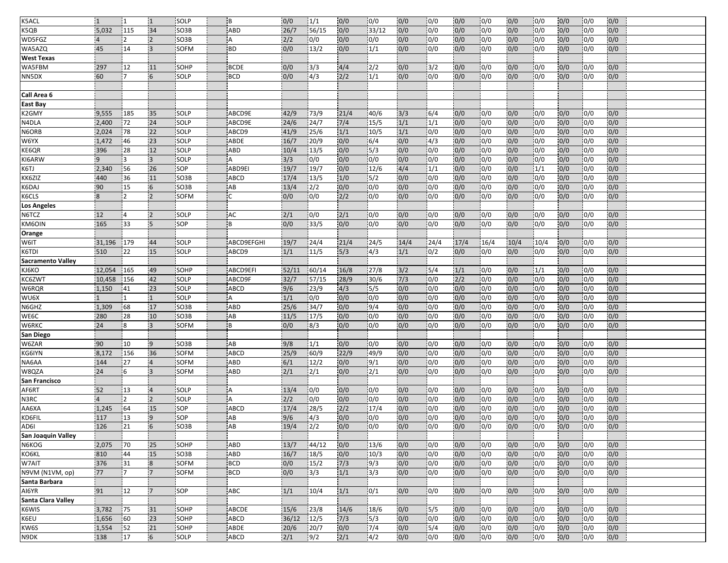| <b>K5ACL</b>             | $\overline{1}$        | 11             | $\overline{1}$          | SOLP                | İΒ               | 0/0         | 1/1           | 0/0        | 0/0           | 0/0        | 0/0               | 0/0        | 0/0              | 0/0        | 0/0                     | 0/0        | 0/0              | 0/0        |  |
|--------------------------|-----------------------|----------------|-------------------------|---------------------|------------------|-------------|---------------|------------|---------------|------------|-------------------|------------|------------------|------------|-------------------------|------------|------------------|------------|--|
| K5QB                     | 5,032                 | 115            | 34                      | SO <sub>3</sub> B   | ABD              | 26/7        | 56/15         | 0/0        | 33/12         | 0/0        | 0/0               | 0/0        | 0/0              | 0/0        | 0/0                     | 0/0        | 0/0              | 0/0        |  |
| WD5FGZ                   | $\overline{4}$        | 12             | $\overline{2}$          | SO <sub>3</sub> B   | A                | 2/2         | 0/0           | 0/0        | 0/0           | 0/0        | 0/0               | 0/0        | 0/0              | 0/0        | 0/0                     | 0/0        | 0/0              | 0/0        |  |
| WA5AZQ                   | 45                    | 14             | $\overline{3}$          | SOFM                | <b>BD</b>        | 0/0         | 13/2          | 0/0        | 1/1           | 0/0        | 0/0               | 0/0        | 0/0              | 0/0        | 0/0                     | 0/0        | 0/0              | 0/0        |  |
| <b>West Texas</b>        |                       |                |                         |                     |                  |             |               |            |               |            |                   |            |                  |            |                         |            |                  |            |  |
| WA5FBM                   | 297                   | 12             | 11                      | SOHP                | <b>BCDE</b>      | 0/0         | 3/3           | 4/4        | 2/2           | 0/0        | 3/2               | 0/0        | 0/0              | 0/0        | 0/0                     | 0/0        | 0/0              | 0/0        |  |
| NN5DX                    | 60                    | 7              | 6                       | SOLP                | <b>BCD</b>       | 0/0         | 4/3           | 2/2        | 1/1           | 0/0        | 0/0               | 0/0        | 0/0              | 0/0        | 0/0                     | 0/0        | 0/0              | 0/0        |  |
|                          |                       |                |                         |                     |                  |             |               |            |               |            |                   |            |                  |            |                         |            |                  |            |  |
| Call Area 6              |                       |                |                         |                     |                  |             |               |            |               |            |                   |            |                  |            |                         |            |                  |            |  |
| <b>East Bay</b>          |                       |                |                         |                     |                  |             |               |            |               |            |                   |            |                  |            |                         |            |                  |            |  |
| K <sub>2</sub> GMY       | 9,555                 | 185            | 35                      | SOLP                | ABCD9E           | 42/9        | 73/9          | 21/4       | 40/6          | 3/3        | 6/4               | 0/0        | 0/0              | 0/0        | 0/0                     | 0/0        | 0/0              | 0/0        |  |
| N4DLA                    | 2,400                 | 72             | 24                      | SOLP                | ABCD9E           | 24/6        | 24/7          | 7/4        | 15/5          | 1/1        | $\overline{1/1}$  | 0/0        | 0/0              | 0/0        | 0/0                     | 0/0        | 0/0              | 0/0        |  |
| N6ORB                    | 2,024                 | 78             | 22                      | SOLP                | ABCD9            | 41/9        | 25/6          | 1/1        | 10/5          | 1/1        | 0/0               | 0/0        | 0/0              | 0/0        | 0/0                     | 0/0        | 0/0              | 0/0        |  |
| W6YX                     | 1,472                 | 46             | 23                      | SOLP                | <b>ABDE</b>      | 16/7        | 20/9          | 0/0        | 6/4           | 0/0        | $\sqrt{4/3}$      | 0/0        | 0/0              | 0/0        | 0/0                     | 0/0        | 0/0              | 0/0        |  |
| KE6QR                    | 396                   | 28             | 12                      | SOLP                | <b>ABD</b>       | 10/4        | 13/5          | 0/0        | $\sqrt{5/3}$  | 0/0        | $\overline{10/0}$ | 0/0        | 0/0              | 0/0        | 0/0                     | 0/0        | 0/0              | 0/0        |  |
| KI6ARW                   | $\mathsf{q}$          | ่ว             | $\overline{3}$          | SOLP                | А                | 3/3         | 0/0           | 0/0        | 0/0           | 0/0        | 0/0               | 0/0        | 0/0              | 0/0        | $\overline{0/0}$        | 0/0        | 0/0              | 0/0        |  |
| K6TJ                     | 2,340                 | 56             | 26                      | SOP                 | ABD9EI           | 19/7        | 19/7          | 0/0        | 12/6          | 4/4        | 1/1               | 0/0        | 0/0              | 0/0        | 1/1                     | 0/0        | 0/0              | 0/0        |  |
| KK6ZIZ                   | 440                   | 36             | 11                      | SO <sub>3</sub> B   | <b>ABCD</b>      | 17/4        | 13/5          | 1/0        | 15/2          | 0/0        | 0/0               | 0/0        | 0/0              | 0/0        | 0/0                     | 0/0        | 0/0              | 0/0        |  |
| K6DAJ                    | 90                    | 15             | $6\overline{6}$         | SO3B                | AB               | 13/4        | 2/2           | 0/0        | 0/0           | 0/0        | 0/0               | 0/0        | 0/0              | 0/0        | 0/0                     | 0/0        | 0/0              | 0/0        |  |
| K6CLS                    | $\overline{8}$        | $\overline{2}$ | $\overline{2}$          | <b>SOFM</b>         | C.               | 0/0         | 0/0           | 2/2        | 0/0           | 0/0        | 0/0               | 0/0        | 0/0              | 0/0        | 0/0                     | 0/0        | 0/0              | 0/0        |  |
| <b>Los Angeles</b>       |                       |                |                         |                     |                  |             |               |            |               |            |                   |            |                  |            |                         |            |                  |            |  |
| N6TCZ                    | 12                    | 14             | $\overline{2}$          | SOLP                | AC               | 2/1         | 0/0           | 2/1        | 0/0           | 0/0        | 0/0               | 0/0        | 0/0              | 0/0        | 0/0                     | 0/0        | 0/0              | 0/0        |  |
| KM6OIN                   | 165                   | 33             | 5                       | SOP                 | B                | 0/0         | 33/5          | 0/0        | 0/0           | 0/0        | 0/0               | 0/0        | 0/0              | 0/0        | 0/0                     | 0/0        | 0/0              | 0/0        |  |
| Orange                   |                       |                |                         |                     |                  |             |               |            |               |            |                   |            |                  |            |                         |            |                  |            |  |
| W6IT                     | 31,196                | 179            | 44                      | <b>SOLP</b>         | ABCD9EFGHI       | 19/7        | 24/4          | 21/4       | 24/5          | 14/4       | 24/4              | 17/4       | 16/4             | 10/4       | 10/4                    | 0/0        | 0/0              | 0/0        |  |
| K6TDI                    | 510                   | 22             | 15                      | SOLP                | ABCD9            | 1/1         | 11/5          | 5/3        | 4/3           | 1/1        | 0/2               | 0/0        | 0/0              | 0/0        | 0/0                     | 0/0        | 0/0              | 0/0        |  |
| <b>Sacramento Valley</b> |                       |                |                         |                     |                  |             |               |            |               |            |                   |            |                  |            |                         |            |                  |            |  |
| KJ6KO                    | 12,054                | 165            | 49                      | SOHP                | ABCD9EFI         | 52/11       | 60/14         | 16/8       | 27/8          | $3/2$      | 15/4              | 1/1        | 0/0              | 0/0        | 1/1                     | 0/0        | 0/0              | 0/0        |  |
| KC6ZWT                   | 10,458                | 156            | 42<br>23                | SOLP                | ABCD9F           | 32/7<br>9/6 | 57/15         | 28/9       | 30/6<br>15/5  | 7/3<br>0/0 | 0/0<br> 0/0       | 2/2<br>0/0 | 0/0<br> 0/0      | 0/0<br>0/0 | 0/0<br>$\overline{0/0}$ | 0/0<br>0/0 | 0/0<br> 0/0      | 0/0        |  |
| W6RQR<br>WU6X            | 1,150<br>$\mathbf{1}$ | 41             | $\overline{1}$          | <b>SOLP</b><br>SOLP | <b>ABCD</b><br>A | 1/1         | 23/9<br>0/0   | 4/3<br>0/0 | 0/0           | 0/0        | 0/0               | 0/0        | 0/0              | 0/0        | 0/0                     | 0/0        | 0/0              | 0/0<br>0/0 |  |
| N6GHZ                    | 1,309                 | 68             | 17                      | SO <sub>3</sub> B   | <b>ABD</b>       | 25/6        | 34/7          | 0/0        | 9/4           | 0/0        | 0/0               | 0/0        | 0/0              | 0/0        | 0/0                     | 0/0        | 0/0              | 0/0        |  |
| WE6C                     | 280                   | 28             | 10                      | SO <sub>3</sub> B   | AB               | 11/5        | 17/5          | 0/0        | 0/0           | 0/0        | 0/0               | 0/0        | 0/0              | 0/0        | 0/0                     | 0/0        | 0/0              | 0/0        |  |
| W6RKC                    | 24                    | 8              | 3                       | <b>SOFM</b>         | B                | 0/0         | 8/3           | 0/0        | 0/0           | 0/0        | 0/0               | 0/0        | 0/0              | 0/0        | 0/0                     | 0/0        | 0/0              | 0/0        |  |
| San Diego                |                       |                |                         |                     |                  |             |               |            |               |            |                   |            |                  |            |                         |            |                  |            |  |
| W6ZAR                    | 90                    | 10             | $\overline{9}$          | SO3B                | AB               | 9/8         | 1/1           | 0/0        | 0/0           | 0/0        | 0/0               | 0/0        | 0/0              | 0/0        | 0/0                     | 0/0        | 0/0              | 0/0        |  |
| KG6IYN                   | 8,172                 | 156            | 36                      | SOFM                | <b>ABCD</b>      | 25/9        | 60/9          | 22/9       | 49/9          | 0/0        | 0/0               | 0/0        | 0/0              | 0/0        | 0/0                     | 0/0        | 0/0              | 0/0        |  |
| NA6AA                    | 144                   | 27             | $\overline{4}$          | <b>SOFM</b>         | <b>ABD</b>       | 6/1         | 12/2          | 0/0        | 9/1           | 0/0        | 0/0               | 0/0        | 0/0              | 0/0        | 0/0                     | 0/0        | 0/0              | 0/0        |  |
| W8QZA                    | 24                    | 16             | $\overline{3}$          | SOFM                | <b>ABD</b>       | 2/1         | 2/1           | 0/0        | $\sqrt{2/1}$  | 0/0        | 0/0               | 0/0        | 0/0              | 0/0        | 0/0                     | 0/0        | 0/0              | 0/0        |  |
| San Francisco            |                       |                |                         |                     |                  |             |               |            |               |            |                   |            |                  |            |                         |            |                  |            |  |
| AF6RT                    | 52                    | 13             | $\overline{4}$          | SOLP                | A                | 13/4        | 0/0           | 0/0        | 0/0           | 0/0        | 0/0               | 0/0        | 0/0              | 0/0        | 0/0                     | 0/0        | 0/0              | 0/0        |  |
| N3RC                     | $\overline{4}$        | 12             | $\overline{2}$          | SOLP                | l A              | 2/2         | 0/0           | 0/0        | 0/0           | 0/0        | 0/0               | 0/0        | 0/0              | 0/0        | 0/0                     | 0/0        | 0/0              | 0/0        |  |
| AA6XA                    | 1,245                 | 64             | 15                      | <b>SOP</b>          | <b>ABCD</b>      | 17/4        | 28/5          | 2/2        | 17/4          | 0/0        | 0/0               | 0/0        | 0/0              | 0/0        | 0/0                     | 0/0        | 0/0              | 0/0        |  |
| KD6FIL                   | 117                   | 13             | $\overline{9}$          | SOP                 | AB               | 9/6         | 4/3           | 0/0        | 0/0           | 0/0        | 0/0               | 0/0        | 0/0              | 0/0        | 0/0                     | 0/0        | 0/0              | 0/0        |  |
| AD6I                     | 126                   | 21             | $6\overline{6}$         | SO3B                | AB               | 19/4        | $\frac{1}{2}$ | 0/0        | $\frac{1}{0}$ | 0/0        | 0/0               | 0/0        | $\overline{0/0}$ | 0/0        | $\overline{0/0}$        | 0/0        | 0/0              | 0/0        |  |
| San Joaquin Valley       |                       |                |                         |                     |                  |             |               |            |               |            |                   |            |                  |            |                         |            |                  |            |  |
| N6KOG                    | 2,075                 | 70             | 25                      | SOHP                | <b>ABD</b>       | 13/7        | 44/12         | 0/0        | 13/6          | 0/0        | 0/0               | 0/0        | 0/0              | 0/0        | 0/0                     | 0/0        | 0/0              | 0/0        |  |
| KO6KL                    | 810                   | 44             | 15                      | SO3B                | ABD              | 16/7        | 18/5          | 0/0        | 10/3          | 0/0        | $\overline{0/0}$  | 0/0        | 0/0              | 0/0        | 0/0                     | 0/0        | $\overline{0/0}$ | 0/0        |  |
| W7AIT                    | 376                   | 31             | $\overline{\mathbf{8}}$ | SOFM                | <b>BCD</b>       | 0/0         | 15/2          | 7/3        | 9/3           | 0/0        | 0/0               | 0/0        | 0/0              | 0/0        | 0/0                     | 0/0        | 0/0              | 0/0        |  |
| N9VM (N1VM, op)          | 77                    | 17             | $\overline{7}$          | SOFM                | <b>BCD</b>       | 0/0         | 3/3           | 1/1        | 3/3           | 0/0        | 0/0               | 0/0        | 0/0              | 0/0        | 0/0                     | 0/0        | 0/0              | 0/0        |  |
| Santa Barbara            |                       |                |                         |                     |                  |             |               |            |               |            |                   |            |                  |            |                         |            |                  |            |  |
| AI6YR                    | 91                    | 12             | $\overline{7}$          | SOP                 | ABC              | 1/1         | 10/4          | 1/1        | 0/1           | 0/0        | 0/0               | 0/0        | 0/0              | 0/0        | 0/0                     | 0/0        | 0/0              | 0/0        |  |
| Santa Clara Valley       |                       |                |                         |                     |                  |             |               |            |               |            |                   |            |                  |            |                         |            |                  |            |  |
| K6WIS                    | 3,782                 | 75             | 31                      | SOHP                | ABCDE            | 15/6        | 23/8          | 14/6       | 18/6          | 0/0        | 15/5              | 0/0        | 0/0              | 0/0        | 0/0                     | 0/0        | 0/0              | 0/0        |  |
| K6EU                     | 1,656                 | 60             | 23                      | SOHP                | ABCD             | 36/12       | 12/5          | 7/3        | 5/3           | 0/0        | $\overline{0/0}$  | 0/0        | 0/0              | 0/0        | $\overline{0/0}$        | 0/0        | 0/0              | 0/0        |  |
| KW6S                     | 1,554                 | 52             | 21                      | SOHP                | ABDE             | 20/6        | 20/7          | 0/0        | 7/4           | 0/0        | 5/4               | 0/0        | 0/0              | 0/0        | 0/0                     | 0/0        | 0/0              | 0/0        |  |
| N9DK                     | 138                   | 17             | $6\overline{6}$         | SOLP                | ABCD             | 2/1         | 9/2           | 2/1        | $\sqrt{4/2}$  | 0/0        | 0/0               | 0/0        | 0/0              | 0/0        | 0/0                     | 0/0        | 0/0              | 0/0        |  |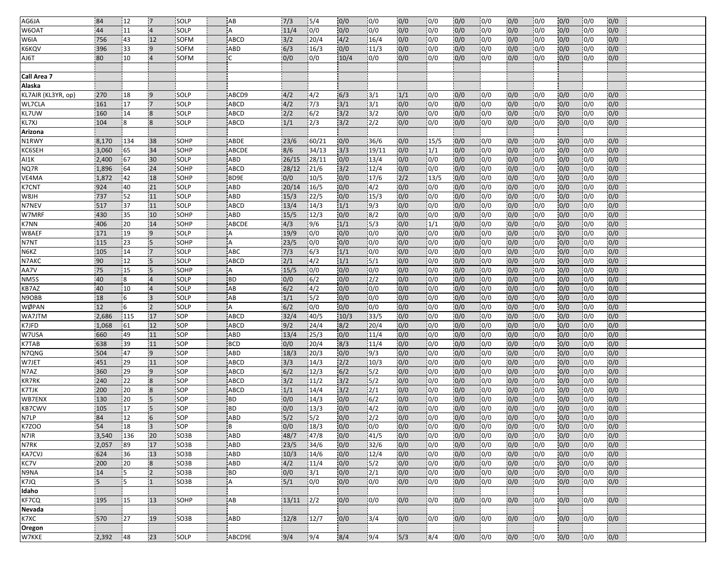| AG6JA                 | 84             | 12        | 17                               | SOLP                      | AB                       | 7/3          | 5/4           | 0/0        | 0/0           | 0/0        | 0/0                     | 0/0        | 10/0        | 0/0        | 0/0              | 0/0        | 10/0                     | 0/0        |  |
|-----------------------|----------------|-----------|----------------------------------|---------------------------|--------------------------|--------------|---------------|------------|---------------|------------|-------------------------|------------|-------------|------------|------------------|------------|--------------------------|------------|--|
| W6OAT                 | 44             | 11        | $\overline{4}$                   | <b>SOLP</b>               | A                        | 11/4         | 0/0           | 0/0        | 0/0           | 0/0        | 0/0                     | 0/0        | 0/0         | 0/0        | 0/0              | 0/0        | 0/0                      | 0/0        |  |
| W6IA                  | 756            | 43        | 12                               | SOFM                      | <b>ABCD</b>              | 3/2          | 20/4          | 4/2        | 16/4          | 0/0        | 0/0                     | 0/0        | 0/0         | 0/0        | 0/0              | 0/0        | 0/0                      | 0/0        |  |
| K6KQV                 | 396            | 33        | $\overline{9}$                   | <b>SOFM</b>               | ABD                      | 6/3          | 16/3          | 0/0        | 11/3          | 0/0        | 0/0                     | 0/0        | 0/0         | 0/0        | 0/0              | 0/0        | 0/0                      | 0/0        |  |
| AJ6T                  | 80             | 10        |                                  | <b>SOFM</b>               |                          | 0/0          | 0/0           | 10/4       | 0/0           | 0/0        | 0/0                     | 0/0        | 0/0         | 0/0        | 0/0              | 0/0        | 0/0                      | 0/0        |  |
|                       |                |           |                                  |                           |                          |              |               |            |               |            |                         |            |             |            |                  |            |                          |            |  |
| Call Area 7           |                |           |                                  |                           |                          |              |               |            |               |            |                         |            |             |            |                  |            |                          |            |  |
| Alaska                |                |           |                                  |                           |                          |              |               |            |               |            |                         |            |             |            |                  |            |                          |            |  |
| KL7AIR (KL3YR, op)    | 270            | 18        | -9                               | SOLP                      | ABCD9                    | 4/2          | 4/2           | 6/3        | 3/1           | 1/1        | 0/0                     | 0/0        | 0/0         | 0/0        | 0/0              | 0/0        | 0/0                      | 0/0        |  |
| WL7CLA                | 161            | 17        | $\overline{7}$                   | SOLP                      | <b>ABCD</b>              | 4/2          | 7/3           | 3/1        | 3/1           | 0/0        | 0/0                     | 0/0        | 0/0         | 0/0        | 0/0              | 0/0        | 0/0                      | 0/0        |  |
| KL7UW                 | 160            | 14        | $\overline{8}$                   | SOLP                      | ABCD                     | 2/2          | 6/2           | 3/2        | 3/2           | 0/0        | 0/0                     | 0/0        | 0/0         | 0/0        | 0/0              | 0/0        | 0/0                      | 0/0        |  |
| KL7XJ                 | 104            | 8         | $\overline{8}$                   | <b>SOLP</b>               | ABCD                     | 1/1          | 2/3           | 3/2        | 2/2           | 0/0        | 0/0                     | 0/0        | 0/0         | 0/0        | 0/0              | 0/0        | 0/0                      | 0/0        |  |
| Arizona               |                |           |                                  |                           |                          |              |               |            |               |            |                         |            |             |            |                  |            |                          |            |  |
| N1RWY                 | 8,170          | 134       | 38                               | <b>SOHP</b>               | ABDE                     | 23/6         | 60/21         | 0/0        | 36/6          | 0/0        | 15/5                    | 0/0        | 0/0         | 0/0        | 0/0              | 0/0        | 0/0                      | 0/0        |  |
| KC6SEH                | 3,060          | 65        | 34                               | SOHP                      | ABCDE                    | 8/6          | 34/13         | 3/3        | 19/11         | 0/0        | 1/1                     | 0/0        | 0/0         | 0/0        | 0/0              | 0/0        | 0/0                      | 0/0        |  |
| AI1K                  | 2,400          | 67        | 30                               | SOLP                      | ABD                      | 26/15        | 28/11         | 0/0        | 13/4          | 0/0        | 0/0                     | 0/0        | 0/0         | 0/0        | $\overline{0/0}$ | 0/0        | 0/0                      | 0/0        |  |
| NQ7R                  | 1,896          | 64        | 24                               | SOHP                      | ABCD                     | 28/12        | 21/6          | 3/2        | 12/4          | 0/0        | 0/0                     | 0/0        | 0/0         | 0/0        | 0/0              | 0/0        | 0/0                      | 0/0        |  |
| VE4MA                 | 1,872          | 42        | 18                               | SOHP                      | BD9E                     | 0/0          | 10/5          | 0/0        | 17/6          | 2/2        | 13/5                    | 0/0        | 0/0         | 0/0        | 0/0              | 0/0        | 0/0                      | 0/0        |  |
| <b>K7CNT</b>          | 924            | 40        | 21                               | SOLP                      | ABD                      | 20/14        | 16/5          | 0/0        | $\sqrt{4/2}$  | 0/0        | 0/0                     | 0/0        | 0/0         | 0/0        | 0/0              | 0/0        | 0/0                      | 0/0        |  |
| HI8W                  | 737            | 52        | 11                               | <b>ISOLP</b>              | ABD                      | 15/3         | 22/5          | 0/0        | 15/3          | 0/0        | 0/0                     | 0/0        | 0/0         | 0/0        | 0/0              | 0/0        | 0/0                      | 0/0        |  |
| N7NEV                 | 517            | 37        | 11                               | SOLP                      | <b>ABCD</b>              | 13/4         | 14/3          | 1/1        | 9/3           | 0/0        | 0/0                     | 0/0        | 0/0         | 0/0        | 0/0              | 0/0        | 0/0                      | 0/0        |  |
| W7MRF                 | 430            | 35        | 10                               | SOHP                      | ABD                      | 15/5         | 12/3          | 0/0        | 8/2           | 0/0        | 0/0                     | 0/0        | 0/0         | 0/0        | 0/0              | 0/0        | 0/0                      | 0/0        |  |
| <b>K7NN</b>           | 406            | 20        | 14                               | SOHP                      | ABCDE                    | 4/3          | 9/6           | 1/1        | 5/3           | 0/0        | 1/1                     | 0/0        | 0/0         | 0/0        | 0/0              | 0/0        | 0/0                      | 0/0        |  |
| W8AEF                 | 171            | 19        | $\overline{9}$                   | SOLP                      | A                        | 19/9         | 0/0           | 0/0        | 0/0           | 0/0        | 0/0                     | 0/0        | 0/0         | 0/0        | 0/0              | 0/0        | 0/0                      | 0/0        |  |
| N7NT                  | 115            | 23        | $\overline{5}$                   | SOHP                      | A                        | 23/5         | 0/0           | 0/0        | 0/0           | 0/0        | 0/0                     | 0/0        | 0/0         | 0/0        | 0/0              | 0/0        | 0/0                      | 0/0        |  |
| N6KZ                  | 105            | 14        | $\overline{7}$                   | SOLP                      | ABC                      | 7/3          | 6/3           | 1/1        | 0/0           | 0/0        | 0/0                     | 0/0        | 0/0         | 0/0        | 0/0              | 0/0        | 0/0                      | 0/0        |  |
| N7AKC                 | 90             | 12        | $5\phantom{.0}$                  | SOLP                      | ABCD                     | 2/1          | 4/2           | 1/1        | 15/1          | 0/0        | 0/0                     | 0/0        | 0/0         | 0/0        | 0/0              | 0/0        | 0/0                      | 0/0        |  |
| AA7V                  | 75             | 15        | $\overline{5}$                   | SOHP                      | A                        | 15/5         | 0/0           | 0/0        | 0/0           | 0/0        | 0/0                     | 0/0        | 0/0         | 0/0        | 0/0              | 0/0        | 0/0                      | 0/0        |  |
| NM <sub>5S</sub>      | 40             | 18        | $\overline{4}$                   | SOLP                      | <b>BD</b>                | 0/0          | 6/2           | 0/0        | 2/2           | 0/0        | 0/0                     | 0/0        | 0/0         | 0/0        | 0/0              | 0/0        | 0/0                      | 0/0        |  |
| KB7AZ                 | 40             | 10        | $\overline{4}$                   | <b>SOLP</b>               | AB                       | 6/2          | 4/2           | 0/0        | 0/0           | 0/0        | 0/0                     | 0/0        | 0/0         | 0/0        | 0/0              | 0/0        | 0/0                      | 0/0        |  |
| N9OBB                 | 18             | 6         | $\overline{3}$                   | SOLP                      | AB                       | 1/1          | 5/2           | 0/0        | 0/0           | 0/0        | 0/0                     | 0/0        | 0/0         | 0/0        | 0/0              | 0/0        | 0/0                      | 0/0        |  |
| <b>WØPAN</b>          | 12             | 6         | $\overline{2}$                   | SOLP                      | A                        | 6/2          | 0/0           | 0/0        | 0/0           | 0/0        | 0/0                     | 0/0        | 0/0         | 0/0        | 0/0              | 0/0        | 0/0                      | 0/0        |  |
| WA7JTM                | 2,686          | 115       | 17                               | SOP                       | ABCD                     | 32/4         | 40/5          | 10/3       | 33/5          | 0/0        | 0/0                     | 0/0        | 0/0         | 0/0        | 0/0              | 0/0        | 0/0                      | 0/0        |  |
| K7JFD                 | 1,068          | 61        | 12                               | SOP                       | <b>ABCD</b>              | 9/2          | 24/4          | 8/2        | 20/4          | 0/0        | 0/0                     | 0/0        | 0/0         | 0/0        | 0/0              | 0/0        | 0/0                      | 0/0        |  |
| W7USA                 | 660            | 49        | 11                               | <b>SOP</b>                | ABD                      | 13/4         | 25/3          | 0/0        | 11/4          | 0/0        | 0/0                     | 0/0        | 0/0         | 0/0        | 0/0              | 0/0        | 0/0                      | 0/0        |  |
| K7TAB                 | 638            | 39        | 11                               | SOP                       | <b>BCD</b>               | 0/0          | 20/4          | 8/3        | 11/4          | 0/0        | 0/0                     | 0/0        | 0/0         | 0/0        | 0/0              | 0/0        | 0/0                      | 0/0        |  |
| N7QNG                 | 504            | 47        | $\overline{9}$                   | SOP                       | ABD                      | 18/3         | 20/3          | 0/0        | 9/3           | 0/0        | 0/0                     | 0/0        | 0/0         | 0/0        | 0/0              | 0/0        | 0/0                      | 0/0        |  |
| W7JET                 | 451            | 29        | 11                               | SOP                       | <b>ABCD</b>              | 3/3          | 14/3          | 2/2        | 10/3          | 0/0        | 0/0                     | 0/0        | 0/0         | 0/0        | 0/0              | 0/0        | 0/0                      | 0/0        |  |
| N7AZ                  | 360            | 29        | $\overline{9}$                   | <b>SOP</b>                | ABCD                     | 6/2          | 12/3          | 6/2        | 5/2           | 0/0        | 0/0                     | 0/0        | 0/0         | 0/0        | 0/0              | 0/0        | 0/0                      | 0/0        |  |
| <b>KR7RK</b>          | 240            | 22        | $\overline{8}$                   | SOP                       | <b>ABCD</b>              | 3/2          | 11/2          | 3/2        | 15/2          | 0/0        | 0/0                     | 0/0        | 0/0         | 0/0        | 0/0              | 0/0        | 0/0                      | 0/0        |  |
| <b>K7TJK</b>          | 200            | 20        | $\overline{8}$                   | SOP                       | <b>ABCD</b>              | 1/1          | 14/4          | 3/2        | 2/1           | 0/0        | 0/0                     | 0/0        | 0/0         | 0/0        | 0/0              | 0/0        | 0/0                      | 0/0        |  |
| WB7ENX                | 130            | 20        | $5\phantom{.0}$                  | SOP                       | <b>BD</b>                | 0/0          | 14/3          | 0/0        | 6/2           | 0/0        | 0/0                     | 0/0        | 0/0         | 0/0        | 0/0              | 0/0        | 0/0                      | 0/0        |  |
| <b>KB7CWV</b><br>N7LP | 105<br>84      | 17        | 5<br>6                           | SOP<br>SOP                | <b>BD</b><br>ABD         | 0/0<br>5/2   | 13/3<br>5/2   | 0/0<br>0/0 | 4/2<br>2/2    | 0/0<br>0/0 | 0/0<br>0/0              | 0/0<br>0/0 | 0/0         | 0/0        | 0/0              | 0/0<br>0/0 | 0/0                      | 0/0        |  |
| <b>K7ZOO</b>          | 54             | 12<br>18  | $\overline{3}$                   | <b>SOP</b>                | B.                       | 0/0          |               | 0/0        | 0/0           | 0/0        | $\overline{0/0}$        | 0/0        | 0/0<br>0/0  | 0/0<br>0/0 | 0/0<br>0/0       | 0/0        | 0/0<br>$\overline{10/0}$ | 0/0<br>0/0 |  |
| N7IR                  |                |           |                                  |                           |                          |              | 18/3          |            |               |            |                         |            |             |            |                  |            |                          |            |  |
| N7RK                  | 3,540<br>2,057 | 136<br>89 | 20<br>17                         | SO <sub>3</sub> B<br>SO3B | <b>ABD</b><br><b>ABD</b> | 48/7<br>23/5 | 47/8<br>34/6  | 0/0<br>0/0 | 41/5<br>32/6  | 0/0<br>0/0 | 0/0<br>0/0              | 0/0<br>0/0 | 0/0<br>0/0  | 0/0<br>0/0 | 0/0<br>0/0       | 0/0<br>0/0 | 0/0<br>0/0               | 0/0<br>0/0 |  |
| <b>KA7CVJ</b>         | 624            | 36        | 13                               | SO3B                      | ABD                      | 10/3         | 14/6          | 0/0        | 12/4          | 0/0        | $\overline{0/0}$        | 0/0        | 0/0         | 0/0        | 0/0              | 0/0        | 0/0                      | 0/0        |  |
| KC7V                  |                |           |                                  | SO3B                      |                          | 4/2          |               |            | 15/2          |            |                         |            |             | 0/0        |                  |            |                          | 0/0        |  |
| N9NA                  | 200<br>14      | 20<br>15  | $\overline{8}$<br>$\overline{2}$ | SO3B                      | ABD<br><b>BD</b>         | 0/0          | 11/4<br> 3/1  | 0/0<br>0/0 | $\frac{2}{1}$ | 0/0<br>0/0 | 0/0<br>$\overline{0/0}$ | 0/0<br>0/0 | 0/0<br> 0/0 | 0/0        | 0/0<br>0/0       | 0/0<br>0/0 | 0/0<br>0/0               | 0/0        |  |
| K7JQ                  | 5              | 5         | $\mathbf{1}$                     | SO3B                      | А                        | $5/1$        | 0/0           | 0/0        | 0/0           | 0/0        | 0/0                     | 0/0        | 0/0         | 0/0        | 0/0              | 0/0        | 0/0                      | 0/0        |  |
| Idaho                 |                |           |                                  |                           |                          |              |               |            |               |            |                         |            |             |            |                  |            |                          |            |  |
| KF7CQ                 | 195            | 15        | 13                               | SOHP                      | AB                       | 13/11        | $\frac{2}{2}$ | 0/0        | 0/0           | 0/0        | 0/0                     | 0/0        | 0/0         | 0/0        | 0/0              | 0/0        | 0/0                      | 0/0        |  |
| Nevada                |                |           |                                  |                           |                          |              |               |            |               |            |                         |            |             |            |                  |            |                          |            |  |
| K7XC                  | 570            | 27        | 19                               | SO3B                      | ABD                      | 12/8         | 12/7          | 0/0        | 3/4           | 0/0        | 0/0                     | 0/0        | 0/0         | 0/0        | 0/0              | 0/0        | 0/0                      | 0/0        |  |
| Oregon                |                |           |                                  |                           |                          |              |               |            |               |            |                         |            |             |            |                  |            |                          |            |  |
| W7KKE                 | 2,392          | 48        | 23                               | SOLP                      | ABCD9E                   | 9/4          | 9/4           | 8/4        | 9/4           | 5/3        | 8/4                     | 0/0        | 0/0         | 0/0        | 0/0              | 0/0        | 0/0                      | 0/0        |  |
|                       |                |           |                                  |                           |                          |              |               |            |               |            |                         |            |             |            |                  |            |                          |            |  |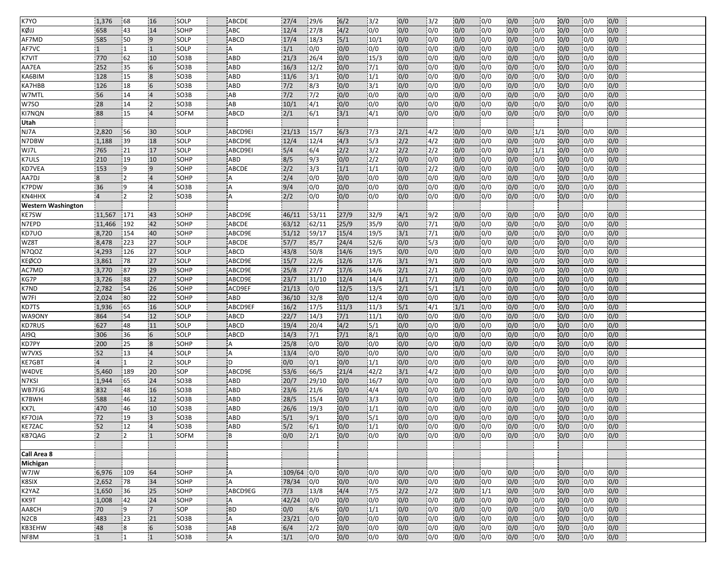| K7YO                      | 1,376          | 68              | 16                               | SOLP              | ABCDE       | 27/4         | 29/6          | 6/2        | 3/2              | 0/0              | $\frac{13}{2}$   | 0/0        | 0/0              | 0/0                     | 0/0              | 0/0        | 0/0               | 0/0        |  |
|---------------------------|----------------|-----------------|----------------------------------|-------------------|-------------|--------------|---------------|------------|------------------|------------------|------------------|------------|------------------|-------------------------|------------------|------------|-------------------|------------|--|
| кøл                       | 658            | 43              | 14                               | SOHP              | ABC         | 12/4         | 27/8          | 4/2        | 0/0              | 0/0              | 0/0              | 0/0        | 0/0              | 0/0                     | 0/0              | 0/0        | 0/0               | 0/0        |  |
| AF7MD                     | 585            | 50              | 9                                | SOLP              | <b>ABCD</b> | 17/4         | 18/3          | 5/1        | 10/1             | 0/0              | 0/0              | 0/0        | 0/0              | 0/0                     | 0/0              | 0/0        | 0/0               | 0/0        |  |
| AF7VC                     | $\mathbf{1}$   | $\mathbf{1}$    | $\overline{1}$                   | SOLP              | А           | 1/1          | 0/0           | 0/0        | 0/0              | 0/0              | $\overline{0/0}$ | 0/0        | 0/0              | 0/0                     | 0/0              | 0/0        | $\overline{0/0}$  | 0/0        |  |
| K7VIT                     | 770            | 62              | 10                               | SO3B              | ABD         | 21/3         | 26/4          | 0/0        | 15/3             | 0/0              | 0/0              | 0/0        | 0/0              | 0/0                     | 0/0              | 0/0        | 0/0               | 0/0        |  |
| AA7EA                     | 252            | 35              | $6\phantom{a}$                   | SO3B              | ABD         | 16/3         | 12/2          | 0/0        | 7/1              | 0/0              | 0/0              | 0/0        | 0/0              | 0/0                     | 0/0              | 0/0        | 0/0               | 0/0        |  |
| KA6BIM                    | 128            | 15              | $\overline{8}$                   | SO3B              | ABD         | 11/6         | 3/1           | 0/0        | 1/1              | 0/0              | 0/0              | 0/0        | 0/0              | 0/0                     | 0/0              | 0/0        | 0/0               | 0/0        |  |
| <b>KA7HBB</b>             | 126            | 18              | 6                                | SO <sub>3</sub> B | ABD         | $7/2$        | 8/3           | 0/0        | 3/1              | 0/0              | 0/0              | 0/0        | 0/0              | 0/0                     | 0/0              | 0/0        | 0/0               | 0/0        |  |
| W7MTL                     | 56             | 14              | $\overline{4}$                   | SO3B              | AB          | $7/2$        | 7/2           | 0/0        | 0/0              | 0/0              | 0/0              | 0/0        | 0/0              | 0/0                     | 0/0              | 0/0        | 0/0               | 0/0        |  |
| W7SO                      | 28             | 14              | $\overline{2}$                   | SO <sub>3</sub> B | AB          | 10/1         | 4/1           | 0/0        | 0/0              | 0/0              | 0/0              | 0/0        | 0/0              | 0/0                     | 0/0              | 0/0        | 0/0               | 0/0        |  |
| <b>KI7NQN</b>             | 88             | 15              | $\overline{4}$                   | SOFM              | ABCD        | 2/1          | 6/1           | 3/1        | 4/1              | 0/0              | 0/0              | 0/0        | 0/0              | 0/0                     | 0/0              | 0/0        | 0/0               | 0/0        |  |
| Utah                      |                |                 |                                  |                   |             |              |               |            |                  |                  |                  |            |                  |                         |                  |            |                   |            |  |
| NJ7A                      | 2,820          | 56              | 30                               | SOLP              | ABCD9EI     | 21/13        | 15/7          | 6/3        | 17/3             | 2/1              | 4/2              | 0/0        | 0/0              | 0/0                     | 1/1              | 0/0        | 0/0               | 0/0        |  |
| N7DBW                     | 1,188          | 39              | 18                               | SOLP              | ABCD9E      | 12/4         | 12/4          | 4/3        | 5/3              | 2/2              | 4/2              | 0/0        | 0/0              | 0/0                     | 0/0              | 0/0        | 0/0               | 0/0        |  |
| WJ7L                      | 765            | 21              | 17                               | SOLP              | ABCD9EI     | 5/4          | 6/4           | 2/2        | 3/2              | 2/2              | 2/2              | 0/0        | 0/0              | 0/0                     | 1/1              | 0/0        | 0/0               | 0/0        |  |
| <b>K7ULS</b>              | 210            | 19              | 10                               | SOHP              | ABD         | 8/5          | 9/3           | 0/0        | 2/2              | 0/0              | 0/0              | 0/0        | 0/0              | 0/0                     | 0/0              | 0/0        | 0/0               | 0/0        |  |
| <b>KD7VEA</b>             | 153            | 19              | $\overline{9}$                   | SOHP              | ABCDE       | 2/2          | 3/3           | 1/1        | 1/1              | 0/0              | 2/2              | 0/0        | 0/0              | 0/0                     | 0/0              | 0/0        | 0/0               | 0/0        |  |
| AA7DJ                     | 8              | 12              | $\overline{4}$                   | SOHP              | A           | 2/4          | 0/0           | 0/0        | 0/0              | 0/0              | 0/0              | 0/0        | 0/0              | 0/0                     | 0/0              | 0/0        | 0/0               | 0/0        |  |
| <b>K7PDW</b>              | 36             | و               |                                  | SO3B              | A           | 9/4          | 0/0           | 0/0        | 0/0              | 0/0              | 0/0              | 0/0        | 0/0              | 0/0                     | 0/0              | 0/0        | 0/0               | 0/0        |  |
| KN4HHX                    | $\overline{4}$ | 12              | <b>2</b>                         | <b>ISO3B</b>      | A           | 2/2          | 0/0           | 0/0        | 0/0              | 0/0              | 0/0              | 0/0        | 0/0              | 0/0                     | 0/0              | 0/0        | 0/0               | 0/0        |  |
| <b>Western Washington</b> |                |                 |                                  |                   |             |              |               |            |                  |                  |                  |            |                  |                         |                  |            |                   |            |  |
| <b>KE7SW</b>              | 11,567         | 171             | 43                               | SOHP              | ABCD9E      | 46/11        | 53/11         | 27/9       | 32/9             | 4/1              | 9/2              | 0/0        | 0/0              | 0/0                     | 0/0              | 0/0        | 0/0               | 0/0        |  |
| N7EPD                     | 11,466         | 192             | 42                               | SOHP              | ABCDE       | 63/12        | 62/11         | 25/9       | 35/9             | 0/0              | 7/1              | 0/0        | 0/0              | 0/0                     | 0/0              | 0/0        | 0/0               | 0/0        |  |
| KD7UO                     | 8,720          | 154             | 40                               | SOHP              | ABCD9E      | 51/12        | 59/17         | 15/4       | 19/5             | 3/1              | 7/1              | 0/0        | 0/0              | 0/0                     | 0/0              | 0/0        | 0/0               | 0/0        |  |
| WZ8T                      | 8,478          | 223             | 27                               | <b>SOLP</b>       | ABCDE       | 57/7         | 85/7          | 24/4       | 52/6             | 0/0              | $\sqrt{5/3}$     | 0/0        | 0/0              | 0/0                     | 0/0              | 0/0        | 0/0               | 0/0        |  |
| N7QOZ                     | 4,293          | 126             | 27                               | SOLP              | ABCD        | 43/8         | 50/8          | 14/6       | 19/5             | 0/0              | 0/0              | 0/0        | 0/0              | $\overline{0/0}$        | 0/0              | 0/0        | 0/0               | 0/0        |  |
| <b>KEØCO</b>              | 3,861          | 78              | 27                               | SOLP              | ABCD9E      | 15/7         | 22/6          | 12/6       | 17/6             | 3/1              | 9/1              | 0/0        | 0/0              | 0/0                     | 0/0              | 0/0        | 0/0               | 0/0        |  |
| AC7MD                     | 3,770          | 87              | 29                               | SOHP              | ABCD9E      | 25/8         | 27/7          | 17/6       | 14/6             | 2/1              | 2/1              | 0/0        | 0/0              | 0/0                     | 0/0              | 0/0        | 0/0               | 0/0        |  |
| KG7P                      | 3,726          | 88              | 27                               | SOHP              | ABCD9E      | 23/7         | 31/10         | 12/4       | 14/4             | 1/1              | $\frac{1}{7}{1}$ | 0/0        | 0/0              | 0/0                     | 0/0              | 0/0        | 0/0               | 0/0        |  |
| K7ND                      | 2,782          | 54              | 26                               | <b>SOHP</b>       | ACD9EF      | 21/13        | 0/0           | 12/5       | 13/5             | 2/1              | 5/1              | 1/1        | 0/0              | 0/0                     | $\overline{0/0}$ | 0/0        | 0/0               | 0/0        |  |
| W7FI                      | 2,024          | 80              | 22                               | SOHP              | ABD         | 36/10        | 32/8          | 0/0        | 12/4             | 0/0              | 0/0              | 0/0        | 0/0              | 0/0                     | 0/0              | 0/0        | 0/0               | 0/0        |  |
| KD7TS                     | 1,936          | 65              | 16                               | SOLP              | ABCD9EF     | 16/2         | 17/5          | 11/3       | 11/3             | 5/1              | $\sqrt{4/1}$     | 1/1        | 0/0              | 0/0                     | 0/0              | 0/0        | 0/0               | 0/0        |  |
| WA9ONY                    | 864            | 54              | 12                               | SOLP              | ABCD        | 22/7         | 14/3          | 7/1        | 11/1             | 0/0              | 0/0              | 0/0        | 0/0              | 0/0                     | 0/0              | 0/0        | 0/0               | 0/0        |  |
| KD7RUS                    | 627            | 48              | 11                               | SOLP              | <b>ABCD</b> | 19/4         | 20/4          | 4/2        | 5/1              | 0/0              | 0/0              | 0/0        | 0/0              | 0/0                     | 0/0              | 0/0        | $\overline{0/0}$  | 0/0        |  |
| Al9Q                      | 306            | 36              | $6 \overline{6}$                 | SOLP              | ABCD        | 14/3         | 7/1           | 7/1        | 8/1              | 0/0              | 0/0              | 0/0        | 0/0              | 0/0                     | 0/0              | 0/0        | 0/0               | 0/0        |  |
| KD7PY                     | 200<br>52      | 25<br>13        | $\overline{8}$<br>$\overline{4}$ | SOHP<br>SOLP      | А           | 25/8<br>13/4 | 0/0           | 0/0<br>0/0 | 0/0<br>0/0       | 0/0<br>0/0       | 0/0              | 0/0        | 0/0              | $\overline{0/0}$<br>0/0 | 0/0              | 0/0        | 0/0               | 0/0<br>0/0 |  |
| W7VXS<br>KE7GBT           | $\Delta$       |                 | $\overline{2}$                   | SOLP              | А<br>D      | 0/0          | 0/0           | 0/0        | 1/1              |                  | 0/0<br>0/0       | 0/0        | 0/0              |                         | 0/0              | 0/0<br>0/0 | 0/0               |            |  |
| W4DVE                     | 5,460          | 189             | 20                               | <b>SOP</b>        | ABCD9E      | 53/6         | 0/1<br>66/5   | 21/4       | 42/2             | 0/0<br>3/1       | $\sqrt{4/2}$     | 0/0<br>0/0 | 0/0<br>0/0       | 0/0<br>0/0              | 0/0<br>0/0       | 0/0        | 0/0<br>0/0        | 0/0<br>0/0 |  |
| N7KSI                     |                | 65              | 24                               | SO3B              |             | 20/7         |               |            | 16/7             |                  | 0/0              |            |                  | 0/0                     |                  |            |                   | 0/0        |  |
| WB7FJG                    | 1,944<br>832   | 48              | 16                               | SO <sub>3</sub> B | ABD<br>ABD  | 23/6         | 29/10<br>21/6 | 0/0<br>0/0 | 4/4              | 0/0<br>0/0       | 0/0              | 0/0<br>0/0 | 0/0<br>0/0       | 0/0                     | 0/0<br>0/0       | 0/0<br>0/0 | 0/0<br> 0/0       | 0/0        |  |
| K7BWH                     | 588            | 46              | 12                               | SO <sub>3</sub> B | ABD         | 28/5         | 15/4          | 0/0        | 3/3              | 0/0              | 0/0              | 0/0        | 0/0              | 0/0                     | 0/0              | 0/0        | 0/0               | 0/0        |  |
| KX7L                      | 470            | 46              | 10                               | SO3B              | ABD         | 26/6         | 19/3          | 0/0        | 1/1              | 0/0              | 0/0              | 0/0        | 0/0              | 0/0                     | 0/0              | 0/0        | 0/0               | 0/0        |  |
| <b>KF7OJA</b>             | 72             | 19              | 3                                | SO <sub>3</sub> B | ABD         | 5/1          | 9/1           | 0/0        | 5/1              | 0/0              | 0/0              | 0/0        | 0/0              | 0/0                     | 0/0              | 0/0        | 0/0               | 0/0        |  |
| KE7ZAC                    | 52             | $\overline{12}$ | $\overline{4}$                   | <b>SO3B</b>       | ABD         | 5/2          | 6/1           | 0/0        | 1/1              | 0/0              | $\overline{0/0}$ | 0/0        | 0/0              | 0/0                     | 0/0              | 0/0        | $\overline{10/0}$ | 0/0        |  |
| KB7QAG                    | $\overline{2}$ | $\overline{2}$  | $\overline{1}$                   | SOFM              | B           | 0/0          | 2/1           | 0/0        | 0/0              | 0/0              | 0/0              | 0/0        | 0/0              | 0/0                     | 0/0              | 0/0        | 0/0               | 0/0        |  |
|                           |                |                 |                                  |                   |             |              |               |            |                  |                  |                  |            |                  |                         |                  |            |                   |            |  |
| Call Area 8               |                |                 |                                  |                   |             |              |               |            |                  |                  |                  |            |                  |                         |                  |            |                   |            |  |
| Michigan                  |                |                 |                                  |                   |             |              |               |            |                  |                  |                  |            |                  |                         |                  |            |                   |            |  |
| W7JW                      | 6,976          | 109             | 64                               | SOHP              | A           | 109/64 0/0   |               | 0/0        | 0/0              | 0/0              | 0/0              | 0/0        | 0/0              | 0/0                     | 0/0              | 0/0        | 0/0               | 0/0        |  |
| K8SIX                     | 2,652          | 78              | 34                               | SOHP              | A           | 78/34        | 0/0           | 0/0        | $\overline{0/0}$ | 0/0              | 0/0              | 0/0        | 0/0              | 0/0                     | 0/0              | 0/0        | 0/0               | 0/0        |  |
| K2YAZ                     | 1,650          | $ 36$           | 25                               | SOHP              | ABCD9EG     | 7/3          | 13/8          | 4/4        | $7/5$            | $\overline{2/2}$ | $\overline{2/2}$ | 0/0        | $\overline{1/1}$ | 0/0                     | 0/0              | 0/0        | 0/0               | 0/0        |  |
| KK9T                      | 1,008          | 42              | 24                               | SOHP              | A           | 42/24        | 0/0           | 0/0        | 0/0              | 0/0              | 0/0              | 0/0        | 0/0              | 0/0                     | 0/0              | 0/0        | 0/0               | 0/0        |  |
| AA8CH                     | 70             | 9               | $\overline{7}$                   | SOP               | <b>BD</b>   | 0/0          | 8/6           | 0/0        | 1/1              | 0/0              | 0/0              | 0/0        | 0/0              | 0/0                     | 0/0              | 0/0        | 0/0               | 0/0        |  |
| N2CB                      | 483            | 23              | 21                               | SO3B              | A           | 23/21        | 0/0           | 0/0        | 0/0              | 0/0              | 0/0              | 0/0        | 0/0              | 0/0                     | 0/0              | 0/0        | 0/0               | 0/0        |  |
| KB3EHW                    | 48             | 8               | 6                                | SO <sub>3</sub> B | AB          | 6/4          | 2/2           | 0/0        | 0/0              | 0/0              | 0/0              | 0/0        | 0/0              | 0/0                     | 0/0              | 0/0        | 0/0               | 0/0        |  |
| NF8M                      | $\mathbf{1}$   | 1               | $\vert$ 1                        | SO <sub>3</sub> B | A           | 1/1          | 0/0           | 0/0        | 0/0              | 0/0              | 0/0              | 0/0        | 0/0              | 0/0                     | 0/0              | 0/0        | 0/0               | 0/0        |  |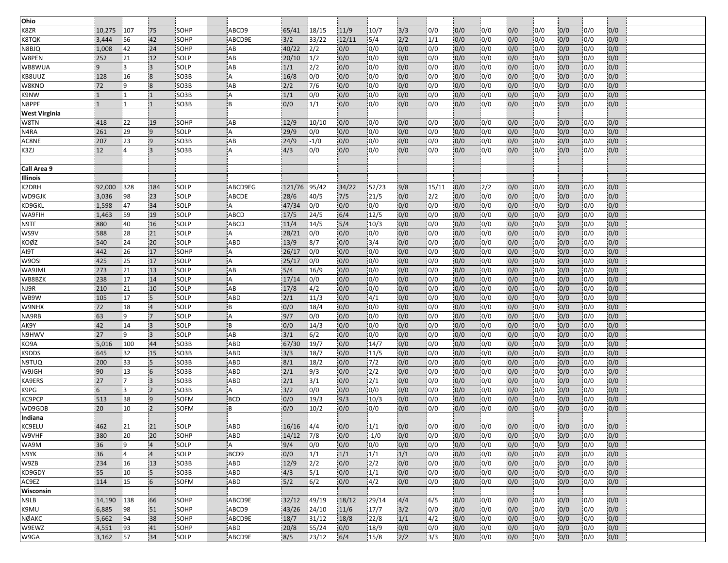| Ohio                 |              |     |                |                   |             |              |        |       |                  |     |                  |     |                  |     |                  |     |                  |     |  |
|----------------------|--------------|-----|----------------|-------------------|-------------|--------------|--------|-------|------------------|-----|------------------|-----|------------------|-----|------------------|-----|------------------|-----|--|
| K8ZR                 | 10,275       | 107 | 75             | SOHP              | ABCD9       | 65/41        | 18/15  | 11/9  | 10/7             | 3/3 | 0/0              | 0/0 | 0/0              | 0/0 | 0/0              | 0/0 | 0/0              | 0/0 |  |
| <b>K8TQK</b>         | 3,444        | 56  | 42             | SOHP              | ABCD9E      | 3/2          | 33/22  | 12/11 | $\frac{5}{4}$    | 2/2 | 1/1              | 0/0 | 0/0              | 0/0 | 0/0              | 0/0 | 0/0              | 0/0 |  |
| N8BJQ                | 1,008        | 42  | 24             | SOHP              | AB          | 40/22        | 2/2    | 0/0   | 0/0              | 0/0 | 0/0              | 0/0 | 0/0              | 0/0 | 0/0              | 0/0 | 0/0              | 0/0 |  |
| W8PEN                | 252          | 21  | 12             | <b>SOLP</b>       | AB          | 20/10        | 1/2    | 0/0   | 0/0              | 0/0 | 0/0              | 0/0 | 0/0              | 0/0 | 0/0              | 0/0 | 0/0              | 0/0 |  |
| WB8WUA               | 9            | із  | $\overline{3}$ | SOLP              | AB          | 1/1          | 2/2    | 0/0   | 0/0              | 0/0 | 0/0              | 0/0 | 0/0              | 0/0 | 0/0              | 0/0 | 0/0              | 0/0 |  |
|                      | 128          | 16  | $\overline{8}$ | SO <sub>3</sub> B | A           | 16/8         | 0/0    | 0/0   | 0/0              | 0/0 | 0/0              | 0/0 | 0/0              | 0/0 | 0/0              | 0/0 | 0/0              | 0/0 |  |
| KB8UUZ               |              | 19  | 8              |                   | AB          |              |        |       | 0/0              | 0/0 | 0/0              |     |                  |     |                  |     |                  |     |  |
| W8KNO                | 72           |     |                | SO <sub>3</sub> B |             | 2/2          | 7/6    | 0/0   |                  |     |                  | 0/0 | 0/0              | 0/0 | 0/0              | 0/0 | 0/0              | 0/0 |  |
| K9NW                 | $\mathbf{1}$ |     |                | SO3B              | A           | 1/1          | 0/0    | 0/0   | 0/0              | 0/0 | 0/0              | 0/0 | 0/0              | 0/0 | 0/0              | 0/0 | 0/0              | 0/0 |  |
| N8PPF                | $\mathbf{1}$ | ۱1  |                | SO3B              | B           | 0/0          | 1/1    | 0/0   | 0/0              | 0/0 | 0/0              | 0/0 | 0/0              | 0/0 | 0/0              | 0/0 | 0/0              | 0/0 |  |
| <b>West Virginia</b> |              |     |                |                   |             |              |        |       |                  |     |                  |     |                  |     |                  |     |                  |     |  |
| W8TN                 | 418          | 22  | 19             | SOHP              | AB          | 12/9         | 10/10  | 0/0   | 0/0              | 0/0 | 0/0              | 0/0 | 0/0              | 0/0 | 0/0              | 0/0 | 0/0              | 0/0 |  |
| N4RA                 | 261          | 29  | $\overline{9}$ | SOLP              | Α           | 29/9         | 0/0    | 0/0   | 0/0              | 0/0 | 0/0              | 0/0 | 0/0              | 0/0 | 0/0              | 0/0 | 0/0              | 0/0 |  |
| AC8NE                | 207          | 23  | $\overline{9}$ | SO <sub>3</sub> B | AB          | 24/9         | $-1/0$ | 0/0   | 0/0              | 0/0 | 0/0              | 0/0 | 0/0              | 0/0 | 0/0              | 0/0 | 0/0              | 0/0 |  |
| K3ZJ                 | 12           | 14  | 3              | SO3B              | A           | 4/3          | 0/0    | 0/0   | 0/0              | 0/0 | 0/0              | 0/0 | 0/0              | 0/0 | 0/0              | 0/0 | 0/0              | 0/0 |  |
|                      |              |     |                |                   |             |              |        |       |                  |     |                  |     |                  |     |                  |     |                  |     |  |
| Call Area 9          |              |     |                |                   |             |              |        |       |                  |     |                  |     |                  |     |                  |     |                  |     |  |
| Illinois             |              |     |                |                   |             |              |        |       |                  |     |                  |     |                  |     |                  |     |                  |     |  |
| K2DRH                | 92,000       | 328 | 184            | SOLP              | ABCD9EG     | 121/76 95/42 |        | 34/22 | 52/23            | 9/8 | 15/11            | 0/0 | 12/2             | 0/0 | 0/0              | 0/0 | 0/0              | 0/0 |  |
| WD9GJK               | 3,036        | 98  | 23             | SOLP              | ABCDE       | 28/6         | 40/5   | 7/5   | 21/5             | 0/0 | $\frac{2}{2}$    | 0/0 | 0/0              | 0/0 | 0/0              | 0/0 | 0/0              | 0/0 |  |
| KD9GKL               | 1,598        | 47  | 34             | SOLP              | А           | 47/34        | 0/0    | 0/0   | 0/0              | 0/0 | 0/0              | 0/0 | 0/0              | 0/0 | 0/0              | 0/0 | 0/0              | 0/0 |  |
| WA9FIH               | 1,463        | 59  | 19             | SOLP              | <b>ABCD</b> | 17/5         | 24/5   | 6/4   | 12/5             | 0/0 | 0/0              | 0/0 | 0/0              | 0/0 | 0/0              | 0/0 | 0/0              | 0/0 |  |
| N9TF                 | 880          | 40  | 16             | SOLP              | <b>ABCD</b> | 11/4         | 14/5   | 5/4   | 10/3             | 0/0 | 0/0              | 0/0 | 0/0              | 0/0 | 0/0              | 0/0 | 0/0              | 0/0 |  |
| WS9V                 | 588          | 28  | 21             | SOLP              | А           | 28/21        | 0/0    | 0/0   | 0/0              | 0/0 | 0/0              | 0/0 | 0/0              | 0/0 | 0/0              | 0/0 | 0/0              | 0/0 |  |
| KOØZ                 | 540          | 24  | 20             | <b>SOLP</b>       | <b>ABD</b>  | 13/9         | 8/7    | 0/0   | 3/4              | 0/0 | $\overline{0/0}$ | 0/0 | 10/0             | 0/0 | $\overline{0/0}$ | 0/0 | 10/0             | 0/0 |  |
| AI9T                 | 442          | 26  | 17             | SOHP              | A           | 26/17        | 0/0    | 0/0   | 0/0              | 0/0 | 0/0              | 0/0 | 0/0              | 0/0 | 0/0              | 0/0 | 0/0              | 0/0 |  |
| W9OSI                | 425          | 25  | 17             | SOLP              | ΙA          | 25/17        | 0/0    | 0/0   | 0/0              | 0/0 | $\overline{0/0}$ | 0/0 | 0/0              | 0/0 | 0/0              | 0/0 | 0/0              | 0/0 |  |
| WA9JML               | 273          | 21  | 13             | SOLP              | AB          | 5/4          | 16/9   | 0/0   | 0/0              | 0/0 | 0/0              | 0/0 | 0/0              | 0/0 | $\overline{0/0}$ | 0/0 | 0/0              | 0/0 |  |
| WB8BZK               | 238          | 17  | 14             | <b>SOLP</b>       | A           | 17/14        | 0/0    | 0/0   | 0/0              | 0/0 | 0/0              | 0/0 | 0/0              | 0/0 | 0/0              | 0/0 | $\overline{0/0}$ | 0/0 |  |
| NJ9R                 | 210          | 21  | 10             | SOLP              | AB          | 17/8         | 14/2   | 0/0   | 0/0              | 0/0 | 0/0              | 0/0 | 0/0              | 0/0 | 0/0              | 0/0 | 0/0              | 0/0 |  |
| WB9W                 | 105          | 17  | $\overline{5}$ | SOLP              | ABD         | 2/1          | 11/3   | 0/0   | 4/1              | 0/0 | 0/0              | 0/0 | 0/0              | 0/0 | 0/0              | 0/0 | 0/0              | 0/0 |  |
| W9NHX                | 72           | 18  |                | SOLP              | B           | 0/0          | 18/4   | 0/0   | 0/0              | 0/0 | 0/0              | 0/0 | 0/0              | 0/0 | 0/0              | 0/0 | $\overline{0/0}$ | 0/0 |  |
| NA9RB                | 63           | 19  | $\overline{7}$ | SOLP              | A           | 9/7          | 0/0    | 0/0   | 0/0              | 0/0 | $\overline{0/0}$ | 0/0 | 0/0              | 0/0 | 0/0              | 0/0 | 0/0              | 0/0 |  |
| AK9Y                 | 42           | 14  | 3              | SOLP              | B           | 0/0          | 14/3   | 0/0   | 0/0              | 0/0 | 0/0              | 0/0 | $\overline{0/0}$ | 0/0 | 0/0              | 0/0 | 0/0              | 0/0 |  |
| N9HWV                | 27           | 19  | $\overline{3}$ | SOLP              | AB          | 3/1          | 6/2    | 0/0   | 0/0              | 0/0 | $\overline{0/0}$ | 0/0 | 0/0              | 0/0 | 0/0              | 0/0 | $\overline{0/0}$ | 0/0 |  |
| KO9A                 | 5,016        | 100 | 44             | SO <sub>3</sub> B | ABD         | 67/30        | 19/7   | 0/0   | 14/7             | 0/0 | 0/0              | 0/0 | 0/0              | 0/0 | 0/0              | 0/0 | 0/0              | 0/0 |  |
|                      | 645          | 32  | 15             | SO <sub>3</sub> B | <b>ABD</b>  | 3/3          | 18/7   | 0/0   | 11/5             | 0/0 | 0/0              | 0/0 | 0/0              | 0/0 | 0/0              | 0/0 | 0/0              | 0/0 |  |
| K9DDS                |              | 33  |                | SO3B              | ABD         |              |        | 0/0   |                  |     |                  | 0/0 |                  | 0/0 |                  |     |                  |     |  |
| N9TUQ                | 200          |     | 5<br>6         |                   |             | 8/1          | 18/2   |       | 7/2              | 0/0 | 0/0              |     | 0/0              |     | 0/0              | 0/0 | 0/0              | 0/0 |  |
| W9JGH                | 90           | 13  |                | SO3B              | ABD         | 2/1          | 9/3    | 0/0   | 2/2              | 0/0 | 0/0              | 0/0 | 0/0              | 0/0 | 0/0              | 0/0 | 0/0              | 0/0 |  |
| KA9ERS               | 27           | 17  | $\overline{3}$ | SO <sub>3</sub> B | ABD         | 2/1          | 3/1    | 0/0   | 2/1              | 0/0 | 0/0              | 0/0 | 0/0              | 0/0 | 0/0              | 0/0 | 0/0              | 0/0 |  |
| K9PG                 | 6            | l3  |                | SO <sub>3</sub> B | A           | 3/2          | 0/0    | 0/0   | 0/0              | 0/0 | 0/0              | 0/0 | 0/0              | 0/0 | 0/0              | 0/0 | 0/0              | 0/0 |  |
| KC9PCP               | 513          | 38  | $\overline{9}$ | SOFM              | <b>BCD</b>  | 0/0          | 19/3   | 9/3   | 10/3             | 0/0 | 0/0              | 0/0 | 0/0              | 0/0 | 0/0              | 0/0 | 0/0              | 0/0 |  |
| WD9GDB               | 20           | 10  | 2              | SOFM              | B           | 0/0          | 10/2   | 0/0   | 0/0              | 0/0 | 0/0              | 0/0 | 0/0              | 0/0 | 0/0              | 0/0 | 0/0              | 0/0 |  |
| Indiana              |              |     |                |                   |             |              |        |       |                  |     |                  |     |                  |     |                  |     |                  |     |  |
| KC9ELU               | 462          | 21  | 21             | SOLP              | ABD         | 16/16        | $-4/4$ | 0/0   | $\overline{1/1}$ | 0/0 | 0/0              | 0/0 | 0/0              | 0/0 | 0/0              | 0/0 | 0/0              | 0/0 |  |
| W9VHF                | 380          | 20  | 20             | SOHP              | ABD         | 14/12        | 7/8    | 0/0   | $-1/0$           | 0/0 | 0/0              | 0/0 | 0/0              | 0/0 | 0/0              | 0/0 | 0/0              | 0/0 |  |
| WA9M                 | 36           | -9  |                | SOLP              | A           | 9/4          | 0/0    | 0/0   | 0/0              | 0/0 | 0/0              | 0/0 | 0/0              | 0/0 | 0/0              | 0/0 | 0/0              | 0/0 |  |
| N9YK                 | 36           | 14  | $\overline{4}$ | SOLP              | BCD9        | 0/0          | 1/1    | 1/1   | 1/1              | 1/1 | 0/0              | 0/0 | 0/0              | 0/0 | 0/0              | 0/0 | 0/0              | 0/0 |  |
| W9ZB                 | 234          | 16  | 13             | SO <sub>3</sub> B | <b>ABD</b>  | 12/9         | 2/2    | 0/0   | $\frac{12}{2}$   | 0/0 | 0/0              | 0/0 | 0/0              | 0/0 | 0/0              | 0/0 | 0/0              | 0/0 |  |
| KD9GDY               | 55           | 10  | $5\phantom{.}$ | SO <sub>3</sub> B | ABD         | 4/3          | 5/1    | 0/0   | 1/1              | 0/0 | 0/0              | 0/0 | 0/0              | 0/0 | 0/0              | 0/0 | 0/0              | 0/0 |  |
| AC9EZ                | 114          | 15  | 6              | <b>SOFM</b>       | ABD         | 5/2          | 6/2    | 0/0   | 4/2              | 0/0 | 0/0              | 0/0 | 0/0              | 0/0 | 0/0              | 0/0 | 0/0              | 0/0 |  |
| Wisconsin            |              |     |                |                   |             |              |        |       |                  |     |                  |     |                  |     |                  |     |                  |     |  |
| N9LB                 | 14,190       | 138 | 66             | SOHP              | ABCD9E      | 32/12        | 49/19  | 18/12 | 29/14            | 4/4 | 6/5              | 0/0 | 0/0              | 0/0 | 0/0              | 0/0 | 0/0              | 0/0 |  |
| K9MU                 | 6,885        | 198 | 51             | SOHP              | ABCD9       | 43/26        | 124/10 | 11/6  | 17/7             | 3/2 | 0/0              | 0/0 | 0/0              | 0/0 | 0/0              | 0/0 | 0/0              | 0/0 |  |
| NØAKC                | 5,662        | 94  | 38             | SOHP              | ABCD9E      | 18/7         | 31/12  | 18/8  | 22/8             | 1/1 | $\sqrt{4/2}$     | 0/0 | 0/0              | 0/0 | 0/0              | 0/0 | 0/0              | 0/0 |  |
| W9EWZ                | 4,551        | 93  | 41             | SOHP              | ABD         | 20/8         | 55/24  | 0/0   | 18/9             | 0/0 | 0/0              | 0/0 | 0/0              | 0/0 | 0/0              | 0/0 | 0/0              | 0/0 |  |
| W9GA                 | 3,162        | 57  | 34             | SOLP              | ABCD9E      | 8/5          | 23/12  | 6/4   | 15/8             | 2/2 | 3/3              | 0/0 | 0/0              | 0/0 | 0/0              | 0/0 | 0/0              | 0/0 |  |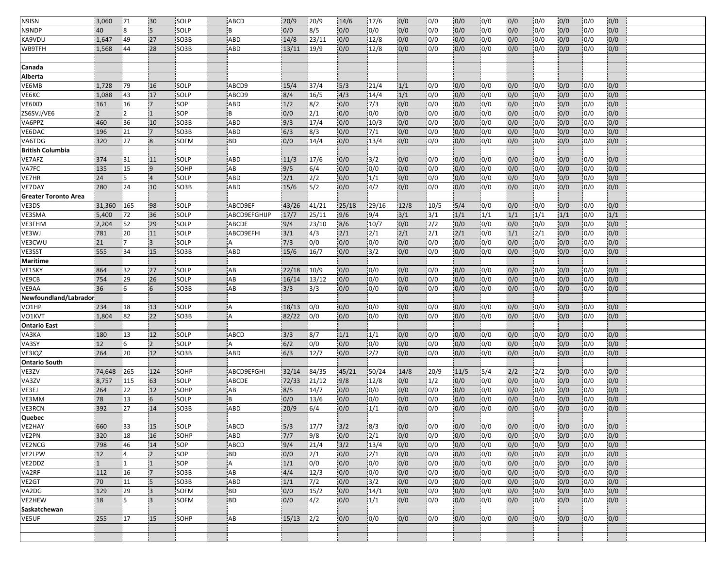| N9ISN                          | 3,060          | 71             | 30                      | SOLP              | <b>ABCD</b>    | 20/9       | 20/9          | 14/6  | 17/6                     | 0/0   | 0/0              | 0/0  | 0/0 | 0/0 | 0/0  | 0/0 | 10/0       | 0/0 |  |
|--------------------------------|----------------|----------------|-------------------------|-------------------|----------------|------------|---------------|-------|--------------------------|-------|------------------|------|-----|-----|------|-----|------------|-----|--|
| N9NDP                          | 40             | 8              | $\overline{5}$          | <b>SOLP</b>       | B              | 0/0        | 8/5           | 0/0   | 0/0                      | 0/0   | 0/0              | 0/0  | 0/0 | 0/0 | 0/0  | 0/0 | 0/0        | 0/0 |  |
| KA9VDU                         | 1,647          | 49             | 27                      | SO <sub>3</sub> B | <b>ABD</b>     | 14/8       | 23/11         | 0/0   | 12/8                     | 0/0   | 0/0              | 0/0  | 0/0 | 0/0 | 0/0  | 0/0 | 0/0        | 0/0 |  |
| WB9TFH                         | 1,568          | 44             | 28                      | SO3B              | ABD            | 13/11      | 19/9          | 0/0   | 12/8                     | 0/0   | 0/0              | 0/0  | 0/0 | 0/0 | 0/0  | 0/0 | 0/0        | 0/0 |  |
|                                |                |                |                         |                   |                |            |               |       |                          |       |                  |      |     |     |      |     |            |     |  |
| Canada                         |                |                |                         |                   |                |            |               |       |                          |       |                  |      |     |     |      |     |            |     |  |
| Alberta                        |                |                |                         |                   |                |            |               |       |                          |       |                  |      |     |     |      |     |            |     |  |
| VE6MB                          | 1,728          | 79             | 16                      | SOLP              | ABCD9          | 15/4       | 37/4          | 5/3   | 21/4                     | 1/1   | 0/0              | 0/0  | 0/0 | 0/0 | 0/0  | 0/0 | 0/0        | 0/0 |  |
| VE6KC                          | 1,088          | 43             | 17                      | SOLP              | ABCD9          | 8/4        | 16/5          | 4/3   | 14/4                     | 1/1   | 0/0              | 0/0  | 0/0 | 0/0 | 0/0  | 0/0 | 0/0        | 0/0 |  |
| VE6IXD                         | 161            | 16             | $\overline{7}$          | <b>SOP</b>        | ABD            | 1/2        | 8/2           | 0/0   | 7/3                      | 0/0   | 0/0              | 0/0  | 0/0 | 0/0 | 0/0  | 0/0 | 0/0        | 0/0 |  |
| ZS6SVJ/VE6                     | $\overline{2}$ | 12             | $\mathbf{1}$            | <b>SOP</b>        | B              | 0/0        | 2/1           | 0/0   | 0/0                      | 0/0   | 0/0              | 0/0  | 0/0 | 0/0 | 0/0  | 0/0 | 0/0        | 0/0 |  |
| VA6PPZ                         | 460            | 36             | 10                      | SO <sub>3</sub> B | <b>ABD</b>     | 9/3        | 17/4          | 0/0   | 10/3                     | 0/0   | 0/0              | 0/0  | 0/0 | 0/0 | 0/0  | 0/0 | 0/0        | 0/0 |  |
| VE6DAC                         | 196            | 21             | $\overline{7}$          | SO3B              | <b>ABD</b>     | 6/3        | 8/3           | 0/0   | 7/1                      | 0/0   | 0/0              | 0/0  | 0/0 | 0/0 | 0/0  | 0/0 | 0/0        | 0/0 |  |
| VA6TDG                         | 320            | 27             | $\overline{8}$          | <b>SOFM</b>       | <b>BD</b>      | 0/0        | 14/4          | 0/0   | 13/4                     | 0/0   | 0/0              | 0/0  | 0/0 | 0/0 | 0/0  | 0/0 | 0/0        | 0/0 |  |
| <b>British Columbia</b>        |                |                |                         |                   |                |            |               |       |                          |       |                  |      |     |     |      |     |            |     |  |
| VE7AFZ                         | 374            | 31             | 11                      | SOLP              | ABD            | 11/3       | 17/6          | 0/0   | 3/2                      | 0/0   | 0/0              | 0/0  | 0/0 | 0/0 | 0/0  | 0/0 | 0/0        | 0/0 |  |
| VA7FC                          | 135            | 15             | 9                       | SOHP              | AB             | 9/5        | 6/4           | 0/0   | 0/0                      | 0/0   | 0/0              | 0/0  | 0/0 | 0/0 | 0/0  | 0/0 | 0/0        | 0/0 |  |
| <b>VE7HR</b>                   | 24             | 15             | $\overline{4}$          | SOLP              | ABD            | 2/1        | $\frac{2}{2}$ | 0/0   | 1/1                      | 0/0   | 0/0              | 0/0  | 0/0 | 0/0 | 0/0  | 0/0 | 0/0        | 0/0 |  |
| VE7DAY                         | 280            | 24             | 10                      | SO3B              | ABD            | 15/6       | 5/2           | 0/0   | 4/2                      | 0/0   | 0/0              | 0/0  | 0/0 | 0/0 | 0/0  | 0/0 | 0/0        | 0/0 |  |
| <b>Greater Toronto Area</b>    |                |                |                         |                   |                |            |               |       |                          |       |                  |      |     |     |      |     |            |     |  |
| VE3DS                          | 31,360         | 165            | 98                      | SOLP              | ABCD9EF        | 43/26      | 41/21         | 25/18 | 29/16                    | 12/8  | 10/5             | 5/4  | 0/0 | 0/0 | 0/0  | 0/0 | 0/0        | 0/0 |  |
| VE3SMA                         | 5,400          | 72             | 36                      | SOLP              | ABCD9EFGHIJP   | 17/7       | 25/11         | 9/6   | 9/4                      | $3/1$ | 3/1              | 1/1  | 1/1 | 1/1 | 1/1  | 1/1 | 0/0        | 1/1 |  |
| VE3FHM                         | 2,204          | 52             | 29                      | SOLP              | ABCDE          | 9/4        | 23/10         | 8/6   | 10/7                     | 0/0   | 2/2              | 0/0  | 0/0 | 0/0 | 0/0  | 0/0 | 0/0        | 0/0 |  |
| VE3WJ                          | 781            | 20             | 11                      | SOLP              | ABCD9EFHI      | 3/1        | 4/3           | 2/1   | 2/1                      | 2/1   | 2/1              | 2/1  | 0/0 | 1/1 | 2/1  | 0/0 | 0/0        | 0/0 |  |
| VE3CWU                         | 21             | 17             | $\overline{3}$          | SOLP              | А              | 7/3        | 0/0           | 0/0   | 0/0                      | 0/0   | 0/0              | 0/0  | 0/0 | 0/0 | 0/0  | 0/0 | 0/0        | 0/0 |  |
| VE3SST                         | 555            | 34             | 15                      | SO <sub>3</sub> B | ABD            | 15/6       | 16/7          | 0/0   | 3/2                      | 0/0   | 0/0              | 0/0  | 0/0 | 0/0 | 0/0  | 0/0 | 0/0        | 0/0 |  |
| <b>Maritime</b>                |                |                |                         |                   |                |            |               |       |                          |       |                  |      |     |     |      |     |            |     |  |
| VE1SKY                         | 864            | 32             | 27                      | SOLP              | AB             | 22/18      | 10/9          | 0/0   | 0/0                      | 0/0   | 0/0              | 0/0  | 0/0 | 0/0 | 0/0  | 0/0 | 0/0        | 0/0 |  |
| VE9CB                          | 754            | 29             | 26                      | <b>SOLP</b>       | AB             | 16/14      | 13/12         | 0/0   | 0/0                      | 0/0   | 0/0              | 0/0  | 0/0 | 0/0 | 0/0  | 0/0 | 0/0        | 0/0 |  |
|                                | 36             | 6              | 6                       | <b>SO3B</b>       | AB             | 3/3        | 3/3           |       | 0/0                      | 0/0   | 0/0              | 0/0  | 0/0 | 0/0 | 0/0  | 0/0 | 0/0        | 0/0 |  |
| VE9AA                          |                |                |                         |                   |                |            |               | 0/0   |                          |       |                  |      |     |     |      |     |            |     |  |
| Newfoundland/Labrador<br>VO1HP | 234            | 18             | 13                      | SOLP              | A              | 18/13      | 0/0           | 0/0   | 0/0                      | 0/0   | 0/0              | 0/0  | 0/0 |     | 0/0  | 0/0 | 0/0        | 0/0 |  |
|                                |                |                |                         |                   | A              |            |               |       |                          |       | 0/0              |      |     | 0/0 |      |     |            |     |  |
| VO1KVT                         | 1,804          | 82             | 22                      | SO <sub>3</sub> B |                | 82/22      | 0/0           | 0/0   | 0/0                      | 0/0   |                  | 0/0  | 0/0 | 0/0 | 0/0  | 0/0 | 0/0        | 0/0 |  |
| <b>Ontario East</b>            | 180            |                | 12                      | SOLP              |                |            |               |       |                          |       |                  |      |     |     |      |     |            |     |  |
| VA3KA<br>VA3SY                 |                | 13             |                         |                   | ABCD           | 3/3<br>6/2 | 8/7           | 1/1   | 1/1                      | 0/0   | 0/0<br>0/0       | 0/0  | 0/0 | 0/0 | 0/0  | 0/0 | 0/0<br>0/0 | 0/0 |  |
|                                | 12             | 6              | $\overline{2}$          | SOLP              | А              |            | 0/0           | 0/0   | 0/0                      | 0/0   |                  | 0/0  | 0/0 | 0/0 | 0/0  | 0/0 |            | 0/0 |  |
| VE3IQZ                         | 264            | 20             | 12                      | SO3B              | ABD            | 6/3        | 12/7          | 0/0   | 2/2                      | 0/0   | 0/0              | 0/0  | 0/0 | 0/0 | 0/0  | 0/0 | 0/0        | 0/0 |  |
| <b>Ontario South</b>           |                |                |                         |                   |                |            |               |       |                          |       |                  |      |     |     |      |     |            |     |  |
| VE3ZV                          | 74,648         | 265            | 124                     | <b>SOHP</b>       | ABCD9EFGHI     | 32/14      | 84/35         | 45/21 | 50/24                    | 14/8  | 20/9             | 11/5 | 5/4 | 2/2 | 2/2  | 0/0 | 0/0        | 0/0 |  |
| VA3ZV                          | 8,757          | 115            | 63                      | SOLP              | <b>ABCDE</b>   | 72/33      | 121/12        | 9/8   | 12/8                     | 0/0   | 1/2              | 0/0  | 0/0 | 0/0 | 0/0  | 0/0 | 0/0        | 0/0 |  |
| VE3EJ                          | 264            | 22             | 12                      | SOHP              | AB             | 8/5        | 14/7          | 0/0   | 0/0                      | 0/0   | 0/0              | 0/0  | 0/0 | 0/0 | 0/0  | 0/0 | 0/0        | 0/0 |  |
| VE3MM                          | 78             | 13             | 6                       | SOLP              | B              | 0/0        | 13/6          | 0/0   | 0/0                      | 0/0   | 0/0              | 0/0  | 0/0 | 0/0 | 0/0  | 0/0 | 0/0        | 0/0 |  |
| <b>VE3RCN</b>                  | 392            | 27             | 14                      | SO3B              | ABD            | 20/9       | 6/4           | 0/0   | 1/1                      | 0/0   | 0/0              | 0/0  | 0/0 | 0/0 | 0/0  | 0/0 | 0/0        | 0/0 |  |
| Quebec                         |                |                |                         |                   |                |            |               |       |                          |       |                  |      |     |     |      |     |            |     |  |
| <b>VE2HAY</b>                  | 660            | 33             | 15                      | <b>SOLP</b>       | ABCD           | 5/3        | 17/7          | 3/2   | 8/3                      | 0/0   | 0/0              | 0/0  | 0/0 | 0/0 | 10/0 | 0/0 | 0/0        | 0/0 |  |
| VE2PN                          | 320            | 18             | 16                      | SOHP              | <b>ABD</b>     | $7/7$      | 9/8           | 0/0   | $\frac{2}{1}$            | 0/0   | 0/0              | 0/0  | 0/0 | 0/0 | 0/0  | 0/0 | 0/0        | 0/0 |  |
| VE2NCG                         | 798            | 46             | 14                      | <b>SOP</b>        | <b>ABCD</b>    | 9/4        | 21/4          | $3/2$ | 13/4                     | 0/0   | 0/0              | 0/0  | 0/0 | 0/0 | 0/0  | 0/0 | 0/0        | 0/0 |  |
| VE2LPW                         | 12             | $\overline{4}$ | $\overline{2}$          | SOP               | <b>BD</b>      | 0/0        | 2/1           | 0/0   | 2/1                      | 0/0   | $\overline{0/0}$ | 0/0  | 0/0 | 0/0 | 0/0  | 0/0 | 0/0        | 0/0 |  |
| VE2DDZ                         | $\mathbf{1}$   | 11.            | $\overline{1}$          | <b>SOP</b>        | $\overline{A}$ | 1/1        | 0/0           | 0/0   | 0/0                      | 0/0   | 0/0              | 0/0  | 0/0 | 0/0 | 0/0  | 0/0 | 0/0        | 0/0 |  |
| VA2RF                          | 112            | 16             | $\overline{7}$          | SO3B              | AB             | 4/4        | 12/3          | 0/0   | 0/0                      | 0/0   | 0/0              | 0/0  | 0/0 | 0/0 | 0/0  | 0/0 | 0/0        | 0/0 |  |
| VE2GT                          | 70             | 11             | $\overline{5}$          | SO3B              | ABD            | 1/1        | 7/2           | 0/0   | $\overline{\frac{3}{2}}$ | 0/0   | 0/0              | 0/0  | 0/0 | 0/0 | 0/0  | 0/0 | 0/0        | 0/0 |  |
| VA2DG                          | 129            | 29             | $\overline{\mathbf{3}}$ | SOFM              | <b>BD</b>      | 0/0        | 15/2          | 0/0   | 14/1                     | 0/0   | 0/0              | 0/0  | 0/0 | 0/0 | 0/0  | 0/0 | 0/0        | 0/0 |  |
| VE2HEW                         | 18             | 5              | $\overline{3}$          | SOFM              | <b>BD</b>      | 0/0        | 4/2           | 0/0   | 1/1                      | 0/0   | 0/0              | 0/0  | 0/0 | 0/0 | 0/0  | 0/0 | 0/0        | 0/0 |  |
| Saskatchewan                   |                |                |                         |                   |                |            |               |       |                          |       |                  |      |     |     |      |     |            |     |  |
| VE5UF                          | 255            | 17             | 15                      | SOHP              | AB             | 15/13      | 12/2          | 0/0   | 0/0                      | 0/0   | 0/0              | 0/0  | 0/0 | 0/0 | 0/0  | 0/0 | 0/0        | 0/0 |  |
|                                |                |                |                         |                   |                |            |               |       |                          |       |                  |      |     |     |      |     |            |     |  |
|                                |                |                |                         |                   |                |            |               |       |                          |       |                  |      |     |     |      |     |            |     |  |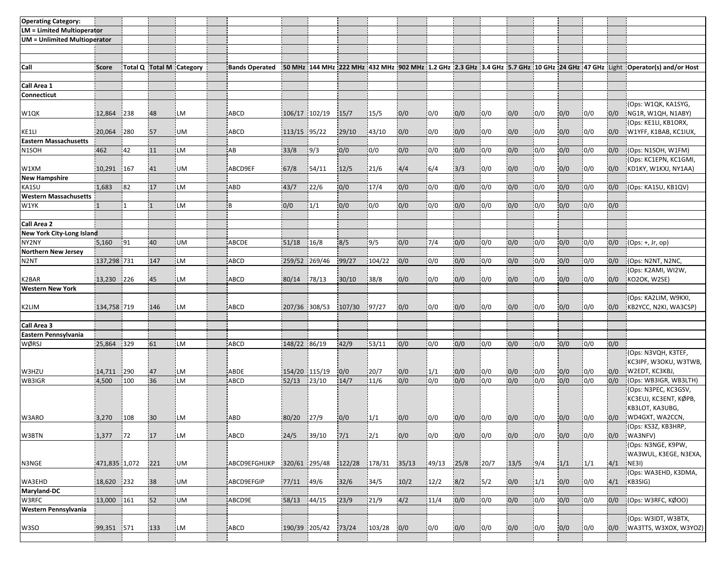| <b>Operating Category:</b>          |               |      |                |                          |                       |               |       |        |        |       |       |      |      |      |                  |     |     |     |                                                                                                                               |
|-------------------------------------|---------------|------|----------------|--------------------------|-----------------------|---------------|-------|--------|--------|-------|-------|------|------|------|------------------|-----|-----|-----|-------------------------------------------------------------------------------------------------------------------------------|
| <b>LM = Limited Multioperator</b>   |               |      |                |                          |                       |               |       |        |        |       |       |      |      |      |                  |     |     |     |                                                                                                                               |
| <b>UM</b> = Unlimited Multioperator |               |      |                |                          |                       |               |       |        |        |       |       |      |      |      |                  |     |     |     |                                                                                                                               |
|                                     |               |      |                |                          |                       |               |       |        |        |       |       |      |      |      |                  |     |     |     |                                                                                                                               |
|                                     |               |      |                |                          |                       |               |       |        |        |       |       |      |      |      |                  |     |     |     |                                                                                                                               |
| Call                                | Score         |      |                | Total Q Total M Category | <b>Bands Operated</b> |               |       |        |        |       |       |      |      |      |                  |     |     |     | 50 MHz 144 MHz 222 MHz 432 MHz 1902 MHz 1.2 GHz 2.3 GHz 3.4 GHz 5.7 GHz 10 GHz 124 GHz 47 GHz Light 10 perator(s) and/or Host |
|                                     |               |      |                |                          |                       |               |       |        |        |       |       |      |      |      |                  |     |     |     |                                                                                                                               |
| Call Area 1                         |               |      |                |                          |                       |               |       |        |        |       |       |      |      |      |                  |     |     |     |                                                                                                                               |
| Connecticut                         |               |      |                |                          |                       |               |       |        |        |       |       |      |      |      |                  |     |     |     |                                                                                                                               |
|                                     |               |      |                |                          |                       |               |       |        |        |       |       |      |      |      |                  |     |     |     | (Ops: W1QK, KA1SYG,                                                                                                           |
| W1QK                                | 12,864        | 238  | 48             | <b>ILM</b>               | ABCD                  | 106/17 102/19 |       | 15/7   | 15/5   | 0/0   | 0/0   | 0/0  | 0/0  | 0/0  | 0/0              | 0/0 | 0/0 | 0/0 | NG1R, W1QH, N1ABY)                                                                                                            |
|                                     |               |      |                |                          |                       |               |       |        |        |       |       |      |      |      |                  |     |     |     | (Ops: KE1LI, KB1ORX,                                                                                                          |
| KE1LI                               | 20,064        | 280  | 57             | <b>UM</b>                | <b>ABCD</b>           | 113/15 95/22  |       | 29/10  | 43/10  | 0/0   | 0/0   | 0/0  | 0/0  | 0/0  | 0/0              | 0/0 | 0/0 | 0/0 | W1YFF, K1BAB, KC1IUX,                                                                                                         |
| <b>Eastern Massachusetts</b>        |               |      |                |                          |                       |               |       |        |        |       |       |      |      |      |                  |     |     |     |                                                                                                                               |
| N <sub>1</sub> SOH                  | 462           | 42   | 11             | <b>LM</b>                | AB                    | 33/8          | 9/3   | 0/0    | 0/0    | 0/0   | 0/0   | 0/0  | 0/0  | 0/0  | 0/0              | 0/0 | 0/0 | 0/0 | (Ops: N1SOH, W1FM)                                                                                                            |
|                                     |               |      |                |                          |                       |               |       |        |        |       |       |      |      |      |                  |     |     |     | (Ops: KC1EPN, KC1GMI,                                                                                                         |
| W1XM                                | 10,291        | 167  | 41             | <b>UM</b>                | ABCD9EF               | 67/8          | 54/11 | 12/5   | 21/6   | 4/4   | 6/4   | 3/3  | 0/0  | 0/0  | 0/0              | 0/0 | 0/0 | 0/0 | KD1KY, W1KXJ, NY1AA)                                                                                                          |
| <b>New Hampshire</b>                |               |      |                |                          |                       |               |       |        |        |       |       |      |      |      |                  |     |     |     |                                                                                                                               |
| KA1SU                               | 1,683         | 82   | 17             | <b>ILM</b>               | ABD                   | 43/7          | 22/6  | 0/0    | 17/4   | 0/0   | 0/0   | 0/0  | 0/0  | 0/0  | 0/0              | 0/0 | 0/0 | 0/0 | (Ops: KA1SU, KB1QV)                                                                                                           |
| <b>Western Massachusetts</b>        |               |      |                |                          |                       |               |       |        |        |       |       |      |      |      |                  |     |     |     |                                                                                                                               |
| W1YK                                | $\mathbf{1}$  | '1   | $\overline{1}$ | <b>LM</b>                | ΙB                    | 0/0           | 1/1   | 0/0    | 0/0    | 0/0   | 0/0   | 0/0  | 0/0  | 0/0  | 0/0              | 0/0 | 0/0 | 0/0 |                                                                                                                               |
|                                     |               |      |                |                          |                       |               |       |        |        |       |       |      |      |      |                  |     |     |     |                                                                                                                               |
| Call Area 2                         |               |      |                |                          |                       |               |       |        |        |       |       |      |      |      |                  |     |     |     |                                                                                                                               |
| New York City-Long Island           |               |      |                |                          |                       |               |       |        |        |       |       |      |      |      |                  |     |     |     |                                                                                                                               |
| NY2NY                               | 5,160         | 91   | 40             | <b>IUM</b>               | ABCDE                 | 51/18         | 16/8  | 8/5    | 9/5    | 0/0   | 7/4   | 0/0  | 0/0  | 0/0  | 0/0              | 0/0 | 0/0 | 0/0 | $(Ops: +, Jr, op)$                                                                                                            |
| <b>Northern New Jersey</b>          |               |      |                |                          |                       |               |       |        |        |       |       |      |      |      |                  |     |     |     |                                                                                                                               |
| N <sub>2</sub> NT                   | 137,298 731   |      | 147            | <b>ILM</b>               | <b>ABCD</b>           | 259/52 269/46 |       | 99/27  | 104/22 | 0/0   | 0/0   | 0/0  | 0/0  | 0/0  | 0/0              | 0/0 | 0/0 | 0/0 | (Ops: N2NT, N2NC,                                                                                                             |
|                                     |               |      |                |                          |                       |               |       |        |        |       |       |      |      |      |                  |     |     |     | (Ops: K2AMI, WI2W,                                                                                                            |
| K2BAR                               | 13,230        | 226  | 45             | <b>ILM</b>               | ABCD                  | 80/14         | 78/13 | 30/10  | 38/8   | 0/0   | 0/0   | 0/0  | 0/0  | 0/0  | 0/0              | 0/0 | 0/0 | 0/0 | KO2OK, W2SE)                                                                                                                  |
| <b>Western New York</b>             |               |      |                |                          |                       |               |       |        |        |       |       |      |      |      |                  |     |     |     |                                                                                                                               |
|                                     |               |      |                |                          |                       |               |       |        |        |       |       |      |      |      |                  |     |     |     | (Ops: KA2LIM, W9KXI,                                                                                                          |
| K2LIM                               | 134,758 719   |      | 146            | ILM                      | ABCD                  | 207/36 308/53 |       | 107/30 | 97/27  | 0/0   | 0/0   | 0/0  | 0/0  | 0/0  | 0/0              | 0/0 | 0/0 | 0/0 | KB2YCC, N2KI, WA3CSP)                                                                                                         |
|                                     |               |      |                |                          |                       |               |       |        |        |       |       |      |      |      |                  |     |     |     |                                                                                                                               |
| Call Area 3                         |               |      |                |                          |                       |               |       |        |        |       |       |      |      |      |                  |     |     |     |                                                                                                                               |
| Eastern Pennsylvania                | 25,864        |      | 61             |                          | <b>ABCD</b>           | 148/22 86/19  |       |        | 53/11  |       | 0/0   |      | 0/0  |      | 0/0              | 0/0 |     | 0/0 |                                                                                                                               |
| WØRSJ                               |               | 329  |                | <b>LM</b>                |                       |               |       | 42/9   |        | 0/0   |       | 0/0  |      | 0/0  |                  |     | 0/0 |     | (Ops: N3VQH, K3TEF,                                                                                                           |
|                                     |               |      |                |                          |                       |               |       |        |        |       |       |      |      |      |                  |     |     |     | KC3IPF, W3OKU, W3TWB,                                                                                                         |
| W3HZU                               | 14,711        | 290  | 47             | <b>ILM</b>               | ABDE                  | 154/20 115/19 |       | 0/0    | 120/7  | 0/0   | 1/1   | 0/0  | 0/0  | 0/0  | 0/0              | 0/0 | 0/0 | 0/0 | W2EDT, KC3KBJ,                                                                                                                |
| WB3IGR                              | 4,500         | 100  | 36             | <b>LM</b>                | ABCD                  | 52/13         | 23/10 | 14/7   | 11/6   | 0/0   | 0/0   | 0/0  | 0/0  | 0/0  | $\overline{0/0}$ | 0/0 | 0/0 | 0/0 | (Ops: WB3IGR, WB3LTH)                                                                                                         |
|                                     |               |      |                |                          |                       |               |       |        |        |       |       |      |      |      |                  |     |     |     | (Ops: N3PEC, KC3GSV,                                                                                                          |
|                                     |               |      |                |                          |                       |               |       |        |        |       |       |      |      |      |                  |     |     |     | KC3EUJ, KC3ENT, KØPB,                                                                                                         |
|                                     |               |      |                |                          |                       |               |       |        |        |       |       |      |      |      |                  |     |     |     | KB3LOT, KA3UBG,                                                                                                               |
| W3ARO                               | 3,270         | 108  | 30             | <b>ILM</b>               | ABD                   | 80/20         | 27/9  | 0/0    | 1/1    | 0/0   | 0/0   | 0/0  | 0/0  | 0/0  | 0/0              | 0/0 | 0/0 | 0/0 | WD4GXT, WA2CCN,                                                                                                               |
|                                     |               |      |                |                          |                       |               |       |        |        |       |       |      |      |      |                  |     |     |     | (Ops: KS3Z, KB3HRP,                                                                                                           |
| W3BTN                               | 1,377         | $72$ | 17             | <b>LM</b>                | ABCD                  | 24/5          | 39/10 | 7/1    | 2/1    | 0/0   | 0/0   | 0/0  | 0/0  | 0/0  | 0/0              | 0/0 | 0/0 | 0/0 | WA3NFV)                                                                                                                       |
|                                     |               |      |                |                          |                       |               |       |        |        |       |       |      |      |      |                  |     |     |     | (Ops: N3NGE, K9PW,                                                                                                            |
|                                     |               |      |                |                          |                       |               |       |        |        |       |       |      |      |      |                  |     |     |     | WA3WUL, K3EGE, N3EXA,                                                                                                         |
| N3NGE                               | 471,835 1,072 |      | 221            | <b>IUM</b>               | <b>ABCD9EFGHIJKP</b>  | 320/61 295/48 |       | 122/28 | 178/31 | 35/13 | 49/13 | 25/8 | 20/7 | 13/5 | 9/4              | 1/1 | 1/1 | 4/1 | NE31)                                                                                                                         |
|                                     |               |      |                |                          |                       |               |       |        |        |       |       |      |      |      |                  |     |     |     | (Ops: WA3EHD, K3DMA,                                                                                                          |
| WA3EHD                              | 18,620        | 232  | 38             | <b>IUM</b>               | ABCD9EFGIP            | 77/11         | 49/6  | 32/6   | 34/5   | 10/2  | 12/2  | 8/2  | 5/2  | 0/0  | 1/1              | 0/0 | 0/0 | 4/1 | KB3SIG)                                                                                                                       |
| Maryland-DC                         |               |      |                |                          |                       |               |       |        |        |       |       |      |      |      |                  |     |     |     |                                                                                                                               |
| W3RFC                               | 13,000        | 161  | 52             | <b>UM</b>                | ABCD9E                | 58/13         | 44/15 | 23/9   | 21/9   | 4/2   | 11/4  | 0/0  | 0/0  | 0/0  | 0/0              | 0/0 | 0/0 | 0/0 | (Ops: W3RFC, KØOO)                                                                                                            |
| <b>Western Pennsylvania</b>         |               |      |                |                          |                       |               |       |        |        |       |       |      |      |      |                  |     |     |     |                                                                                                                               |
|                                     |               |      |                |                          |                       |               |       |        |        |       |       |      |      |      |                  |     |     |     | (Ops: W3IDT, W3BTX,                                                                                                           |
| W3SO                                | 99,351 571    |      | 133            | <b>LM</b>                | ABCD                  | 190/39 205/42 |       | 73/24  | 103/28 | 0/0   | 0/0   | 0/0  | 0/0  | 0/0  | 0/0              | 0/0 | 0/0 | 0/0 | WA3TTS, W3XOX, W3YOZ)                                                                                                         |
|                                     |               |      |                |                          |                       |               |       |        |        |       |       |      |      |      |                  |     |     |     |                                                                                                                               |